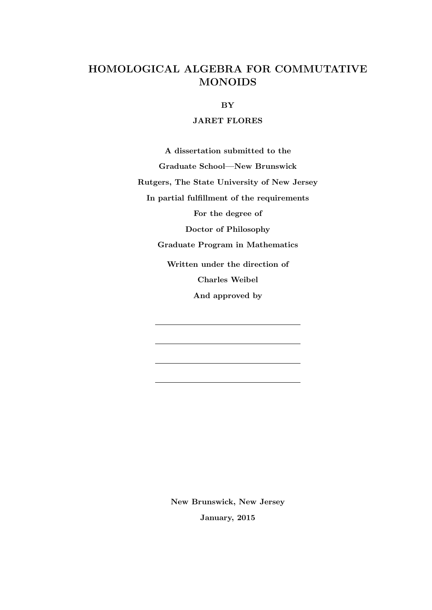## HOMOLOGICAL ALGEBRA FOR COMMUTATIVE MONOIDS

BY

### JARET FLORES

A dissertation submitted to the Graduate School—New Brunswick Rutgers, The State University of New Jersey In partial fulfillment of the requirements For the degree of Doctor of Philosophy Graduate Program in Mathematics Written under the direction of Charles Weibel And approved by

> New Brunswick, New Jersey January, 2015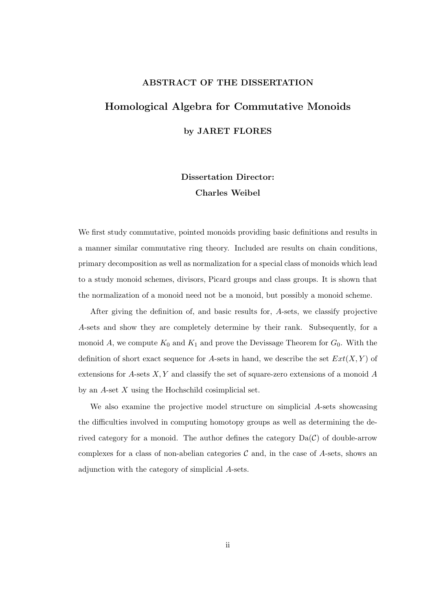### ABSTRACT OF THE DISSERTATION

# Homological Algebra for Commutative Monoids by JARET FLORES

Dissertation Director: Charles Weibel

We first study commutative, pointed monoids providing basic definitions and results in a manner similar commutative ring theory. Included are results on chain conditions, primary decomposition as well as normalization for a special class of monoids which lead to a study monoid schemes, divisors, Picard groups and class groups. It is shown that the normalization of a monoid need not be a monoid, but possibly a monoid scheme.

After giving the definition of, and basic results for, A-sets, we classify projective A-sets and show they are completely determine by their rank. Subsequently, for a monoid A, we compute  $K_0$  and  $K_1$  and prove the Devissage Theorem for  $G_0$ . With the definition of short exact sequence for A-sets in hand, we describe the set  $Ext(X, Y)$  of extensions for  $A$ -sets  $X, Y$  and classify the set of square-zero extensions of a monoid  $A$ by an  $A$ -set  $X$  using the Hochschild cosimplicial set.

We also examine the projective model structure on simplicial A-sets showcasing the difficulties involved in computing homotopy groups as well as determining the derived category for a monoid. The author defines the category  $Da(\mathcal{C})$  of double-arrow complexes for a class of non-abelian categories  $\mathcal C$  and, in the case of  $A$ -sets, shows an adjunction with the category of simplicial A-sets.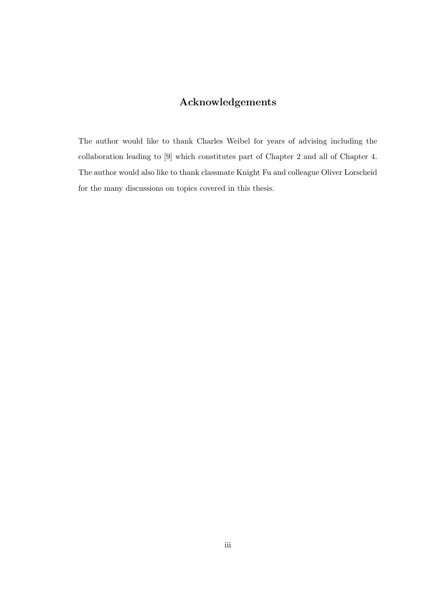## Acknowledgements

The author would like to thank Charles Weibel for years of advising including the collaboration leading to [9] which constitutes part of Chapter 2 and all of Chapter 4. The author would also like to thank classmate Knight Fu and colleague Oliver Lorscheid for the many discussions on topics covered in this thesis.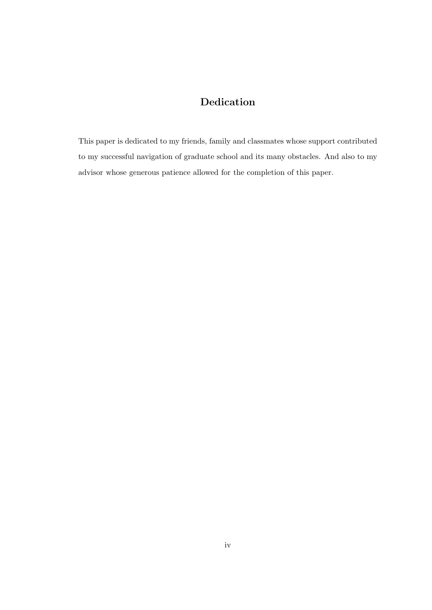## Dedication

This paper is dedicated to my friends, family and classmates whose support contributed to my successful navigation of graduate school and its many obstacles. And also to my advisor whose generous patience allowed for the completion of this paper.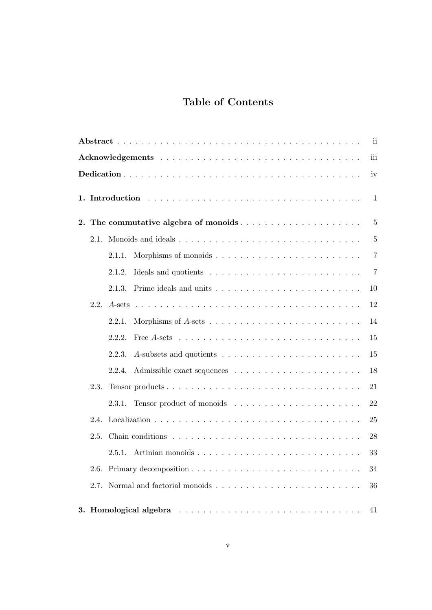## Table of Contents

|    |      |                                                                                                                                                                                                                                                         | ii.            |  |
|----|------|---------------------------------------------------------------------------------------------------------------------------------------------------------------------------------------------------------------------------------------------------------|----------------|--|
|    |      |                                                                                                                                                                                                                                                         |                |  |
|    |      |                                                                                                                                                                                                                                                         | iv             |  |
|    |      |                                                                                                                                                                                                                                                         | $\mathbf{1}$   |  |
| 2. |      | The commutative algebra of monoids                                                                                                                                                                                                                      | $\bf 5$        |  |
|    | 2.1. |                                                                                                                                                                                                                                                         | $\overline{5}$ |  |
|    |      | 2.1.1.                                                                                                                                                                                                                                                  | $\overline{7}$ |  |
|    |      | 2.1.2.                                                                                                                                                                                                                                                  | $\overline{7}$ |  |
|    |      | 2.1.3.                                                                                                                                                                                                                                                  | 10             |  |
|    | 2.2. |                                                                                                                                                                                                                                                         | 12             |  |
|    |      | 2.2.1.                                                                                                                                                                                                                                                  | 14             |  |
|    |      | 2.2.2.                                                                                                                                                                                                                                                  | 15             |  |
|    |      | 2.2.3.                                                                                                                                                                                                                                                  | 15             |  |
|    |      | 2.2.4.                                                                                                                                                                                                                                                  | 18             |  |
|    | 2.3. | Tensor products                                                                                                                                                                                                                                         | 21             |  |
|    |      | 2.3.1.                                                                                                                                                                                                                                                  | 22             |  |
|    | 2.4. |                                                                                                                                                                                                                                                         | 25             |  |
|    | 2.5. |                                                                                                                                                                                                                                                         | 28             |  |
|    |      | Artinian monoids<br>2.5.1.                                                                                                                                                                                                                              | 33             |  |
|    | 2.6. |                                                                                                                                                                                                                                                         | 34             |  |
|    | 2.7. |                                                                                                                                                                                                                                                         | 36             |  |
|    |      | 3. Homological algebra<br>and a construction of the construction of the construction of the construction of the construction of the construction of the construction of the construction of the construction of the construction of the construction of | 41             |  |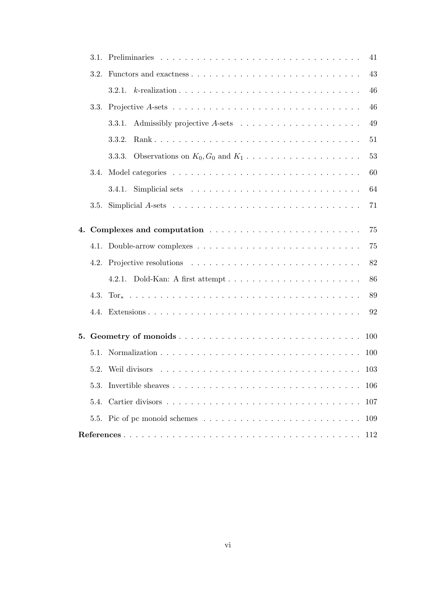|    |      |                                                                                        | 41         |
|----|------|----------------------------------------------------------------------------------------|------------|
|    | 3.2. |                                                                                        | 43         |
|    |      |                                                                                        | 46         |
|    | 3.3. |                                                                                        | 46         |
|    |      | 3.3.1.                                                                                 | 49         |
|    |      | 3.3.2.                                                                                 | 51         |
|    |      | Observations on $K_0, G_0$ and $K_1, \ldots, \ldots, \ldots, \ldots, \ldots$<br>3.3.3. | 53         |
|    | 3.4. |                                                                                        | 60         |
|    |      | 3.4.1. Simplicial sets $\ldots \ldots \ldots \ldots \ldots \ldots \ldots \ldots$       | 64         |
|    | 3.5. |                                                                                        | 71         |
| 4. |      |                                                                                        | 75         |
|    |      |                                                                                        | 75         |
|    | 4.2. |                                                                                        | 82         |
|    |      | 4.2.1.                                                                                 | 86         |
|    |      |                                                                                        | 89         |
|    |      |                                                                                        | 92         |
|    |      | 5. Geometry of monoids                                                                 | <b>100</b> |
|    | 5.1. |                                                                                        | 100        |
|    |      |                                                                                        |            |
|    | 5.3. |                                                                                        | 106        |
|    | 5.4. |                                                                                        | 107        |
|    |      |                                                                                        | 109        |
|    |      |                                                                                        | 112        |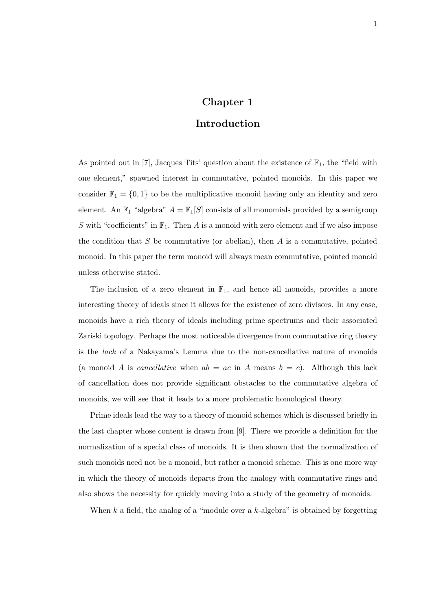## Chapter 1

## Introduction

As pointed out in [7], Jacques Tits' question about the existence of  $\mathbb{F}_1$ , the "field with one element," spawned interest in commutative, pointed monoids. In this paper we consider  $\mathbb{F}_1 = \{0, 1\}$  to be the multiplicative monoid having only an identity and zero element. An  $\mathbb{F}_1$  "algebra"  $A = \mathbb{F}_1[S]$  consists of all monomials provided by a semigroup S with "coefficients" in  $\mathbb{F}_1$ . Then A is a monoid with zero element and if we also impose the condition that  $S$  be commutative (or abelian), then  $A$  is a commutative, pointed monoid. In this paper the term monoid will always mean commutative, pointed monoid unless otherwise stated.

The inclusion of a zero element in  $\mathbb{F}_1$ , and hence all monoids, provides a more interesting theory of ideals since it allows for the existence of zero divisors. In any case, monoids have a rich theory of ideals including prime spectrums and their associated Zariski topology. Perhaps the most noticeable divergence from commutative ring theory is the lack of a Nakayama's Lemma due to the non-cancellative nature of monoids (a monoid A is *cancellative* when  $ab = ac$  in A means  $b = c$ ). Although this lack of cancellation does not provide significant obstacles to the commutative algebra of monoids, we will see that it leads to a more problematic homological theory.

Prime ideals lead the way to a theory of monoid schemes which is discussed briefly in the last chapter whose content is drawn from [9]. There we provide a definition for the normalization of a special class of monoids. It is then shown that the normalization of such monoids need not be a monoid, but rather a monoid scheme. This is one more way in which the theory of monoids departs from the analogy with commutative rings and also shows the necessity for quickly moving into a study of the geometry of monoids.

When  $k$  a field, the analog of a "module over a  $k$ -algebra" is obtained by forgetting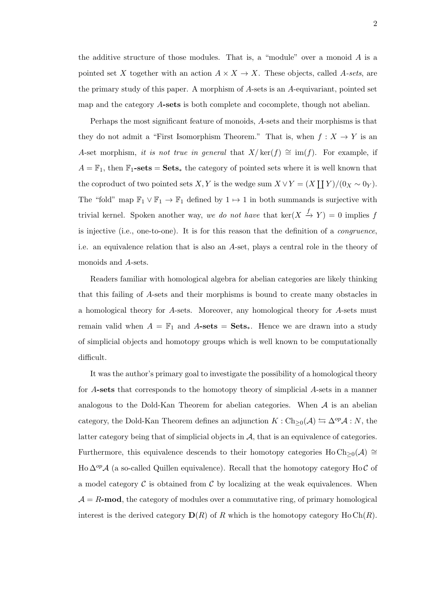the additive structure of those modules. That is, a "module" over a monoid  $A$  is a pointed set X together with an action  $A \times X \to X$ . These objects, called A-sets, are the primary study of this paper. A morphism of A-sets is an A-equivariant, pointed set map and the category A-sets is both complete and cocomplete, though not abelian.

Perhaps the most significant feature of monoids, A-sets and their morphisms is that they do not admit a "First Isomorphism Theorem." That is, when  $f: X \to Y$  is an A-set morphism, it is not true in general that  $X/\text{ker}(f) \cong \text{im}(f)$ . For example, if  $A = \mathbb{F}_1$ , then  $\mathbb{F}_1$ -sets = Sets<sub>\*</sub> the category of pointed sets where it is well known that the coproduct of two pointed sets  $X, Y$  is the wedge sum  $X \vee Y = (X \coprod Y)/(0_X \sim 0_Y)$ . The "fold" map  $\mathbb{F}_1 \vee \mathbb{F}_1 \to \mathbb{F}_1$  defined by  $1 \mapsto 1$  in both summands is surjective with trivial kernel. Spoken another way, we do not have that  $\ker(X \stackrel{f}{\to} Y) = 0$  implies f is injective (i.e., one-to-one). It is for this reason that the definition of a congruence, i.e. an equivalence relation that is also an A-set, plays a central role in the theory of monoids and A-sets.

Readers familiar with homological algebra for abelian categories are likely thinking that this failing of A-sets and their morphisms is bound to create many obstacles in a homological theory for A-sets. Moreover, any homological theory for A-sets must remain valid when  $A = \mathbb{F}_1$  and  $A\text{-sets} = \text{Sets}_*$ . Hence we are drawn into a study of simplicial objects and homotopy groups which is well known to be computationally difficult.

It was the author's primary goal to investigate the possibility of a homological theory for A-sets that corresponds to the homotopy theory of simplicial A-sets in a manner analogous to the Dold-Kan Theorem for abelian categories. When  $A$  is an abelian category, the Dold-Kan Theorem defines an adjunction  $K : Ch_{\geq 0}(\mathcal{A}) \leftrightarrows \Delta^{op}\mathcal{A} : N$ , the latter category being that of simplicial objects in  $A$ , that is an equivalence of categories. Furthermore, this equivalence descends to their homotopy categories Ho Ch<sub>≥0</sub>( $\mathcal{A}$ ) ≅ Ho  $\Delta^{op}$ A (a so-called Quillen equivalence). Recall that the homotopy category Ho C of a model category  $\mathcal C$  is obtained from  $\mathcal C$  by localizing at the weak equivalences. When  $A = R$ -mod, the category of modules over a commutative ring, of primary homological interest is the derived category  $\mathbf{D}(R)$  of R which is the homotopy category Ho Ch(R).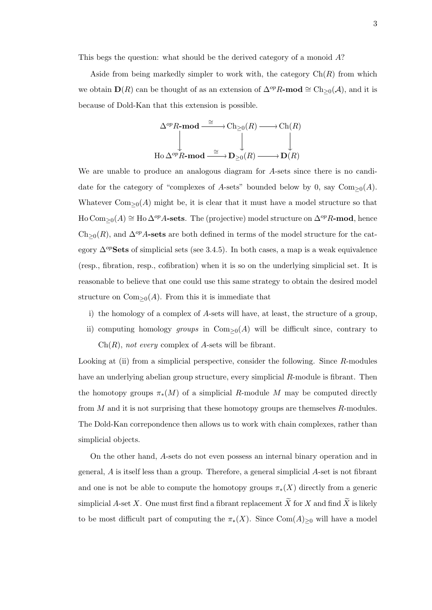This begs the question: what should be the derived category of a monoid A?

Aside from being markedly simpler to work with, the category  $Ch(R)$  from which we obtain  $\mathbf{D}(R)$  can be thought of as an extension of  $\Delta^{op}R\text{-mod} \cong \text{Ch}_{\geq 0}(\mathcal{A})$ , and it is because of Dold-Kan that this extension is possible.

$$
\Delta^{op}R\text{-}\textbf{mod} \xrightarrow{\cong} \text{Ch}_{\geq 0}(R) \longrightarrow \text{Ch}(R)
$$
  
Ho $\Delta^{op}R\text{-}\textbf{mod} \xrightarrow{\cong} \textbf{D}_{\geq 0}(R) \longrightarrow \textbf{D}(R)$ 

We are unable to produce an analogous diagram for A-sets since there is no candidate for the category of "complexes of A-sets" bounded below by 0, say  $Com_{\geq 0}(A)$ . Whatever  $Com_{\geq 0}(A)$  might be, it is clear that it must have a model structure so that Ho Com<sub>>0</sub>(A) ≅ Ho  $\Delta^{op}$ A-sets. The (projective) model structure on  $\Delta^{op}$ R-mod, hence  $\text{Ch}_{\geq 0}(R)$ , and  $\Delta^{op}A$ -sets are both defined in terms of the model structure for the category  $\Delta^{op}$ **Sets** of simplicial sets (see 3.4.5). In both cases, a map is a weak equivalence (resp., fibration, resp., cofibration) when it is so on the underlying simplicial set. It is reasonable to believe that one could use this same strategy to obtain the desired model structure on  $Com_{\geq 0}(A)$ . From this it is immediate that

- i) the homology of a complex of A-sets will have, at least, the structure of a group,
- ii) computing homology groups in Com<sub>≥0</sub>(A) will be difficult since, contrary to  $Ch(R)$ , not every complex of A-sets will be fibrant.

Looking at (ii) from a simplicial perspective, consider the following. Since R-modules have an underlying abelian group structure, every simplicial R-module is fibrant. Then the homotopy groups  $\pi_*(M)$  of a simplicial R-module M may be computed directly from  $M$  and it is not surprising that these homotopy groups are themselves  $R$ -modules. The Dold-Kan correpondence then allows us to work with chain complexes, rather than simplicial objects.

On the other hand, A-sets do not even possess an internal binary operation and in general, A is itself less than a group. Therefore, a general simplicial A-set is not fibrant and one is not be able to compute the homotopy groups  $\pi_*(X)$  directly from a generic simplicial A-set X. One must first find a fibrant replacement  $\widetilde{X}$  for X and find  $\widetilde{X}$  is likely to be most difficult part of computing the  $\pi_*(X)$ . Since Com $(A)_{\geq 0}$  will have a model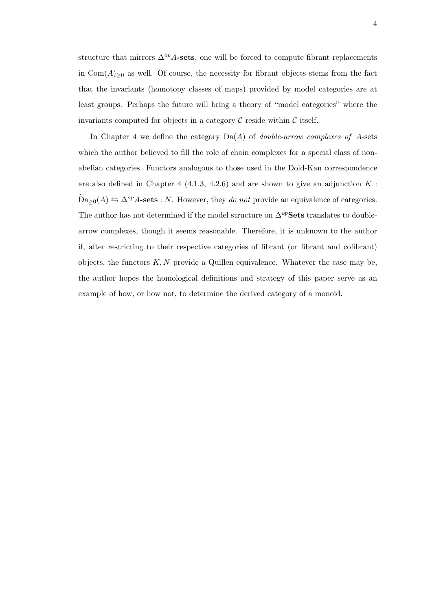structure that mirrors  $\Delta^{op}$ A-sets, one will be forced to compute fibrant replacements in  $Com(A)_{\geq 0}$  as well. Of course, the necessity for fibrant objects stems from the fact that the invariants (homotopy classes of maps) provided by model categories are at least groups. Perhaps the future will bring a theory of "model categories" where the invariants computed for objects in a category  $\mathcal C$  reside within  $\mathcal C$  itself.

In Chapter 4 we define the category  $Da(A)$  of *double-arrow complexes of A-sets* which the author believed to fill the role of chain complexes for a special class of nonabelian categories. Functors analogous to those used in the Dold-Kan correspondence are also defined in Chapter 4 (4.1.3, 4.2.6) and are shown to give an adjunction  $K$ :  $\widetilde{\mathrm{Da}}_{\geq 0}(A) \leftrightarrows \Delta^{op}A\text{-sets} : N.$  However, they do not provide an equivalence of categories. The author has not determined if the model structure on  $\Delta^{op}$ Sets translates to doublearrow complexes, though it seems reasonable. Therefore, it is unknown to the author if, after restricting to their respective categories of fibrant (or fibrant and cofibrant) objects, the functors  $K, N$  provide a Quillen equivalence. Whatever the case may be, the author hopes the homological definitions and strategy of this paper serve as an example of how, or how not, to determine the derived category of a monoid.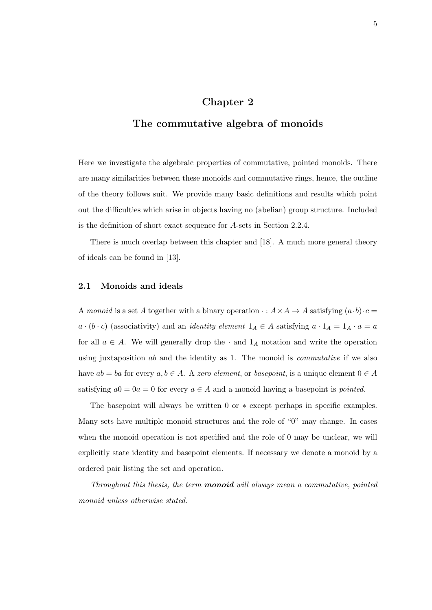## Chapter 2

### The commutative algebra of monoids

Here we investigate the algebraic properties of commutative, pointed monoids. There are many similarities between these monoids and commutative rings, hence, the outline of the theory follows suit. We provide many basic definitions and results which point out the difficulties which arise in objects having no (abelian) group structure. Included is the definition of short exact sequence for A-sets in Section 2.2.4.

There is much overlap between this chapter and [18]. A much more general theory of ideals can be found in [13].

#### 2.1 Monoids and ideals

A monoid is a set A together with a binary operation  $\cdot : A \times A \rightarrow A$  satisfying  $(a \cdot b) \cdot c =$  $a \cdot (b \cdot c)$  (associativity) and an *identity element*  $1_A \in A$  satisfying  $a \cdot 1_A = 1_A \cdot a = a$ for all  $a \in A$ . We will generally drop the  $\cdot$  and  $1_A$  notation and write the operation using juxtaposition  $ab$  and the identity as 1. The monoid is *commutative* if we also have  $ab = ba$  for every  $a, b \in A$ . A zero element, or basepoint, is a unique element  $0 \in A$ satisfying  $a0 = 0a = 0$  for every  $a \in A$  and a monoid having a basepoint is *pointed*.

The basepoint will always be written 0 or ∗ except perhaps in specific examples. Many sets have multiple monoid structures and the role of "0" may change. In cases when the monoid operation is not specified and the role of 0 may be unclear, we will explicitly state identity and basepoint elements. If necessary we denote a monoid by a ordered pair listing the set and operation.

Throughout this thesis, the term **monoid** will always mean a commutative, pointed monoid unless otherwise stated.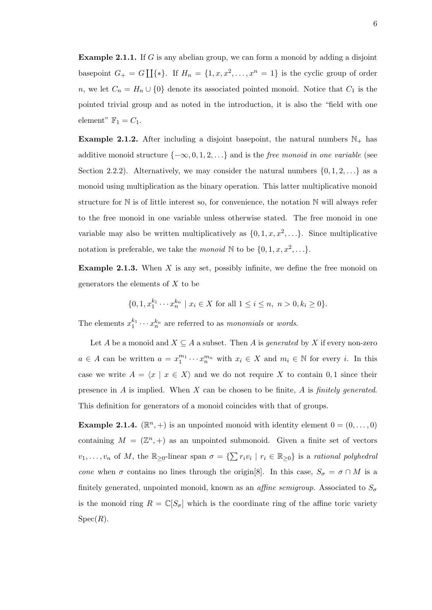**Example 2.1.1.** If G is any abelian group, we can form a monoid by adding a disjoint basepoint  $G_{+} = G \coprod {\ast}.$  If  $H_n = \{1, x, x^2, \ldots, x^n = 1\}$  is the cyclic group of order n, we let  $C_n = H_n \cup \{0\}$  denote its associated pointed monoid. Notice that  $C_1$  is the pointed trivial group and as noted in the introduction, it is also the "field with one element"  $\mathbb{F}_1 = C_1$ .

**Example 2.1.2.** After including a disjoint basepoint, the natural numbers  $\mathbb{N}_+$  has additive monoid structure  $\{-\infty, 0, 1, 2, \ldots\}$  and is the *free monoid in one variable* (see Section 2.2.2). Alternatively, we may consider the natural numbers  $\{0, 1, 2, \ldots\}$  as a monoid using multiplication as the binary operation. This latter multiplicative monoid structure for  $\mathbb N$  is of little interest so, for convenience, the notation  $\mathbb N$  will always refer to the free monoid in one variable unless otherwise stated. The free monoid in one variable may also be written multiplicatively as  $\{0, 1, x, x^2, \ldots\}$ . Since multiplicative notation is preferable, we take the *monoid* N to be  $\{0, 1, x, x^2, \ldots\}$ .

**Example 2.1.3.** When  $X$  is any set, possibly infinite, we define the free monoid on generators the elements of  $X$  to be

$$
\{0, 1, x_1^{k_1} \cdots x_n^{k_n} \mid x_i \in X \text{ for all } 1 \le i \le n, n > 0, k_i \ge 0\}.
$$

The elements  $x_1^{k_1} \cdots x_n^{k_n}$  are referred to as *monomials* or *words*.

Let A be a monoid and  $X \subseteq A$  a subset. Then A is *generated* by X if every non-zero  $a \in A$  can be written  $a = x_1^{m_1} \cdots x_n^{m_n}$  with  $x_i \in X$  and  $m_i \in \mathbb{N}$  for every i. In this case we write  $A = \langle x | x \in X \rangle$  and we do not require X to contain 0, 1 since their presence in  $A$  is implied. When  $X$  can be chosen to be finite,  $A$  is *finitely generated*. This definition for generators of a monoid coincides with that of groups.

**Example 2.1.4.**  $(\mathbb{R}^n, +)$  is an unpointed monoid with identity element  $0 = (0, \ldots, 0)$ containing  $M = (\mathbb{Z}^n, +)$  as an unpointed submonoid. Given a finite set of vectors  $v_1, \ldots, v_n$  of M, the  $\mathbb{R}_{\geq 0}$ -linear span  $\sigma = \{\sum r_i v_i \mid r_i \in \mathbb{R}_{\geq 0}\}\$ is a rational polyhedral cone when  $\sigma$  contains no lines through the origin[8]. In this case,  $S_{\sigma} = \sigma \cap M$  is a finitely generated, unpointed monoid, known as an *affine semigroup*. Associated to  $S_{\sigma}$ is the monoid ring  $R = \mathbb{C}[S_{\sigma}]$  which is the coordinate ring of the affine toric variety  $Spec(R)$ .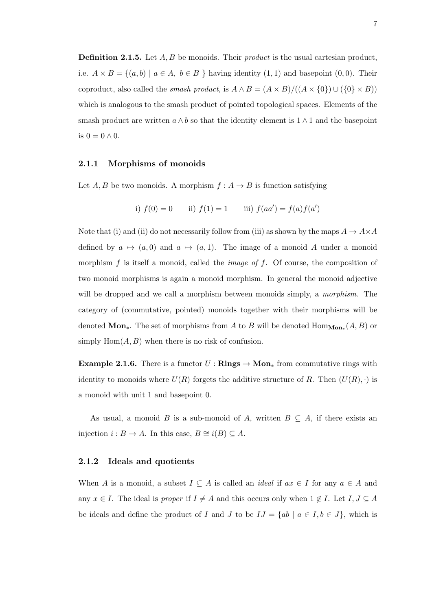**Definition 2.1.5.** Let  $A, B$  be monoids. Their *product* is the usual cartesian product, i.e.  $A \times B = \{(a, b) \mid a \in A, b \in B \}$  having identity  $(1, 1)$  and basepoint  $(0, 0)$ . Their coproduct, also called the *smash product*, is  $A \wedge B = (A \times B)/((A \times \{0\}) \cup (\{0\} \times B))$ which is analogous to the smash product of pointed topological spaces. Elements of the smash product are written  $a \wedge b$  so that the identity element is  $1 \wedge 1$  and the basepoint is  $0 = 0 \wedge 0$ .

#### 2.1.1 Morphisms of monoids

Let  $A, B$  be two monoids. A morphism  $f : A \rightarrow B$  is function satisfying

i) 
$$
f(0) = 0
$$
 ii)  $f(1) = 1$  iii)  $f(aa') = f(a)f(a')$ 

Note that (i) and (ii) do not necessarily follow from (iii) as shown by the maps  $A \to A \times A$ defined by  $a \mapsto (a, 0)$  and  $a \mapsto (a, 1)$ . The image of a monoid A under a monoid morphism  $f$  is itself a monoid, called the *image of*  $f$ . Of course, the composition of two monoid morphisms is again a monoid morphism. In general the monoid adjective will be dropped and we call a morphism between monoids simply, a *morphism*. The category of (commutative, pointed) monoids together with their morphisms will be denoted Mon<sub>∗</sub>. The set of morphisms from A to B will be denoted  $\text{Hom}_{\text{Mon}_*}(A, B)$  or simply  $\text{Hom}(A, B)$  when there is no risk of confusion.

**Example 2.1.6.** There is a functor  $U : \mathbf{Rings} \to \mathbf{Mon}_*$  from commutative rings with identity to monoids where  $U(R)$  forgets the additive structure of R. Then  $(U(R), \cdot)$  is a monoid with unit 1 and basepoint 0.

As usual, a monoid B is a sub-monoid of A, written  $B \subseteq A$ , if there exists an injection  $i : B \to A$ . In this case,  $B \cong i(B) \subseteq A$ .

#### 2.1.2 Ideals and quotients

When A is a monoid, a subset  $I \subseteq A$  is called an *ideal* if  $ax \in I$  for any  $a \in A$  and any  $x \in I$ . The ideal is proper if  $I \neq A$  and this occurs only when  $1 \notin I$ . Let  $I, J \subseteq A$ be ideals and define the product of I and J to be  $IJ = \{ab \mid a \in I, b \in J\}$ , which is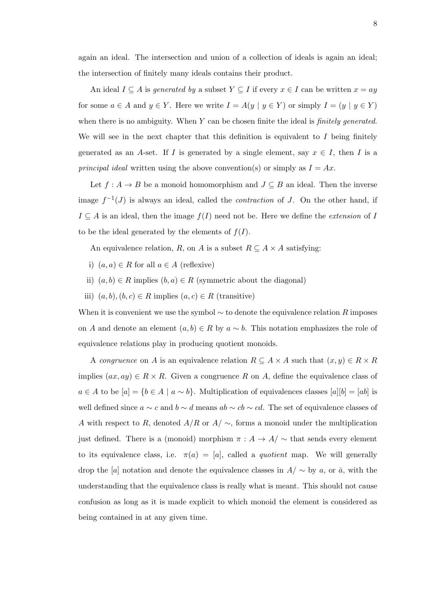again an ideal. The intersection and union of a collection of ideals is again an ideal; the intersection of finitely many ideals contains their product.

An ideal  $I \subseteq A$  is generated by a subset  $Y \subseteq I$  if every  $x \in I$  can be written  $x = ay$ for some  $a \in A$  and  $y \in Y$ . Here we write  $I = A(y \mid y \in Y)$  or simply  $I = (y \mid y \in Y)$ when there is no ambiguity. When  $Y$  can be chosen finite the ideal is *finitely generated*. We will see in the next chapter that this definition is equivalent to  $I$  being finitely generated as an A-set. If I is generated by a single element, say  $x \in I$ , then I is a principal ideal written using the above convention(s) or simply as  $I = Ax$ .

Let  $f : A \to B$  be a monoid homomorphism and  $J \subseteq B$  an ideal. Then the inverse image  $f^{-1}(J)$  is always an ideal, called the *contraction* of J. On the other hand, if  $I \subseteq A$  is an ideal, then the image  $f(I)$  need not be. Here we define the *extension* of I to be the ideal generated by the elements of  $f(I)$ .

An equivalence relation, R, on A is a subset  $R \subseteq A \times A$  satisfying:

- i)  $(a, a) \in R$  for all  $a \in A$  (reflexive)
- ii)  $(a, b) \in R$  implies  $(b, a) \in R$  (symmetric about the diagonal)
- iii)  $(a, b), (b, c) \in R$  implies  $(a, c) \in R$  (transitive)

When it is convenient we use the symbol  $\sim$  to denote the equivalence relation R imposes on A and denote an element  $(a, b) \in R$  by  $a \sim b$ . This notation emphasizes the role of equivalence relations play in producing quotient monoids.

A congruence on A is an equivalence relation  $R \subseteq A \times A$  such that  $(x, y) \in R \times R$ implies  $(ax, ay) \in R \times R$ . Given a congruence R on A, define the equivalence class of  $a \in A$  to be  $[a] = \{b \in A \mid a \sim b\}$ . Multiplication of equivalences classes  $[a][b] = [ab]$  is well defined since  $a \sim c$  and  $b \sim d$  means  $ab \sim cb \sim cd$ . The set of equivalence classes of A with respect to R, denoted  $A/R$  or  $A/\sim$ , forms a monoid under the multiplication just defined. There is a (monoid) morphism  $\pi : A \to A/\sim$  that sends every element to its equivalence class, i.e.  $\pi(a) = [a]$ , called a *quotient* map. We will generally drop the [a] notation and denote the equivalence classes in  $A/\sim$  by a, or  $\bar{a}$ , with the understanding that the equivalence class is really what is meant. This should not cause confusion as long as it is made explicit to which monoid the element is considered as being contained in at any given time.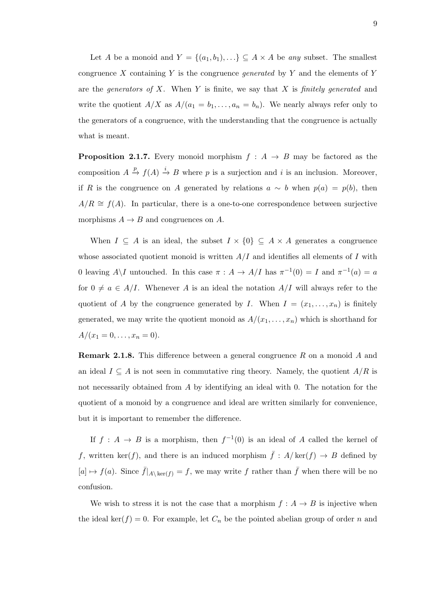Let A be a monoid and  $Y = \{(a_1, b_1), ...\} \subseteq A \times A$  be any subset. The smallest congruence X containing Y is the congruence *generated* by Y and the elements of Y are the generators of  $X$ . When  $Y$  is finite, we say that  $X$  is finitely generated and write the quotient  $A/X$  as  $A/(a_1 = b_1, \ldots, a_n = b_n)$ . We nearly always refer only to the generators of a congruence, with the understanding that the congruence is actually what is meant.

**Proposition 2.1.7.** Every monoid morphism  $f : A \rightarrow B$  may be factored as the composition  $A \stackrel{p}{\to} f(A) \stackrel{i}{\to} B$  where p is a surjection and i is an inclusion. Moreover, if R is the congruence on A generated by relations  $a \sim b$  when  $p(a) = p(b)$ , then  $A/R \cong f(A)$ . In particular, there is a one-to-one correspondence between surjective morphisms  $A \rightarrow B$  and congruences on A.

When  $I \subseteq A$  is an ideal, the subset  $I \times \{0\} \subseteq A \times A$  generates a congruence whose associated quotient monoid is written  $A/I$  and identifies all elements of I with 0 leaving  $A \setminus I$  untouched. In this case  $\pi : A \to A/I$  has  $\pi^{-1}(0) = I$  and  $\pi^{-1}(a) = a$ for  $0 \neq a \in A/I$ . Whenever A is an ideal the notation  $A/I$  will always refer to the quotient of A by the congruence generated by I. When  $I = (x_1, \ldots, x_n)$  is finitely generated, we may write the quotient monoid as  $A/(x_1, \ldots, x_n)$  which is shorthand for  $A/(x_1 = 0, \ldots, x_n = 0).$ 

Remark 2.1.8. This difference between a general congruence R on a monoid A and an ideal  $I \subseteq A$  is not seen in commutative ring theory. Namely, the quotient  $A/R$  is not necessarily obtained from A by identifying an ideal with 0. The notation for the quotient of a monoid by a congruence and ideal are written similarly for convenience, but it is important to remember the difference.

If  $f: A \to B$  is a morphism, then  $f^{-1}(0)$  is an ideal of A called the kernel of f, written ker(f), and there is an induced morphism  $\bar{f}$  :  $A/\text{ker}(f) \to B$  defined by  $[a] \mapsto f(a)$ . Since  $\bar{f}|_{A\setminus \ker(f)} = f$ , we may write f rather than  $\bar{f}$  when there will be no confusion.

We wish to stress it is not the case that a morphism  $f : A \rightarrow B$  is injective when the ideal ker(f) = 0. For example, let  $C_n$  be the pointed abelian group of order n and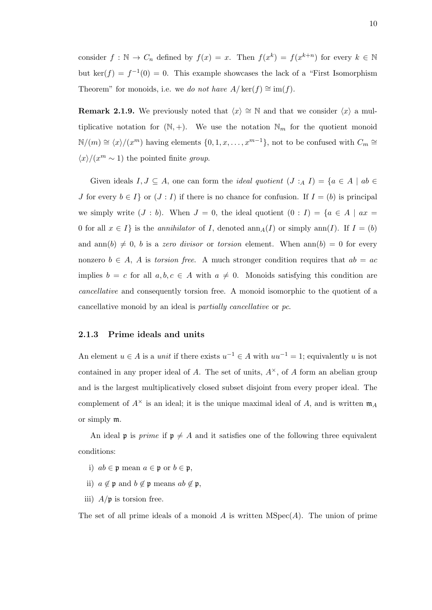consider  $f : \mathbb{N} \to C_n$  defined by  $f(x) = x$ . Then  $f(x^k) = f(x^{k+n})$  for every  $k \in \mathbb{N}$ but ker(f) =  $f^{-1}(0) = 0$ . This example showcases the lack of a "First Isomorphism" Theorem" for monoids, i.e. we do not have  $A/\ker(f) \cong \text{im}(f)$ .

Remark 2.1.9. We previously noted that  $\langle x \rangle \cong \mathbb{N}$  and that we consider  $\langle x \rangle$  a multiplicative notation for  $(N, +)$ . We use the notation  $N_m$  for the quotient monoid  $\mathbb{N}/(m) \cong \langle x \rangle / (x^m)$  having elements  $\{0, 1, x, \ldots, x^{m-1}\},$  not to be confused with  $C_m \cong$  $\langle x \rangle / (x^m \sim 1)$  the pointed finite group.

Given ideals  $I, J \subseteq A$ , one can form the *ideal quotient*  $(J : A I) = \{a \in A \mid ab \in A\}$ J for every  $b \in I$  or  $(J : I)$  if there is no chance for confusion. If  $I = (b)$  is principal we simply write  $(J : b)$ . When  $J = 0$ , the ideal quotient  $(0 : I) = \{a \in A \mid ax =$ 0 for all  $x \in I$  is the *annihilator* of I, denoted  $\text{ann}_A(I)$  or simply  $\text{ann}(I)$ . If  $I = (b)$ and ann(b)  $\neq 0$ , b is a zero divisor or torsion element. When ann(b) = 0 for every nonzero  $b \in A$ , A is torsion free. A much stronger condition requires that  $ab = ac$ implies  $b = c$  for all  $a, b, c \in A$  with  $a \neq 0$ . Monoids satisfying this condition are cancellative and consequently torsion free. A monoid isomorphic to the quotient of a cancellative monoid by an ideal is partially cancellative or pc.

#### 2.1.3 Prime ideals and units

An element  $u \in A$  is a *unit* if there exists  $u^{-1} \in A$  with  $uu^{-1} = 1$ ; equivalently u is not contained in any proper ideal of A. The set of units,  $A^{\times}$ , of A form an abelian group and is the largest multiplicatively closed subset disjoint from every proper ideal. The complement of  $A^{\times}$  is an ideal; it is the unique maximal ideal of A, and is written  $\mathfrak{m}_A$ or simply m.

An ideal p is *prime* if  $p \neq A$  and it satisfies one of the following three equivalent conditions:

- i)  $ab \in \mathfrak{p}$  mean  $a \in \mathfrak{p}$  or  $b \in \mathfrak{p}$ ,
- ii)  $a \notin \mathfrak{p}$  and  $b \notin \mathfrak{p}$  means  $ab \notin \mathfrak{p}$ ,
- iii)  $A/\mathfrak{p}$  is torsion free.

The set of all prime ideals of a monoid A is written  $MSpec(A)$ . The union of prime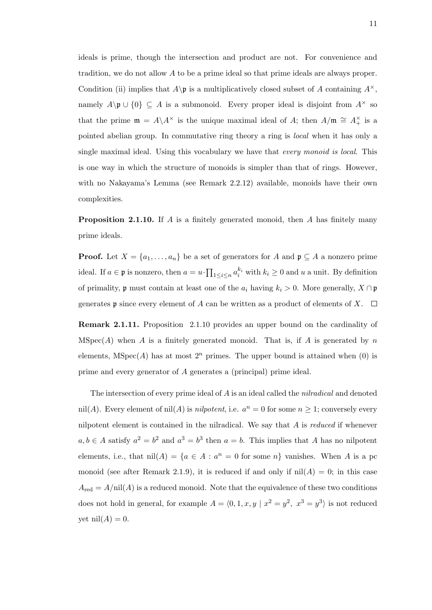ideals is prime, though the intersection and product are not. For convenience and tradition, we do not allow A to be a prime ideal so that prime ideals are always proper. Condition (ii) implies that  $A\$ p is a multiplicatively closed subset of A containing  $A^{\times}$ , namely  $A\backslash \mathfrak{p}\cup \{0\}\subseteq A$  is a submonoid. Every proper ideal is disjoint from  $A^{\times}$  so that the prime  $\mathfrak{m} = A \setminus A^{\times}$  is the unique maximal ideal of A; then  $A/\mathfrak{m} \cong A^{\times}_+$  is a pointed abelian group. In commutative ring theory a ring is local when it has only a single maximal ideal. Using this vocabulary we have that every monoid is local. This is one way in which the structure of monoids is simpler than that of rings. However, with no Nakayama's Lemma (see Remark 2.2.12) available, monoids have their own complexities.

**Proposition 2.1.10.** If A is a finitely generated monoid, then A has finitely many prime ideals.

**Proof.** Let  $X = \{a_1, \ldots, a_n\}$  be a set of generators for A and  $\mathfrak{p} \subseteq A$  a nonzero prime ideal. If  $a \in \mathfrak{p}$  is nonzero, then  $a = u \cdot \prod_{1 \leq i \leq n} a_i^{k_i}$  with  $k_i \geq 0$  and u a unit. By definition of primality,  $\mathfrak p$  must contain at least one of the  $a_i$  having  $k_i > 0$ . More generally,  $X \cap \mathfrak p$ generates **p** since every element of A can be written as a product of elements of X.  $\Box$ 

Remark 2.1.11. Proposition 2.1.10 provides an upper bound on the cardinality of MSpec(A) when A is a finitely generated monoid. That is, if A is generated by n elements,  $MSpec(A)$  has at most  $2^n$  primes. The upper bound is attained when (0) is prime and every generator of A generates a (principal) prime ideal.

The intersection of every prime ideal of A is an ideal called the *nilradical* and denoted nil(A). Every element of nil(A) is *nilpotent*, i.e.  $a^n = 0$  for some  $n \geq 1$ ; conversely every nilpotent element is contained in the nilradical. We say that  $A$  is *reduced* if whenever  $a, b \in A$  satisfy  $a^2 = b^2$  and  $a^3 = b^3$  then  $a = b$ . This implies that A has no nilpotent elements, i.e., that  $nil(A) = \{a \in A : a^n = 0 \text{ for some } n\}$  vanishes. When A is a pc monoid (see after Remark 2.1.9), it is reduced if and only if  $nil(A) = 0$ ; in this case  $A_{\text{red}} = A/\text{nil}(A)$  is a reduced monoid. Note that the equivalence of these two conditions does not hold in general, for example  $A = \langle 0, 1, x, y | x^2 = y^2, x^3 = y^3 \rangle$  is not reduced yet nil $(A) = 0$ .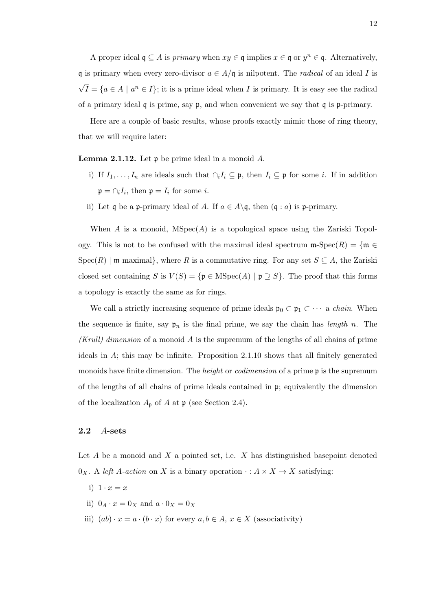A proper ideal  $\mathfrak{q} \subseteq A$  is *primary* when  $xy \in \mathfrak{q}$  implies  $x \in \mathfrak{q}$  or  $y^n \in \mathfrak{q}$ . Alternatively, q is primary when every zero-divisor  $a \in A/\mathfrak{q}$  is nilpotent. The *radical* of an ideal I is √  $\overline{I} = \{a \in A \mid a^n \in I\};$  it is a prime ideal when I is primary. It is easy see the radical of a primary ideal  $\mathfrak q$  is prime, say  $\mathfrak p$ , and when convenient we say that  $\mathfrak q$  is  $\mathfrak p$ -primary.

Here are a couple of basic results, whose proofs exactly mimic those of ring theory, that we will require later:

**Lemma 2.1.12.** Let  $\mathfrak{p}$  be prime ideal in a monoid A.

- i) If  $I_1, \ldots, I_n$  are ideals such that  $\cap_i I_i \subseteq \mathfrak{p}$ , then  $I_i \subseteq \mathfrak{p}$  for some i. If in addition  $\mathfrak{p} = \bigcap_i I_i$ , then  $\mathfrak{p} = I_i$  for some *i*.
- ii) Let q be a p-primary ideal of A. If  $a \in A \setminus \mathfrak{q}$ , then  $(\mathfrak{q} : a)$  is p-primary.

When A is a monoid,  $MSpec(A)$  is a topological space using the Zariski Topology. This is not to be confused with the maximal ideal spectrum  $\mathfrak{m}\text{-}\mathrm{Spec}(R) = \{\mathfrak{m} \in$  $Spec(R)$  | m maximal}, where R is a commutative ring. For any set  $S \subseteq A$ , the Zariski closed set containing S is  $V(S) = {\mathfrak{p} \in \text{MSpec}(A) \mid \mathfrak{p} \supseteq S}$ . The proof that this forms a topology is exactly the same as for rings.

We call a strictly increasing sequence of prime ideals  $\mathfrak{p}_0 \subset \mathfrak{p}_1 \subset \cdots$  a *chain*. When the sequence is finite, say  $\mathfrak{p}_n$  is the final prime, we say the chain has length n. The (Krull) dimension of a monoid A is the supremum of the lengths of all chains of prime ideals in A; this may be infinite. Proposition 2.1.10 shows that all finitely generated monoids have finite dimension. The *height* or *codimension* of a prime  $\mathfrak{p}$  is the supremum of the lengths of all chains of prime ideals contained in  $\mathfrak{p}$ ; equivalently the dimension of the localization  $A_{\mathfrak{p}}$  of A at  $\mathfrak{p}$  (see Section 2.4).

#### 2.2 A-sets

Let  $A$  be a monoid and  $X$  a pointed set, i.e.  $X$  has distinguished basepoint denoted  $0_X$ . A left A-action on X is a binary operation  $\cdot : A \times X \to X$  satisfying:

- i)  $1 \cdot x = x$
- ii)  $0_A \cdot x = 0_X$  and  $a \cdot 0_X = 0_X$
- iii)  $(ab) \cdot x = a \cdot (b \cdot x)$  for every  $a, b \in A$ ,  $x \in X$  (associativity)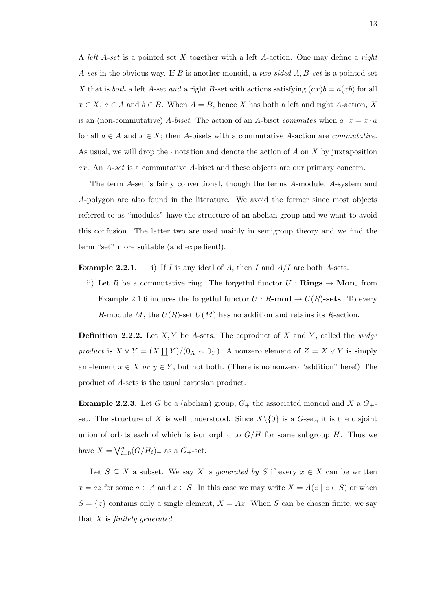A left A-set is a pointed set X together with a left A-action. One may define a right A-set in the obvious way. If B is another monoid, a two-sided  $A, B$ -set is a pointed set X that is both a left A-set and a right B-set with actions satisfying  $(ax)b = a(xb)$  for all  $x \in X$ ,  $a \in A$  and  $b \in B$ . When  $A = B$ , hence X has both a left and right A-action, X is an (non-commutative) A-biset. The action of an A-biset commutes when  $a \cdot x = x \cdot a$ for all  $a \in A$  and  $x \in X$ ; then A-bisets with a commutative A-action are *commutative*. As usual, we will drop the  $\cdot$  notation and denote the action of A on X by juxtaposition ax. An A-set is a commutative A-biset and these objects are our primary concern.

The term A-set is fairly conventional, though the terms A-module, A-system and A-polygon are also found in the literature. We avoid the former since most objects referred to as "modules" have the structure of an abelian group and we want to avoid this confusion. The latter two are used mainly in semigroup theory and we find the term "set" more suitable (and expedient!).

**Example 2.2.1.** i) If I is any ideal of A, then I and  $A/I$  are both A-sets.

ii) Let R be a commutative ring. The forgetful functor  $U : \mathbf{Rings} \to \mathbf{Mon}_*$  from Example 2.1.6 induces the forgetful functor  $U : R$ -mod  $\rightarrow U(R)$ -sets. To every R-module M, the  $U(R)$ -set  $U(M)$  has no addition and retains its R-action.

**Definition 2.2.2.** Let  $X, Y$  be A-sets. The coproduct of X and Y, called the wedge product is  $X \vee Y = (X \coprod Y)/(0_X \sim 0_Y)$ . A nonzero element of  $Z = X \vee Y$  is simply an element  $x \in X$  or  $y \in Y$ , but not both. (There is no nonzero "addition" here!) The product of A-sets is the usual cartesian product.

**Example 2.2.3.** Let G be a (abelian) group,  $G_+$  the associated monoid and X a  $G_+$ set. The structure of X is well understood. Since  $X\setminus\{0\}$  is a G-set, it is the disjoint union of orbits each of which is isomorphic to  $G/H$  for some subgroup H. Thus we have  $X = \bigvee_{i=0}^{n} (G/H_i)_{+}$  as a  $G_{+}$ -set.

Let  $S \subseteq X$  a subset. We say X is generated by S if every  $x \in X$  can be written  $x = az$  for some  $a \in A$  and  $z \in S$ . In this case we may write  $X = A(z | z \in S)$  or when  $S = \{z\}$  contains only a single element,  $X = Az$ . When S can be chosen finite, we say that  $X$  is finitely generated.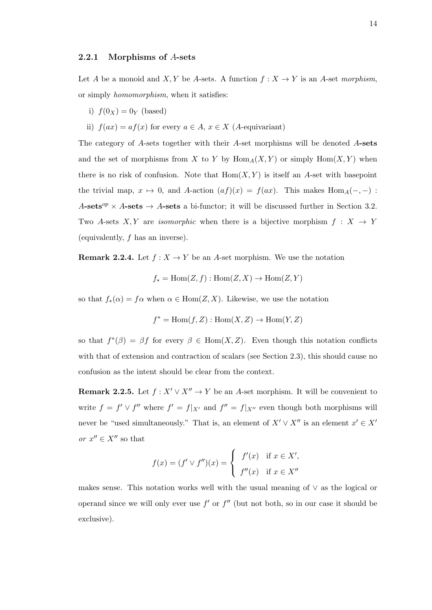#### 2.2.1 Morphisms of A-sets

Let A be a monoid and X, Y be A-sets. A function  $f: X \to Y$  is an A-set morphism, or simply homomorphism, when it satisfies:

- i)  $f(0x) = 0y$  (based)
- ii)  $f(ax) = af(x)$  for every  $a \in A$ ,  $x \in X$  (A-equivariant)

The category of A-sets together with their A-set morphisms will be denoted A-sets and the set of morphisms from X to Y by  $\text{Hom}_A(X, Y)$  or simply  $\text{Hom}(X, Y)$  when there is no risk of confusion. Note that  $Hom(X, Y)$  is itself an A-set with basepoint the trivial map,  $x \mapsto 0$ , and A-action  $(af)(x) = f(ax)$ . This makes Hom<sub>A</sub>(-, -) : A-sets<sup>op</sup> × A-sets  $\rightarrow$  A-sets a bi-functor; it will be discussed further in Section 3.2. Two A-sets X, Y are isomorphic when there is a bijective morphism  $f: X \rightarrow Y$ (equivalently, f has an inverse).

**Remark 2.2.4.** Let  $f: X \to Y$  be an A-set morphism. We use the notation

$$
f_* = \text{Hom}(Z, f) : \text{Hom}(Z, X) \to \text{Hom}(Z, Y)
$$

so that  $f_*(\alpha) = f\alpha$  when  $\alpha \in \text{Hom}(Z, X)$ . Likewise, we use the notation

$$
f^* = \text{Hom}(f, Z) : \text{Hom}(X, Z) \to \text{Hom}(Y, Z)
$$

so that  $f^*(\beta) = \beta f$  for every  $\beta \in \text{Hom}(X, Z)$ . Even though this notation conflicts with that of extension and contraction of scalars (see Section 2.3), this should cause no confusion as the intent should be clear from the context.

Remark 2.2.5. Let  $f: X' \vee X'' \rightarrow Y$  be an A-set morphism. It will be convenient to write  $f = f' \vee f''$  where  $f' = f|_{X'}$  and  $f'' = f|_{X''}$  even though both morphisms will never be "used simultaneously." That is, an element of  $X' \vee X''$  is an element  $x' \in X'$ or  $x''\in X''$  so that

$$
f(x) = (f' \vee f'')(x) = \begin{cases} f'(x) & \text{if } x \in X', \\ f''(x) & \text{if } x \in X'' \end{cases}
$$

makes sense. This notation works well with the usual meaning of ∨ as the logical or operand since we will only ever use  $f'$  or  $f''$  (but not both, so in our case it should be exclusive).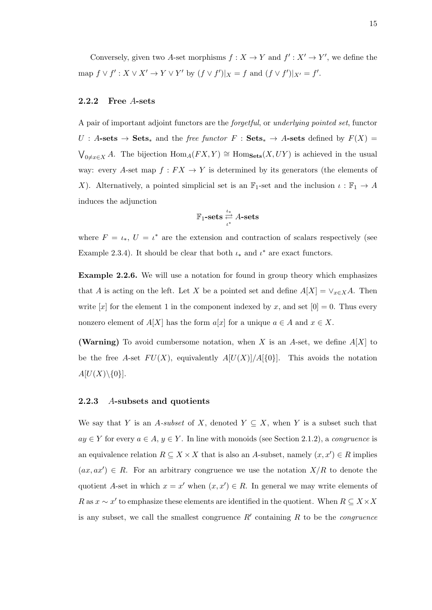Conversely, given two A-set morphisms  $f: X \to Y$  and  $f': X' \to Y'$ , we define the map  $f \vee f' : X \vee X' \to Y \vee Y'$  by  $(f \vee f')|_X = f$  and  $(f \vee f')|_{X'} = f'.$ 

#### 2.2.2 Free A-sets

A pair of important adjoint functors are the forgetful, or underlying pointed set, functor  $U : A\text{-sets} \to \text{Sets}_*$  and the free functor  $F : \text{Sets}_* \to A\text{-sets}$  defined by  $F(X) =$  $\bigvee_{0\neq x\in X} A$ . The bijection  $\text{Hom}_A(FX, Y) \cong \text{Hom}_{\textbf{Sets}}(X, UY)$  is achieved in the usual way: every A-set map  $f: FX \to Y$  is determined by its generators (the elements of X). Alternatively, a pointed simplicial set is an  $\mathbb{F}_1$ -set and the inclusion  $\iota : \mathbb{F}_1 \to A$ induces the adjunction

$$
\mathbb{F}_1\text{-sets} \stackrel{\iota_*}{\underset{\iota^*}{\rightleftarrows}} A\text{-sets}
$$

where  $F = \iota_*$ ,  $U = \iota^*$  are the extension and contraction of scalars respectively (see Example 2.3.4). It should be clear that both  $\iota_*$  and  $\iota^*$  are exact functors.

Example 2.2.6. We will use a notation for found in group theory which emphasizes that A is acting on the left. Let X be a pointed set and define  $A[X] = \vee_{x \in X} A$ . Then write [x] for the element 1 in the component indexed by x, and set  $[0] = 0$ . Thus every nonzero element of  $A[X]$  has the form  $a[x]$  for a unique  $a \in A$  and  $x \in X$ .

(Warning) To avoid cumbersome notation, when X is an A-set, we define  $A[X]$  to be the free A-set  $FU(X)$ , equivalently  $A[U(X)]/A[\{0\}]$ . This avoids the notation  $A[U(X)\backslash\{0\}].$ 

#### 2.2.3 A-subsets and quotients

We say that Y is an A-subset of X, denoted  $Y \subseteq X$ , when Y is a subset such that  $ay \in Y$  for every  $a \in A, y \in Y$ . In line with monoids (see Section 2.1.2), a *congruence* is an equivalence relation  $R \subseteq X \times X$  that is also an A-subset, namely  $(x, x') \in R$  implies  $(ax, ax') \in R$ . For an arbitrary congruence we use the notation  $X/R$  to denote the quotient A-set in which  $x = x'$  when  $(x, x') \in R$ . In general we may write elements of R as  $x \sim x'$  to emphasize these elements are identified in the quotient. When  $R \subseteq X \times X$ is any subset, we call the smallest congruence  $R'$  containing  $R$  to be the *congruence*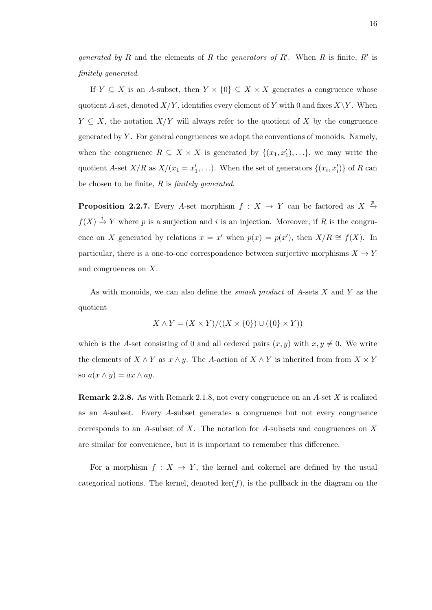generated by R and the elements of R the generators of R'. When R is finite, R' is finitely generated.

If  $Y \subseteq X$  is an A-subset, then  $Y \times \{0\} \subseteq X \times X$  generates a congruence whose quotient A-set, denoted  $X/Y$ , identifies every element of Y with 0 and fixes  $X\Y$ . When  $Y \subseteq X$ , the notation  $X/Y$  will always refer to the quotient of X by the congruence generated by  $Y$ . For general congruences we adopt the conventions of monoids. Namely, when the congruence  $R \subseteq X \times X$  is generated by  $\{(x_1, x'_1), \ldots\}$ , we may write the quotient A-set  $X/R$  as  $X/(x_1 = x'_1, \ldots)$ . When the set of generators  $\{(x_i, x'_i)\}\$  of R can be chosen to be finite,  $R$  is *finitely generated*.

**Proposition 2.2.7.** Every A-set morphism  $f: X \to Y$  can be factored as  $X \stackrel{p}{\to} Y$  $f(X) \stackrel{i}{\to} Y$  where p is a surjection and i is an injection. Moreover, if R is the congruence on X generated by relations  $x = x'$  when  $p(x) = p(x')$ , then  $X/R \cong f(X)$ . In particular, there is a one-to-one correspondence between surjective morphisms  $X \to Y$ and congruences on X.

As with monoids, we can also define the *smash product* of  $A$ -sets  $X$  and  $Y$  as the quotient

$$
X \wedge Y = (X \times Y) / ((X \times \{0\}) \cup (\{0\} \times Y))
$$

which is the A-set consisting of 0 and all ordered pairs  $(x, y)$  with  $x, y \neq 0$ . We write the elements of  $X \wedge Y$  as  $x \wedge y$ . The A-action of  $X \wedge Y$  is inherited from from  $X \times Y$ so  $a(x \wedge y) = ax \wedge ay$ .

Remark 2.2.8. As with Remark 2.1.8, not every congruence on an A-set X is realized as an A-subset. Every A-subset generates a congruence but not every congruence corresponds to an A-subset of X. The notation for A-subsets and congruences on X are similar for convenience, but it is important to remember this difference.

For a morphism  $f: X \to Y$ , the kernel and cokernel are defined by the usual categorical notions. The kernel, denoted  $\ker(f)$ , is the pullback in the diagram on the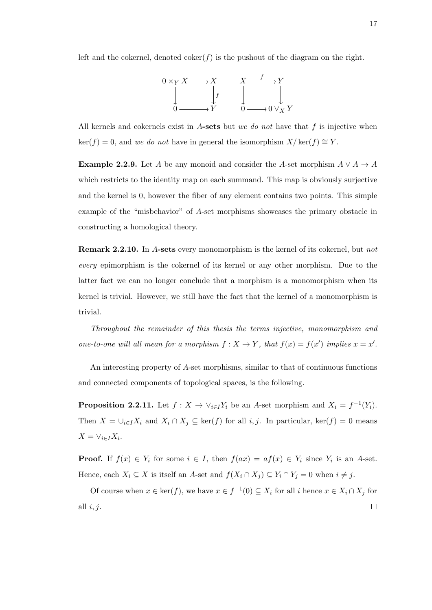left and the cokernel, denoted  $\text{coker}(f)$  is the pushout of the diagram on the right.

$$
0 \times_Y X \longrightarrow X \qquad X \longrightarrow Y
$$
  
\n
$$
\downarrow f \qquad \qquad \downarrow f \qquad \qquad \downarrow \qquad \qquad \downarrow
$$
  
\n
$$
0 \longrightarrow Y \qquad \qquad 0 \longrightarrow 0 \vee_X Y
$$

All kernels and cokernels exist in A-sets but we do not have that  $f$  is injective when  $\ker(f) = 0$ , and we do not have in general the isomorphism  $X/\ker(f) \cong Y$ .

**Example 2.2.9.** Let A be any monoid and consider the A-set morphism  $A \vee A \rightarrow A$ which restricts to the identity map on each summand. This map is obviously surjective and the kernel is 0, however the fiber of any element contains two points. This simple example of the "misbehavior" of A-set morphisms showcases the primary obstacle in constructing a homological theory.

Remark 2.2.10. In A-sets every monomorphism is the kernel of its cokernel, but not every epimorphism is the cokernel of its kernel or any other morphism. Due to the latter fact we can no longer conclude that a morphism is a monomorphism when its kernel is trivial. However, we still have the fact that the kernel of a monomorphism is trivial.

Throughout the remainder of this thesis the terms injective, monomorphism and one-to-one will all mean for a morphism  $f: X \to Y$ , that  $f(x) = f(x')$  implies  $x = x'$ .

An interesting property of A-set morphisms, similar to that of continuous functions and connected components of topological spaces, is the following.

**Proposition 2.2.11.** Let  $f: X \to \vee_{i \in I} Y_i$  be an A-set morphism and  $X_i = f^{-1}(Y_i)$ . Then  $X = \bigcup_{i \in I} X_i$  and  $X_i \cap X_j \subseteq \text{ker}(f)$  for all  $i, j$ . In particular,  $\text{ker}(f) = 0$  means  $X = \vee_{i \in I} X_i$ .

**Proof.** If  $f(x) \in Y_i$  for some  $i \in I$ , then  $f(ax) = af(x) \in Y_i$  since  $Y_i$  is an A-set. Hence, each  $X_i \subseteq X$  is itself an A-set and  $f(X_i \cap X_j) \subseteq Y_i \cap Y_j = 0$  when  $i \neq j$ .

Of course when  $x \in \text{ker}(f)$ , we have  $x \in f^{-1}(0) \subseteq X_i$  for all i hence  $x \in X_i \cap X_j$  for all  $i, j$ .  $\Box$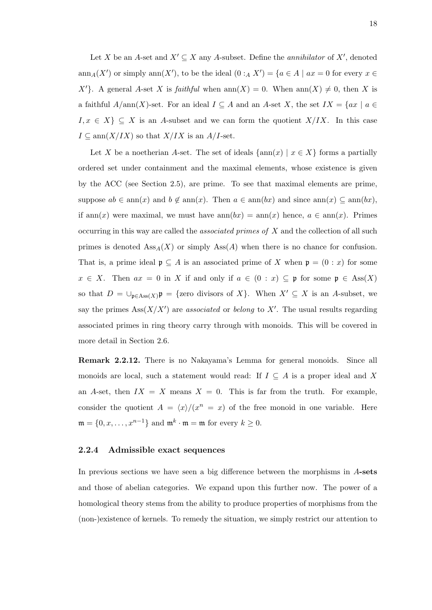Let X be an A-set and  $X' \subseteq X$  any A-subset. Define the *annihilator* of X', denoted  $ann_A(X')$  or simply  $ann(X')$ , to be the ideal  $(0 :_A X') = \{a \in A \mid ax = 0 \text{ for every } x \in A\}$ X'}. A general A-set X is *faithful* when  $ann(X) = 0$ . When  $ann(X) \neq 0$ , then X is a faithful  $A/\text{ann}(X)$ -set. For an ideal  $I \subseteq A$  and an A-set X, the set  $IX = \{ax \mid a \in A\}$  $I, x \in X$   $\subseteq X$  is an A-subset and we can form the quotient  $X/IX$ . In this case  $I \subseteq \text{ann}(X/IX)$  so that  $X/IX$  is an  $A/I$ -set.

Let X be a noetherian A-set. The set of ideals  $\{\text{ann}(x) \mid x \in X\}$  forms a partially ordered set under containment and the maximal elements, whose existence is given by the ACC (see Section 2.5), are prime. To see that maximal elements are prime, suppose  $ab \in \text{ann}(x)$  and  $b \notin \text{ann}(x)$ . Then  $a \in \text{ann}(bx)$  and since  $\text{ann}(x) \subseteq \text{ann}(bx)$ , if ann(x) were maximal, we must have  $ann(bx) = ann(x)$  hence,  $a \in ann(x)$ . Primes occurring in this way are called the associated primes of X and the collection of all such primes is denoted  $\text{Ass}_{A}(X)$  or simply  $\text{Ass}(A)$  when there is no chance for confusion. That is, a prime ideal  $\mathfrak{p} \subseteq A$  is an associated prime of X when  $\mathfrak{p} = (0 : x)$  for some  $x \in X$ . Then  $ax = 0$  in X if and only if  $a \in (0 : x) \subseteq \mathfrak{p}$  for some  $\mathfrak{p} \in \text{Ass}(X)$ so that  $D = \bigcup_{\mathfrak{p} \in \text{Ass}(X)} \mathfrak{p} = \{$ zero divisors of X $\}$ . When  $X' \subseteq X$  is an A-subset, we say the primes  $\text{Ass}(X/X')$  are associated or belong to X'. The usual results regarding associated primes in ring theory carry through with monoids. This will be covered in more detail in Section 2.6.

Remark 2.2.12. There is no Nakayama's Lemma for general monoids. Since all monoids are local, such a statement would read: If  $I \subseteq A$  is a proper ideal and X an A-set, then  $IX = X$  means  $X = 0$ . This is far from the truth. For example, consider the quotient  $A = \langle x \rangle / (x^n = x)$  of the free monoid in one variable. Here  $\mathfrak{m} = \{0, x, \ldots, x^{n-1}\}\$ and  $\mathfrak{m}^k \cdot \mathfrak{m} = \mathfrak{m}$  for every  $k \geq 0$ .

### 2.2.4 Admissible exact sequences

In previous sections we have seen a big difference between the morphisms in  $A$ -sets and those of abelian categories. We expand upon this further now. The power of a homological theory stems from the ability to produce properties of morphisms from the (non-)existence of kernels. To remedy the situation, we simply restrict our attention to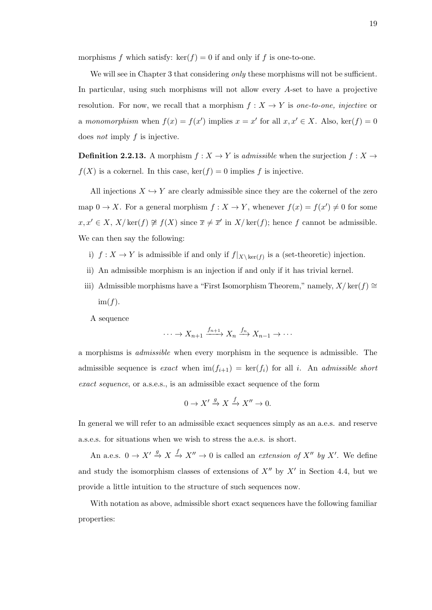morphisms f which satisfy:  $\ker(f) = 0$  if and only if f is one-to-one.

We will see in Chapter 3 that considering *only* these morphisms will not be sufficient. In particular, using such morphisms will not allow every A-set to have a projective resolution. For now, we recall that a morphism  $f : X \to Y$  is one-to-one, injective or a monomorphism when  $f(x) = f(x')$  implies  $x = x'$  for all  $x, x' \in X$ . Also,  $\ker(f) = 0$ does not imply  $f$  is injective.

**Definition 2.2.13.** A morphism  $f : X \to Y$  is *admissible* when the surjection  $f : X \to Y$  $f(X)$  is a cokernel. In this case,  $\ker(f) = 0$  implies f is injective.

All injections  $X \hookrightarrow Y$  are clearly admissible since they are the cokernel of the zero map  $0 \to X$ . For a general morphism  $f: X \to Y$ , whenever  $f(x) = f(x') \neq 0$  for some  $x, x' \in X$ ,  $X/\text{ker}(f) \not\cong f(X)$  since  $\overline{x} \neq \overline{x}'$  in  $X/\text{ker}(f)$ ; hence f cannot be admissible. We can then say the following:

- i)  $f: X \to Y$  is admissible if and only if  $f|_{X\setminus \ker(f)}$  is a (set-theoretic) injection.
- ii) An admissible morphism is an injection if and only if it has trivial kernel.
- iii) Admissible morphisms have a "First Isomorphism Theorem," namely,  $X/\text{ker}(f) \cong$  $im(f)$ .

A sequence

$$
\cdots \to X_{n+1} \xrightarrow{f_{n+1}} X_n \xrightarrow{f_n} X_{n-1} \to \cdots
$$

a morphisms is admissible when every morphism in the sequence is admissible. The admissible sequence is exact when  $\text{im}(f_{i+1}) = \text{ker}(f_i)$  for all i. An admissible short exact sequence, or a.s.e.s., is an admissible exact sequence of the form

$$
0 \to X' \xrightarrow{g} X \xrightarrow{f} X'' \to 0.
$$

In general we will refer to an admissible exact sequences simply as an a.e.s. and reserve a.s.e.s. for situations when we wish to stress the a.e.s. is short.

An a.e.s.  $0 \to X' \stackrel{g}{\to} X \stackrel{f}{\to} X'' \to 0$  is called an *extension of*  $X''$  by X'. We define and study the isomorphism classes of extensions of  $X''$  by  $X'$  in Section 4.4, but we provide a little intuition to the structure of such sequences now.

With notation as above, admissible short exact sequences have the following familiar properties: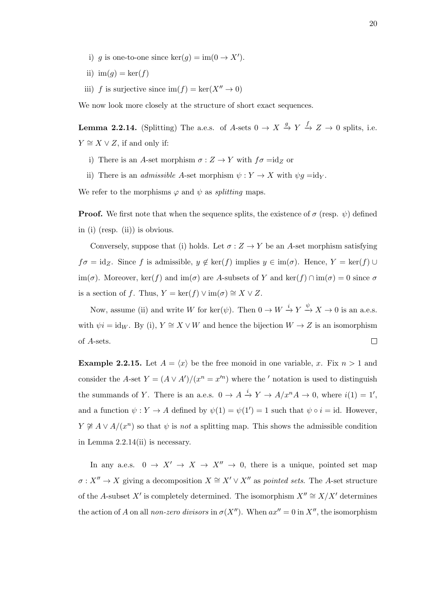- i) g is one-to-one since  $\ker(g) = \text{im}(0 \to X')$ .
- ii) im $(g) = \ker(f)$
- iii) f is surjective since  $\text{im}(f) = \text{ker}(X^{\prime\prime} \to 0)$

We now look more closely at the structure of short exact sequences.

**Lemma 2.2.14.** (Splitting) The a.e.s. of A-sets  $0 \to X \xrightarrow{g} Y \xrightarrow{f} Z \to 0$  splits, i.e.  $Y \cong X \vee Z$ , if and only if:

- i) There is an  $A\operatorname{\text{-set morphism}}\nolimits \sigma : Z \to Y$  with  $f\sigma = \operatorname{id}\nolimits_Z$  or
- ii) There is an *admissible A*-set morphism  $\psi : Y \to X$  with  $\psi g = id_Y$ .

We refer to the morphisms  $\varphi$  and  $\psi$  as *splitting* maps.

**Proof.** We first note that when the sequence splits, the existence of  $\sigma$  (resp.  $\psi$ ) defined in (i) (resp. (ii)) is obvious.

Conversely, suppose that (i) holds. Let  $\sigma: Z \to Y$  be an A-set morphism satisfying  $f\sigma = id_Z$ . Since f is admissible,  $y \notin \text{ker}(f)$  implies  $y \in \text{im}(\sigma)$ . Hence,  $Y = \text{ker}(f) \cup$ im( $\sigma$ ). Moreover, ker(f) and im( $\sigma$ ) are A-subsets of Y and ker(f)  $\cap$  im( $\sigma$ ) = 0 since  $\sigma$ is a section of f. Thus,  $Y = \ker(f) \vee \text{im}(\sigma) \cong X \vee Z$ .

Now, assume (ii) and write W for ker( $\psi$ ). Then  $0 \to W \stackrel{i}{\to} Y \stackrel{\psi}{\to} X \to 0$  is an a.e.s. with  $\psi i = id_W$ . By (i),  $Y \cong X \vee W$  and hence the bijection  $W \to Z$  is an isomorphism of A-sets.  $\Box$ 

**Example 2.2.15.** Let  $A = \langle x \rangle$  be the free monoid in one variable, x. Fix  $n > 1$  and consider the A-set  $Y = (A \vee A')/(x^n = x'^n)$  where the ' notation is used to distinguish the summands of Y. There is an a.e.s.  $0 \to A \stackrel{i}{\to} Y \to A/x^n A \to 0$ , where  $i(1) = 1'$ , and a function  $\psi: Y \to A$  defined by  $\psi(1) = \psi(1') = 1$  such that  $\psi \circ i = id$ . However,  $Y \not\cong A \vee A/(x^n)$  so that  $\psi$  is not a splitting map. This shows the admissible condition in Lemma 2.2.14(ii) is necessary.

In any a.e.s.  $0 \to X' \to X \to X'' \to 0$ , there is a unique, pointed set map  $\sigma: X'' \to X$  giving a decomposition  $X \cong X' \vee X''$  as *pointed sets*. The A-set structure of the A-subset X' is completely determined. The isomorphism  $X'' \cong X/X'$  determines the action of A on all non-zero divisors in  $\sigma(X'')$ . When  $ax'' = 0$  in X'', the isomorphism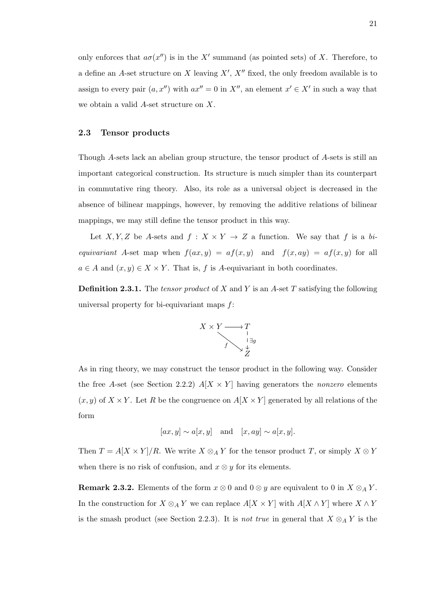only enforces that  $a\sigma(x'')$  is in the X' summand (as pointed sets) of X. Therefore, to a define an A-set structure on X leaving  $X'$ ,  $X''$  fixed, the only freedom available is to assign to every pair  $(a, x'')$  with  $ax'' = 0$  in  $X''$ , an element  $x' \in X'$  in such a way that we obtain a valid A-set structure on X.

#### 2.3 Tensor products

Though A-sets lack an abelian group structure, the tensor product of A-sets is still an important categorical construction. Its structure is much simpler than its counterpart in commutative ring theory. Also, its role as a universal object is decreased in the absence of bilinear mappings, however, by removing the additive relations of bilinear mappings, we may still define the tensor product in this way.

Let X, Y, Z be A-sets and  $f: X \times Y \to Z$  a function. We say that f is a biequivariant A-set map when  $f(ax, y) = af(x, y)$  and  $f(x, ay) = af(x, y)$  for all  $a \in A$  and  $(x, y) \in X \times Y$ . That is, f is A-equivariant in both coordinates.

**Definition 2.3.1.** The tensor product of X and Y is an A-set T satisfying the following universal property for bi-equivariant maps  $f$ :



As in ring theory, we may construct the tensor product in the following way. Consider the free A-set (see Section 2.2.2)  $A[X \times Y]$  having generators the nonzero elements  $(x, y)$  of  $X \times Y$ . Let R be the congruence on  $A[X \times Y]$  generated by all relations of the form

$$
[ax, y] \sim a[x, y]
$$
 and  $[x, ay] \sim a[x, y]$ .

Then  $T = A[X \times Y]/R$ . We write  $X \otimes_A Y$  for the tensor product T, or simply  $X \otimes Y$ when there is no risk of confusion, and  $x \otimes y$  for its elements.

**Remark 2.3.2.** Elements of the form  $x \otimes 0$  and  $0 \otimes y$  are equivalent to 0 in  $X \otimes_A Y$ . In the construction for  $X \otimes_A Y$  we can replace  $A[X \times Y]$  with  $A[X \wedge Y]$  where  $X \wedge Y$ is the smash product (see Section 2.2.3). It is *not true* in general that  $X \otimes_A Y$  is the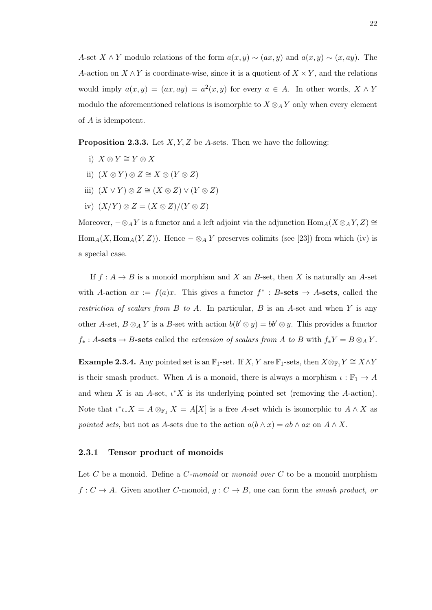A-set  $X \wedge Y$  modulo relations of the form  $a(x, y) \sim (ax, y)$  and  $a(x, y) \sim (x, ay)$ . The A-action on  $X \wedge Y$  is coordinate-wise, since it is a quotient of  $X \times Y$ , and the relations would imply  $a(x, y) = (ax, ay) = a^2(x, y)$  for every  $a \in A$ . In other words,  $X \wedge Y$ modulo the aforementioned relations is isomorphic to  $X \otimes_A Y$  only when every element of A is idempotent.

**Proposition 2.3.3.** Let  $X, Y, Z$  be A-sets. Then we have the following:

- i)  $X \otimes Y \cong Y \otimes X$
- ii)  $(X \otimes Y) \otimes Z \cong X \otimes (Y \otimes Z)$
- iii)  $(X \vee Y) \otimes Z \cong (X \otimes Z) \vee (Y \otimes Z)$
- iv)  $(X/Y) \otimes Z = (X \otimes Z)/(Y \otimes Z)$

Moreover,  $-\otimes_A Y$  is a functor and a left adjoint via the adjunction  $\text{Hom}_A(X \otimes_A Y, Z) \cong$  $Hom_A(X, Hom_A(Y, Z))$ . Hence  $-\otimes_A Y$  preserves colimits (see [23]) from which (iv) is a special case.

If  $f: A \to B$  is a monoid morphism and X an B-set, then X is naturally an A-set with A-action  $ax := f(a)x$ . This gives a functor  $f^* : B\text{-sets} \to A\text{-sets}$ , called the restriction of scalars from  $B$  to  $A$ . In particular,  $B$  is an  $A$ -set and when  $Y$  is any other A-set,  $B \otimes_A Y$  is a B-set with action  $b(b' \otimes y) = bb' \otimes y$ . This provides a functor  $f_*: A\text{-sets} \to B\text{-sets}$  called the extension of scalars from A to B with  $f_*Y = B \otimes_A Y$ .

Example 2.3.4. Any pointed set is an  $\mathbb{F}_1$ -set. If  $X, Y$  are  $\mathbb{F}_1$ -sets, then  $X \otimes_{\mathbb{F}_1} Y \cong X \wedge Y$ is their smash product. When A is a monoid, there is always a morphism  $\iota : \mathbb{F}_1 \to A$ and when X is an A-set,  $\iota^* X$  is its underlying pointed set (removing the A-action). Note that  $\iota^*\iota_*X = A \otimes_{\mathbb{F}_1} X = A[X]$  is a free A-set which is isomorphic to  $A \wedge X$  as pointed sets, but not as A-sets due to the action  $a(b \wedge x) = ab \wedge ax$  on  $A \wedge X$ .

#### 2.3.1 Tensor product of monoids

Let  $C$  be a monoid. Define a  $C$ -monoid or monoid over  $C$  to be a monoid morphism  $f: C \to A$ . Given another C-monoid,  $g: C \to B$ , one can form the smash product, or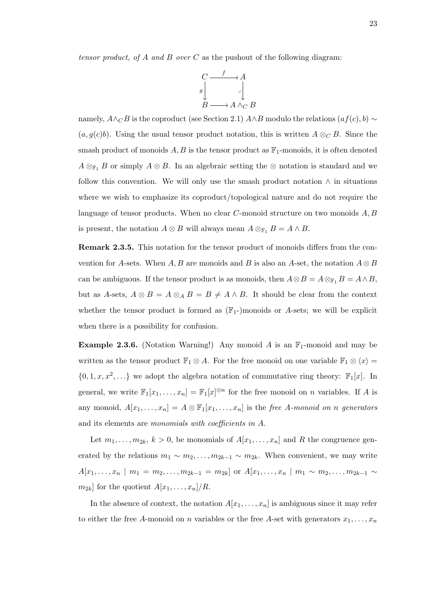tensor product, of A and B over C as the pushout of the following diagram:



namely,  $A \wedge_C B$  is the coproduct (see Section 2.1)  $A \wedge B$  modulo the relations  $(af(c), b) \sim$  $(a, g(c)b)$ . Using the usual tensor product notation, this is written  $A \otimes_C B$ . Since the smash product of monoids  $A, B$  is the tensor product as  $\mathbb{F}_1$ -monoids, it is often denoted  $A \otimes_{\mathbb{F}_1} B$  or simply  $A \otimes B$ . In an algebraic setting the  $\otimes$  notation is standard and we follow this convention. We will only use the smash product notation  $\wedge$  in situations where we wish to emphasize its coproduct/topological nature and do not require the language of tensor products. When no clear  $C$ -monoid structure on two monoids  $A, B$ is present, the notation  $A \otimes B$  will always mean  $A \otimes_{\mathbb{F}_1} B = A \wedge B$ .

Remark 2.3.5. This notation for the tensor product of monoids differs from the convention for A-sets. When A, B are monoids and B is also an A-set, the notation  $A \otimes B$ can be ambiguous. If the tensor product is as monoids, then  $A \otimes B = A \otimes_{\mathbb{F}_1} B = A \wedge B$ , but as A-sets,  $A \otimes B = A \otimes_A B = B \neq A \wedge B$ . It should be clear from the context whether the tensor product is formed as  $(\mathbb{F}_1)$ -monoids or A-sets; we will be explicit when there is a possibility for confusion.

**Example 2.3.6.** (Notation Warning!) Any monoid A is an  $\mathbb{F}_1$ -monoid and may be written as the tensor product  $\mathbb{F}_1 \otimes A$ . For the free monoid on one variable  $\mathbb{F}_1 \otimes \langle x \rangle =$  $\{0, 1, x, x^2, \ldots\}$  we adopt the algebra notation of commutative ring theory:  $\mathbb{F}_1[x]$ . In general, we write  $\mathbb{F}_1[x_1,\ldots,x_n] = \mathbb{F}_1[x]^{\otimes n}$  for the free monoid on n variables. If A is any monoid,  $A[x_1, \ldots, x_n] = A \otimes \mathbb{F}_1[x_1, \ldots, x_n]$  is the free A-monoid on n generators and its elements are monomials with coefficients in A.

Let  $m_1, \ldots, m_{2k}, k > 0$ , be monomials of  $A[x_1, \ldots, x_n]$  and R the congruence generated by the relations  $m_1 \sim m_2, \ldots, m_{2k-1} \sim m_{2k}$ . When convenient, we may write  $A[x_1, \ldots, x_n \mid m_1 = m_2, \ldots, m_{2k-1} = m_{2k}]$  or  $A[x_1, \ldots, x_n \mid m_1 \sim m_2, \ldots, m_{2k-1} \sim$  $m_{2k}$  for the quotient  $A[x_1, \ldots, x_n]/R$ .

In the absence of context, the notation  $A[x_1, \ldots, x_n]$  is ambiguous since it may refer to either the free A-monoid on n variables or the free A-set with generators  $x_1, \ldots, x_n$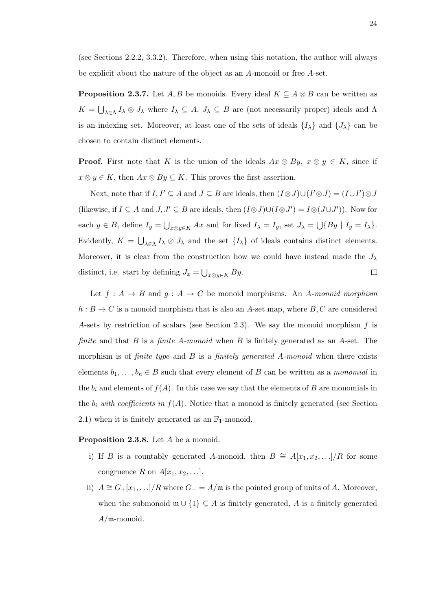(see Sections 2.2.2, 3.3.2). Therefore, when using this notation, the author will always be explicit about the nature of the object as an A-monoid or free A-set.

**Proposition 2.3.7.** Let A, B be monoids. Every ideal  $K \subseteq A \otimes B$  can be written as  $K = \bigcup_{\lambda \in \Lambda} I_{\lambda} \otimes J_{\lambda}$  where  $I_{\lambda} \subseteq A$ ,  $J_{\lambda} \subseteq B$  are (not necessarily proper) ideals and  $\Lambda$ is an indexing set. Moreover, at least one of the sets of ideals  $\{I_{\lambda}\}\$ and  $\{J_{\lambda}\}\$ can be chosen to contain distinct elements.

**Proof.** First note that K is the union of the ideals  $Ax \otimes By$ ,  $x \otimes y \in K$ , since if  $x \otimes y \in K$ , then  $Ax \otimes By \subseteq K$ . This proves the first assertion.

Next, note that if  $I, I' \subseteq A$  and  $J \subseteq B$  are ideals, then  $(I \otimes J) \cup (I' \otimes J) = (I \cup I') \otimes J$ (likewise, if  $I \subseteq A$  and  $J, J' \subseteq B$  are ideals, then  $(I \otimes J) \cup (I \otimes J') = I \otimes (J \cup J')$ ). Now for each  $y \in B$ , define  $I_y = \bigcup_{x \otimes y \in K} Ax$  and for fixed  $I_\lambda = I_y$ , set  $J_\lambda = \bigcup \{By \mid I_y = I_\lambda\}$ . Evidently,  $K = \bigcup_{\lambda \in \Lambda} I_{\lambda} \otimes J_{\lambda}$  and the set  $\{I_{\lambda}\}\$  of ideals contains distinct elements. Moreover, it is clear from the construction how we could have instead made the  $J_{\lambda}$ distinct, i.e. start by defining  $J_x = \bigcup_{x \otimes y \in K} By$ .  $\Box$ 

Let  $f: A \rightarrow B$  and  $g: A \rightarrow C$  be monoid morphisms. An A-monoid morphism  $h : B \to C$  is a monoid morphism that is also an A-set map, where B, C are considered A-sets by restriction of scalars (see Section 2.3). We say the monoid morphism  $f$  is finite and that  $B$  is a finite  $A$ -monoid when  $B$  is finitely generated as an  $A$ -set. The morphism is of *finite type* and  $B$  is a *finitely generated A-monoid* when there exists elements  $b_1, \ldots, b_n \in B$  such that every element of B can be written as a monomial in the  $b_i$  and elements of  $f(A)$ . In this case we say that the elements of B are monomials in the  $b_i$  with coefficients in  $f(A)$ . Notice that a monoid is finitely generated (see Section 2.1) when it is finitely generated as an  $\mathbb{F}_1$ -monoid.

#### Proposition 2.3.8. Let A be a monoid.

- i) If B is a countably generated A-monoid, then  $B \cong A[x_1, x_2, \ldots]/R$  for some congruence R on  $A[x_1, x_2, \ldots]$ .
- ii)  $A \cong G+[x_1,\ldots]/R$  where  $G_+ = A/\mathfrak{m}$  is the pointed group of units of A. Moreover, when the submonoid  $\mathfrak{m} \cup \{1\} \subseteq A$  is finitely generated, A is a finitely generated  $A/\mathfrak{m}\text{-monoid.}$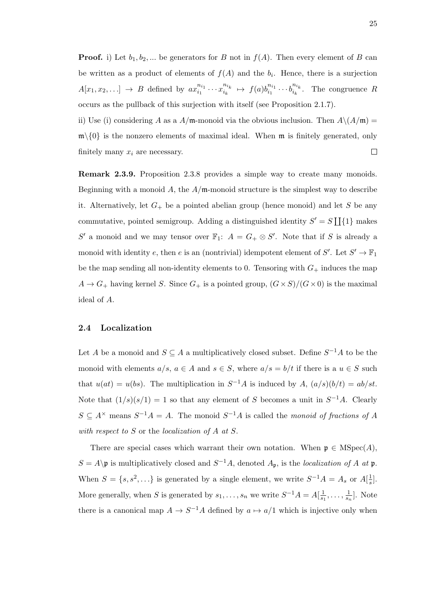**Proof.** i) Let  $b_1, b_2, ...$  be generators for B not in  $f(A)$ . Then every element of B can be written as a product of elements of  $f(A)$  and the  $b<sub>i</sub>$ . Hence, there is a surjection  $A[x_1, x_2,...] \rightarrow B$  defined by  $ax_{i_1}^{n_{i_1}}$  $\frac{n_{i_1}}{i_1} \cdots x_{i_k}^{n_{i_k}}$  $\frac{n_{i_k}}{i_k} \mapsto f(a)b_{i_1}^{n_{i_1}}$  $b_{i_1}^{n_{i_1}} \cdots b_{i_k}^{n_{i_k}}$  $i_k^{n_k}$ . The congruence R occurs as the pullback of this surjection with itself (see Proposition 2.1.7).

ii) Use (i) considering A as a  $A/\mathfrak{m}$ -monoid via the obvious inclusion. Then  $A\setminus (A/\mathfrak{m})$  =  $\mathfrak{m}\setminus\{0\}$  is the nonzero elements of maximal ideal. When  $\mathfrak{m}$  is finitely generated, only finitely many  $x_i$  are necessary.  $\Box$ 

Remark 2.3.9. Proposition 2.3.8 provides a simple way to create many monoids. Beginning with a monoid  $A$ , the  $A/\mathfrak{m}$ -monoid structure is the simplest way to describe it. Alternatively, let  $G_+$  be a pointed abelian group (hence monoid) and let S be any commutative, pointed semigroup. Adding a distinguished identity  $S' = S \coprod \{1\}$  makes S' a monoid and we may tensor over  $\mathbb{F}_1$ :  $A = G_+ \otimes S'$ . Note that if S is already a monoid with identity e, then e is an (nontrivial) idempotent element of  $S'$ . Let  $S' \to \mathbb{F}_1$ be the map sending all non-identity elements to 0. Tensoring with  $G_+$  induces the map  $A \to G_+$  having kernel S. Since  $G_+$  is a pointed group,  $(G \times S)/(G \times 0)$  is the maximal ideal of A.

#### 2.4 Localization

Let A be a monoid and  $S \subseteq A$  a multiplicatively closed subset. Define  $S^{-1}A$  to be the monoid with elements  $a/s, a \in A$  and  $s \in S$ , where  $a/s = b/t$  if there is a  $u \in S$  such that  $u(at) = u(bs)$ . The multiplication in  $S^{-1}A$  is induced by  $A$ ,  $(a/s)(b/t) = ab/st$ . Note that  $(1/s)(s/1) = 1$  so that any element of S becomes a unit in  $S^{-1}A$ . Clearly  $S \subseteq A^{\times}$  means  $S^{-1}A = A$ . The monoid  $S^{-1}A$  is called the monoid of fractions of A with respect to S or the localization of A at S.

There are special cases which warrant their own notation. When  $\mathfrak{p} \in \mathrm{MSpec}(A)$ ,  $S = A \$ p is multiplicatively closed and  $S^{-1}A$ , denoted  $A_p$ , is the *localization of A at* p. When  $S = \{s, s^2, \ldots\}$  is generated by a single element, we write  $S^{-1}A = A_s$  or  $A[\frac{1}{s}]$  $\frac{1}{s}$ . More generally, when S is generated by  $s_1, \ldots, s_n$  we write  $S^{-1}A = A[\frac{1}{s}]$  $\frac{1}{s_1}, \ldots, \frac{1}{s_n}$  $\frac{1}{s_n}$ . Note there is a canonical map  $A \to S^{-1}A$  defined by  $a \mapsto a/1$  which is injective only when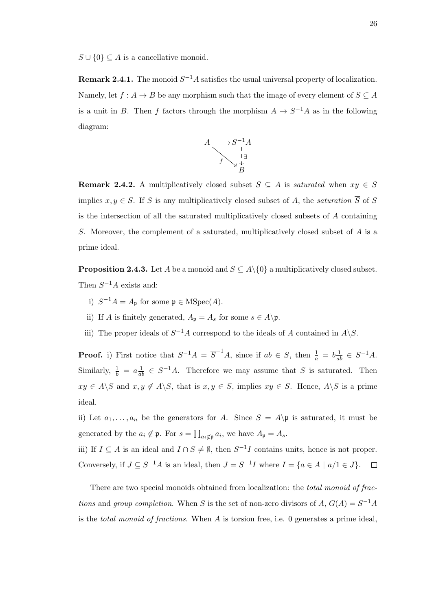$S \cup \{0\} \subseteq A$  is a cancellative monoid.

**Remark 2.4.1.** The monoid  $S^{-1}A$  satisfies the usual universal property of localization. Namely, let  $f : A \to B$  be any morphism such that the image of every element of  $S \subseteq A$ is a unit in B. Then f factors through the morphism  $A \to S^{-1}A$  as in the following diagram:



**Remark 2.4.2.** A multiplicatively closed subset  $S \subseteq A$  is *saturated* when  $xy \in S$ implies  $x, y \in S$ . If S is any multiplicatively closed subset of A, the *saturation*  $\overline{S}$  of S is the intersection of all the saturated multiplicatively closed subsets of  $A$  containing S. Moreover, the complement of a saturated, multiplicatively closed subset of A is a prime ideal.

**Proposition 2.4.3.** Let A be a monoid and  $S \subseteq A \setminus \{0\}$  a multiplicatively closed subset. Then  $S^{-1}A$  exists and:

- i)  $S^{-1}A = A_{\mathfrak{p}}$  for some  $\mathfrak{p} \in \mathrm{MSpec}(A)$ .
- ii) If A is finitely generated,  $A_{\mathfrak{p}} = A_s$  for some  $s \in A \backslash \mathfrak{p}$ .
- iii) The proper ideals of  $S^{-1}A$  correspond to the ideals of A contained in  $A\backslash S$ .

**Proof.** i) First notice that  $S^{-1}A = \overline{S}^{-1}A$ , since if  $ab \in S$ , then  $\frac{1}{a} = b\frac{1}{ab} \in S^{-1}A$ . Similarly,  $\frac{1}{b} = a \frac{1}{ab} \in S^{-1}A$ . Therefore we may assume that S is saturated. Then  $xy \in A \backslash S$  and  $x, y \notin A \backslash S$ , that is  $x, y \in S$ , implies  $xy \in S$ . Hence,  $A \backslash S$  is a prime ideal.

ii) Let  $a_1, \ldots, a_n$  be the generators for A. Since  $S = A \$  is saturated, it must be generated by the  $a_i \notin \mathfrak{p}$ . For  $s = \prod_{a_i \notin \mathfrak{p}} a_i$ , we have  $A_{\mathfrak{p}} = A_s$ .

iii) If  $I \subseteq A$  is an ideal and  $I \cap S \neq \emptyset$ , then  $S^{-1}I$  contains units, hence is not proper. Conversely, if  $J \subseteq S^{-1}A$  is an ideal, then  $J = S^{-1}I$  where  $I = \{a \in A \mid a/I \in J\}$ .

There are two special monoids obtained from localization: the *total monoid of frac*tions and group completion. When S is the set of non-zero divisors of  $A, G(A) = S^{-1}A$ is the *total monoid of fractions*. When  $A$  is torsion free, i.e. 0 generates a prime ideal,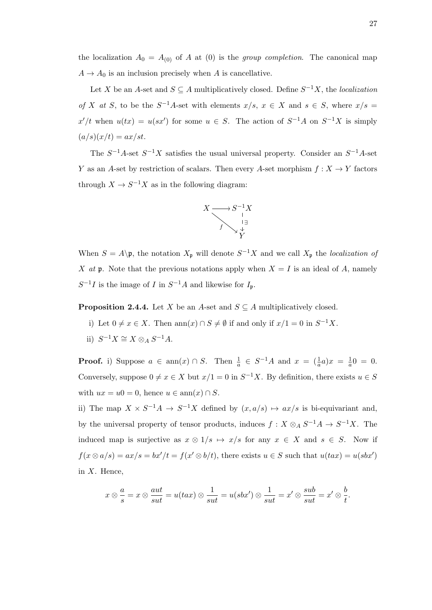the localization  $A_0 = A_{(0)}$  of A at (0) is the group completion. The canonical map  $A \rightarrow A_0$  is an inclusion precisely when A is cancellative.

Let X be an A-set and  $S \subseteq A$  multiplicatively closed. Define  $S^{-1}X$ , the *localization* of X at S, to be the  $S^{-1}A$ -set with elements  $x/s$ ,  $x \in X$  and  $s \in S$ , where  $x/s =$  $x'/t$  when  $u(tx) = u(sx')$  for some  $u \in S$ . The action of  $S^{-1}A$  on  $S^{-1}X$  is simply  $(a/s)(x/t) = ax/st.$ 

The  $S^{-1}A$ -set  $S^{-1}X$  satisfies the usual universal property. Consider an  $S^{-1}A$ -set Y as an A-set by restriction of scalars. Then every A-set morphism  $f: X \to Y$  factors through  $X \to S^{-1}X$  as in the following diagram:



When  $S = A \backslash \mathfrak{p}$ , the notation  $X_{\mathfrak{p}}$  will denote  $S^{-1}X$  and we call  $X_{\mathfrak{p}}$  the *localization of* X at p. Note that the previous notations apply when  $X = I$  is an ideal of A, namely  $S^{-1}I$  is the image of I in  $S^{-1}A$  and likewise for  $I_{\mathfrak{p}}$ .

**Proposition 2.4.4.** Let X be an A-set and  $S \subseteq A$  multiplicatively closed.

- i) Let  $0 \neq x \in X$ . Then  $\text{ann}(x) \cap S \neq \emptyset$  if and only if  $x/1 = 0$  in  $S^{-1}X$ .
- ii)  $S^{-1}X \cong X \otimes_A S^{-1}A$ .

**Proof.** i) Suppose  $a \in \text{ann}(x) \cap S$ . Then  $\frac{1}{a} \in S^{-1}A$  and  $x = (\frac{1}{a}a)x = \frac{1}{a}$  $\frac{1}{a}0 = 0.$ Conversely, suppose  $0 \neq x \in X$  but  $x/1 = 0$  in  $S^{-1}X$ . By definition, there exists  $u \in S$ with  $ux = u0 = 0$ , hence  $u \in \text{ann}(x) \cap S$ .

ii) The map  $X \times S^{-1}A \to S^{-1}X$  defined by  $(x, a/s) \mapsto ax/s$  is bi-equivariant and, by the universal property of tensor products, induces  $f: X \otimes_A S^{-1}A \to S^{-1}X$ . The induced map is surjective as  $x \otimes 1/s \mapsto x/s$  for any  $x \in X$  and  $s \in S$ . Now if  $f(x \otimes a/s) = ax/s = bx'/t = f(x' \otimes b/t)$ , there exists  $u \in S$  such that  $u(tax) = u(sbx')$ in  $X$ . Hence,

$$
x \otimes \frac{a}{s} = x \otimes \frac{aut}{sut} = u(tax) \otimes \frac{1}{sut} = u(sbx') \otimes \frac{1}{sut} = x' \otimes \frac{sub}{sut} = x' \otimes \frac{b}{t}.
$$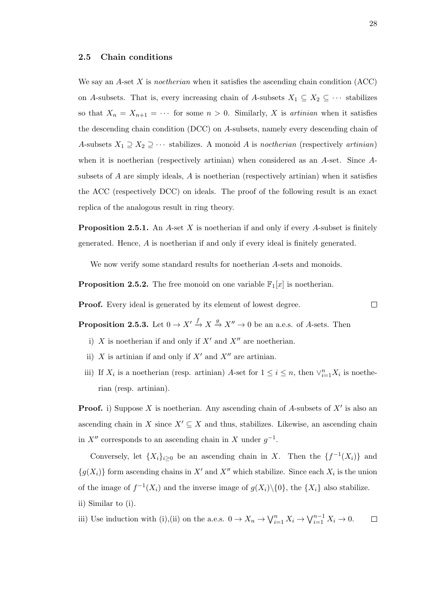#### 2.5 Chain conditions

We say an A-set X is noetherian when it satisfies the ascending chain condition  $(ACC)$ on A-subsets. That is, every increasing chain of A-subsets  $X_1 \subseteq X_2 \subseteq \cdots$  stabilizes so that  $X_n = X_{n+1} = \cdots$  for some  $n > 0$ . Similarly, X is *artinian* when it satisfies the descending chain condition (DCC) on A-subsets, namely every descending chain of A-subsets  $X_1 \supseteq X_2 \supseteq \cdots$  stabilizes. A monoid A is noetherian (respectively artinian) when it is noetherian (respectively artinian) when considered as an A-set. Since Asubsets of A are simply ideals, A is noetherian (respectively artinian) when it satisfies the ACC (respectively DCC) on ideals. The proof of the following result is an exact replica of the analogous result in ring theory.

**Proposition 2.5.1.** An A-set X is noetherian if and only if every A-subset is finitely generated. Hence, A is noetherian if and only if every ideal is finitely generated.

We now verify some standard results for noetherian A-sets and monoids.

**Proposition 2.5.2.** The free monoid on one variable  $\mathbb{F}_1[x]$  is noetherian.

Proof. Every ideal is generated by its element of lowest degree.

**Proposition 2.5.3.** Let  $0 \to X' \to X \to X'' \to 0$  be an a.e.s. of A-sets. Then

- i) X is noetherian if and only if  $X'$  and  $X''$  are noetherian.
- ii) X is artinian if and only if  $X'$  and  $X''$  are artinian.
- iii) If  $X_i$  is a noetherian (resp. artinian) A-set for  $1 \leq i \leq n$ , then  $\vee_{i=1}^n X_i$  is noetherian (resp. artinian).

**Proof.** i) Suppose X is noetherian. Any ascending chain of A-subsets of  $X'$  is also an ascending chain in X since  $X' \subseteq X$  and thus, stabilizes. Likewise, an ascending chain in  $X''$  corresponds to an ascending chain in X under  $g^{-1}$ .

Conversely, let  $\{X_i\}_{i\geq 0}$  be an ascending chain in X. Then the  $\{f^{-1}(X_i)\}\$ and  ${g(X<sub>i</sub>)}$  form ascending chains in X' and X'' which stabilize. Since each  $X<sub>i</sub>$  is the union of the image of  $f^{-1}(X_i)$  and the inverse image of  $g(X_i)\setminus\{0\}$ , the  $\{X_i\}$  also stabilize. ii) Similar to (i).

iii) Use induction with (i),(ii) on the a.e.s.  $0 \to X_n \to \bigvee_{i=1}^n X_i \to \bigvee_{i=1}^{n-1} X_i \to 0$ .  $\Box$ 

 $\Box$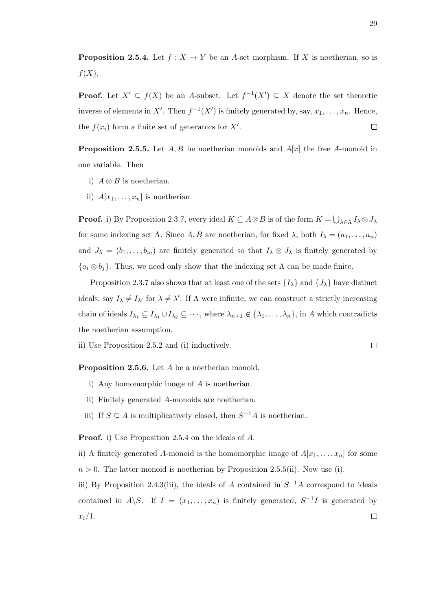**Proposition 2.5.4.** Let  $f : X \to Y$  be an A-set morphism. If X is noetherian, so is  $f(X).$ 

**Proof.** Let  $X' \subseteq f(X)$  be an A-subset. Let  $f^{-1}(X') \subseteq X$  denote the set theoretic inverse of elements in X'. Then  $f^{-1}(X')$  is finitely generated by, say,  $x_1, \ldots, x_n$ . Hence, the  $f(x_i)$  form a finite set of generators for  $X'$ .  $\Box$ 

**Proposition 2.5.5.** Let  $A, B$  be noetherian monoids and  $A[x]$  the free A-monoid in one variable. Then

- i)  $A \otimes B$  is noetherian.
- ii)  $A[x_1, \ldots, x_n]$  is noetherian.

**Proof.** i) By Proposition 2.3.7, every ideal  $K \subseteq A \otimes B$  is of the form  $K = \bigcup_{\lambda \in \Lambda} I_{\lambda} \otimes J_{\lambda}$ for some indexing set  $\Lambda$ . Since  $A, B$  are noetherian, for fixed  $\lambda$ , both  $I_{\lambda} = (a_1, \ldots, a_n)$ and  $J_{\lambda} = (b_1, \ldots, b_m)$  are finitely generated so that  $I_{\lambda} \otimes J_{\lambda}$  is finitely generated by  ${a_i \otimes b_j}$ . Thus, we need only show that the indexing set  $\Lambda$  can be made finite.

Proposition 2.3.7 also shows that at least one of the sets  $\{I_{\lambda}\}\$  and  $\{J_{\lambda}\}\$  have distinct ideals, say  $I_{\lambda} \neq I_{\lambda'}$  for  $\lambda \neq \lambda'$ . If  $\Lambda$  were infinite, we can construct a strictly increasing chain of ideals  $I_{\lambda_1} \subseteq I_{\lambda_1} \cup I_{\lambda_2} \subseteq \cdots$ , where  $\lambda_{n+1} \notin {\lambda_1, \ldots, \lambda_n}$ , in A which contradicts the noetherian assumption.

ii) Use Proposition 2.5.2 and (i) inductively.

Proposition 2.5.6. Let A be a noetherian monoid.

- i) Any homomorphic image of A is noetherian.
- ii) Finitely generated A-monoids are noetherian.
- iii) If  $S \subseteq A$  is multiplicatively closed, then  $S^{-1}A$  is noetherian.

Proof. i) Use Proposition 2.5.4 on the ideals of A.

ii) A finitely generated A-monoid is the homomorphic image of  $A[x_1, \ldots, x_n]$  for some  $n > 0$ . The latter monoid is noetherian by Proposition 2.5.5(ii). Now use (i).

iii) By Proposition 2.4.3(iii), the ideals of A contained in  $S^{-1}A$  correspond to ideals contained in A \S. If  $I = (x_1, \ldots, x_n)$  is finitely generated,  $S^{-1}I$  is generated by  $x_i/1$ .  $\Box$ 

 $\Box$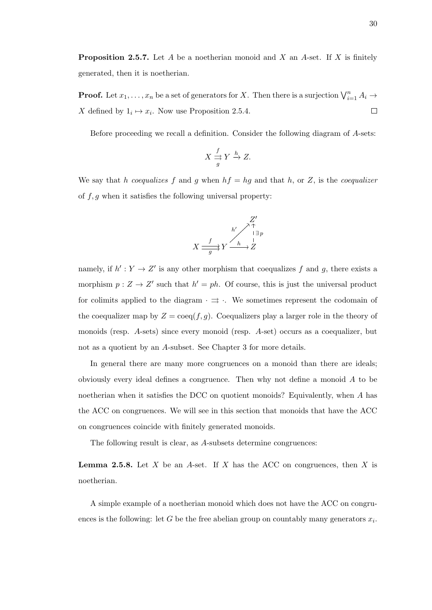**Proposition 2.5.7.** Let A be a noetherian monoid and X an A-set. If X is finitely generated, then it is noetherian.

**Proof.** Let  $x_1, \ldots, x_n$  be a set of generators for X. Then there is a surjection  $\bigvee_{i=1}^n A_i \to$ X defined by  $1_i \mapsto x_i$ . Now use Proposition 2.5.4.  $\Box$ 

Before proceeding we recall a definition. Consider the following diagram of A-sets:

$$
X \stackrel{f}{\underset{g}{\rightrightarrows}} Y \stackrel{h}{\rightarrow} Z.
$$

We say that h coequalizes f and g when  $hf = hg$  and that h, or Z, is the coequalizer of  $f, g$  when it satisfies the following universal property:

$$
X \xrightarrow{f} Y \xrightarrow{h'} \overset{A^{\uparrow}}{\longrightarrow} Z
$$

$$
X \xrightarrow{f} Y \xrightarrow{h} Z
$$

namely, if  $h' : Y \to Z'$  is any other morphism that coequalizes f and g, there exists a morphism  $p: Z \to Z'$  such that  $h' = ph$ . Of course, this is just the universal product for colimits applied to the diagram  $\cdot \Rightarrow \cdot$ . We sometimes represent the codomain of the coequalizer map by  $Z = \text{coeg}(f, g)$ . Coequalizers play a larger role in the theory of monoids (resp. A-sets) since every monoid (resp. A-set) occurs as a coequalizer, but not as a quotient by an A-subset. See Chapter 3 for more details.

In general there are many more congruences on a monoid than there are ideals; obviously every ideal defines a congruence. Then why not define a monoid A to be noetherian when it satisfies the DCC on quotient monoids? Equivalently, when A has the ACC on congruences. We will see in this section that monoids that have the ACC on congruences coincide with finitely generated monoids.

The following result is clear, as A-subsets determine congruences:

**Lemma 2.5.8.** Let X be an A-set. If X has the ACC on congruences, then X is noetherian.

A simple example of a noetherian monoid which does not have the ACC on congruences is the following: let G be the free abelian group on countably many generators  $x_i$ .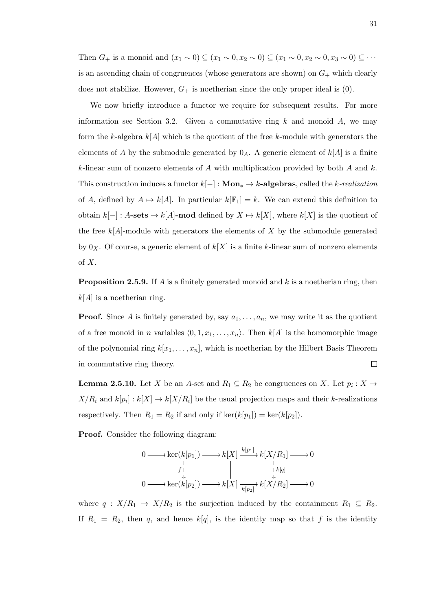Then  $G_+$  is a monoid and  $(x_1 \sim 0) \subseteq (x_1 \sim 0, x_2 \sim 0) \subseteq (x_1 \sim 0, x_2 \sim 0, x_3 \sim 0) \subseteq \cdots$ is an ascending chain of congruences (whose generators are shown) on  $G_+$  which clearly does not stabilize. However,  $G_+$  is noetherian since the only proper ideal is (0).

We now briefly introduce a functor we require for subsequent results. For more information see Section 3.2. Given a commutative ring  $k$  and monoid  $A$ , we may form the k-algebra  $k[A]$  which is the quotient of the free k-module with generators the elements of A by the submodule generated by  $0_A$ . A generic element of  $k[A]$  is a finite k-linear sum of nonzero elements of A with multiplication provided by both A and  $k$ . This construction induces a functor  $k[-]: \mathbf{Mon}_* \to k\text{-algebras},$  called the k-realization of A, defined by  $A \mapsto k[A]$ . In particular  $k[\mathbb{F}_1] = k$ . We can extend this definition to obtain  $k[-] : A\text{-sets} \to k[A]\text{-mod}$  defined by  $X \to k[X]$ , where  $k[X]$  is the quotient of the free  $k[A]$ -module with generators the elements of X by the submodule generated by  $0_X$ . Of course, a generic element of  $k[X]$  is a finite k-linear sum of nonzero elements of  $X$ .

**Proposition 2.5.9.** If A is a finitely generated monoid and k is a noetherian ring, then  $k[A]$  is a noetherian ring.

**Proof.** Since A is finitely generated by, say  $a_1, \ldots, a_n$ , we may write it as the quotient of a free monoid in n variables  $\langle 0, 1, x_1, \ldots, x_n \rangle$ . Then  $k[A]$  is the homomorphic image of the polynomial ring  $k[x_1, \ldots, x_n]$ , which is noetherian by the Hilbert Basis Theorem in commutative ring theory.  $\Box$ 

**Lemma 2.5.10.** Let X be an A-set and  $R_1 \subseteq R_2$  be congruences on X. Let  $p_i : X \to Y$  $X/R_i$  and  $k[p_i]: k[X] \to k[X/R_i]$  be the usual projection maps and their k-realizations respectively. Then  $R_1 = R_2$  if and only if  $\ker(k[p_1]) = \ker(k[p_2])$ .

Proof. Consider the following diagram:

$$
0 \longrightarrow \ker(k[p_1]) \longrightarrow k[X] \xrightarrow{k[p_1]} k[X/R_1] \longrightarrow 0
$$
  
\n
$$
\downarrow \qquad \qquad \downarrow \qquad \qquad \downarrow \qquad \downarrow \downarrow
$$
  
\n
$$
0 \longrightarrow \ker(k[p_2]) \longrightarrow k[X] \xrightarrow[k[p_2]]{k[p_1]} k[X/R_2] \longrightarrow 0
$$

where  $q : X/R_1 \rightarrow X/R_2$  is the surjection induced by the containment  $R_1 \subseteq R_2$ . If  $R_1 = R_2$ , then q, and hence  $k[q]$ , is the identity map so that f is the identity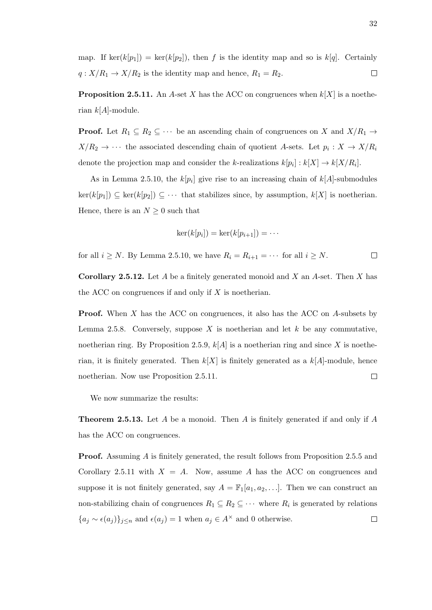map. If ker(k[p<sub>1</sub>]) = ker(k[p<sub>2</sub>]), then f is the identity map and so is k[q]. Certainly  $q: X/R_1 \rightarrow X/R_2$  is the identity map and hence,  $R_1 = R_2$ .  $\Box$ 

**Proposition 2.5.11.** An A-set X has the ACC on congruences when  $k[X]$  is a noetherian  $k[A]$ -module.

**Proof.** Let  $R_1 \subseteq R_2 \subseteq \cdots$  be an ascending chain of congruences on X and  $X/R_1 \rightarrow$  $X/R_2 \rightarrow \cdots$  the associated descending chain of quotient A-sets. Let  $p_i: X \rightarrow X/R_i$ denote the projection map and consider the k-realizations  $k[p_i] : k[X] \to k[X/R_i]$ .

As in Lemma 2.5.10, the  $k[p_i]$  give rise to an increasing chain of  $k[A]$ -submodules  $\ker(k[p_1]) \subseteq \ker(k[p_2]) \subseteq \cdots$  that stabilizes since, by assumption,  $k[X]$  is noetherian. Hence, there is an  $N \geq 0$  such that

$$
\ker(k[p_i]) = \ker(k[p_{i+1}]) = \cdots
$$

for all  $i \geq N$ . By Lemma 2.5.10, we have  $R_i = R_{i+1} = \cdots$  for all  $i \geq N$ .  $\Box$ 

**Corollary 2.5.12.** Let A be a finitely generated monoid and X an A-set. Then X has the ACC on congruences if and only if  $X$  is noetherian.

Proof. When X has the ACC on congruences, it also has the ACC on A-subsets by Lemma 2.5.8. Conversely, suppose X is noetherian and let  $k$  be any commutative, noetherian ring. By Proposition 2.5.9,  $k[A]$  is a noetherian ring and since X is noetherian, it is finitely generated. Then  $k[X]$  is finitely generated as a  $k[A]$ -module, hence noetherian. Now use Proposition 2.5.11.  $\Box$ 

We now summarize the results:

**Theorem 2.5.13.** Let A be a monoid. Then A is finitely generated if and only if A has the ACC on congruences.

**Proof.** Assuming A is finitely generated, the result follows from Proposition 2.5.5 and Corollary 2.5.11 with  $X = A$ . Now, assume A has the ACC on congruences and suppose it is not finitely generated, say  $A = \mathbb{F}_1[a_1, a_2, \ldots]$ . Then we can construct an non-stabilizing chain of congruences  $R_1 \subseteq R_2 \subseteq \cdots$  where  $R_i$  is generated by relations  ${a_j \sim \epsilon(a_j)}_{j \leq n}$  and  $\epsilon(a_j) = 1$  when  $a_j \in A^{\times}$  and 0 otherwise.  $\Box$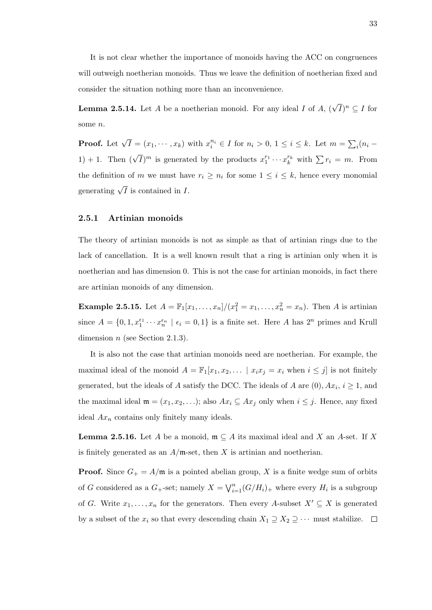It is not clear whether the importance of monoids having the ACC on congruences will outweigh noetherian monoids. Thus we leave the definition of noetherian fixed and consider the situation nothing more than an inconvenience.

**Lemma 2.5.14.** Let A be a noetherian monoid. For any ideal I of  $A$ ,  $(\sqrt{I})^n \subseteq I$  for some n.

**Proof.** Let  $\sqrt{I} = (x_1, \dots, x_k)$  with  $x_i^{n_i} \in I$  for  $n_i > 0, 1 \le i \le k$ . Let  $m = \sum_i (n_i -$ 1) + 1. Then  $(\sqrt{I})^m$  is generated by the products  $x_1^{r_1} \cdots x_k^{r_k}$  with  $\sum r_i = m$ . From the definition of m we must have  $r_i \geq n_i$  for some  $1 \leq i \leq k$ , hence every monomial generating  $\sqrt{I}$  is contained in *I*.

## 2.5.1 Artinian monoids

The theory of artinian monoids is not as simple as that of artinian rings due to the lack of cancellation. It is a well known result that a ring is artinian only when it is noetherian and has dimension 0. This is not the case for artinian monoids, in fact there are artinian monoids of any dimension.

**Example 2.5.15.** Let  $A = \mathbb{F}_1[x_1, ..., x_n]/(x_1^2 = x_1, ..., x_n^2 = x_n)$ . Then A is artinian since  $A = \{0, 1, x_1^{\epsilon_1} \cdots x_n^{\epsilon_n} \mid \epsilon_i = 0, 1\}$  is a finite set. Here A has  $2^n$  primes and Krull dimension  $n$  (see Section 2.1.3).

It is also not the case that artinian monoids need are noetherian. For example, the maximal ideal of the monoid  $A = \mathbb{F}_1[x_1, x_2, \dots | x_ix_j = x_i$  when  $i \leq j$  is not finitely generated, but the ideals of A satisfy the DCC. The ideals of A are  $(0)$ ,  $Ax_i$ ,  $i \ge 1$ , and the maximal ideal  $\mathfrak{m} = (x_1, x_2, \ldots)$ ; also  $Ax_i \subseteq Ax_j$  only when  $i \leq j$ . Hence, any fixed ideal  $Ax_n$  contains only finitely many ideals.

**Lemma 2.5.16.** Let A be a monoid,  $\mathfrak{m} \subseteq A$  its maximal ideal and X an A-set. If X is finitely generated as an  $A/\mathfrak{m}$ -set, then X is artinian and noetherian.

**Proof.** Since  $G_+ = A/\mathfrak{m}$  is a pointed abelian group, X is a finite wedge sum of orbits of G considered as a  $G_{+}$ -set; namely  $X = \bigvee_{i=1}^{n} (G/H_{i})_{+}$  where every  $H_{i}$  is a subgroup of G. Write  $x_1, \ldots, x_n$  for the generators. Then every A-subset  $X' \subseteq X$  is generated by a subset of the  $x_i$  so that every descending chain  $X_1 \supseteq X_2 \supseteq \cdots$  must stabilize.  $\Box$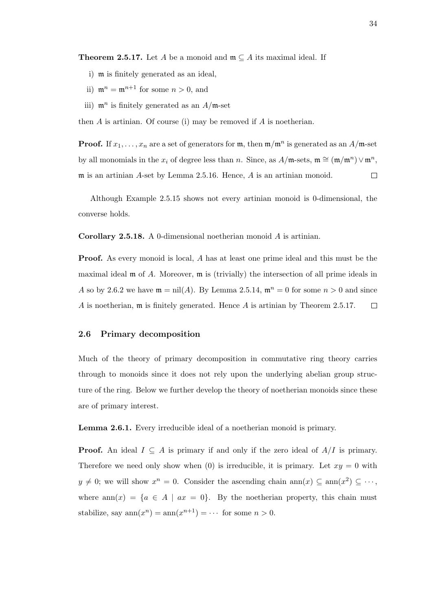**Theorem 2.5.17.** Let A be a monoid and  $\mathfrak{m} \subseteq A$  its maximal ideal. If

- i) m is finitely generated as an ideal,
- ii)  $\mathfrak{m}^n = \mathfrak{m}^{n+1}$  for some  $n > 0$ , and
- iii)  $\mathfrak{m}^n$  is finitely generated as an  $A/\mathfrak{m}$ -set

then  $A$  is artinian. Of course (i) may be removed if  $A$  is noetherian.

**Proof.** If  $x_1, \ldots, x_n$  are a set of generators for  $\mathfrak{m}$ , then  $\mathfrak{m}/\mathfrak{m}^n$  is generated as an  $A/\mathfrak{m}$ -set by all monomials in the  $x_i$  of degree less than n. Since, as  $A/\mathfrak{m}$ -sets,  $\mathfrak{m} \cong (\mathfrak{m}/\mathfrak{m}^n) \vee \mathfrak{m}^n$ , m is an artinian A-set by Lemma 2.5.16. Hence, A is an artinian monoid.  $\Box$ 

Although Example 2.5.15 shows not every artinian monoid is 0-dimensional, the converse holds.

Corollary 2.5.18. A 0-dimensional noetherian monoid A is artinian.

Proof. As every monoid is local, A has at least one prime ideal and this must be the maximal ideal  $\mathfrak m$  of A. Moreover,  $\mathfrak m$  is (trivially) the intersection of all prime ideals in A so by 2.6.2 we have  $\mathfrak{m} = \text{nil}(A)$ . By Lemma 2.5.14,  $\mathfrak{m}^n = 0$  for some  $n > 0$  and since A is noetherian,  $\mathfrak m$  is finitely generated. Hence A is artinian by Theorem 2.5.17.  $\Box$ 

#### 2.6 Primary decomposition

Much of the theory of primary decomposition in commutative ring theory carries through to monoids since it does not rely upon the underlying abelian group structure of the ring. Below we further develop the theory of noetherian monoids since these are of primary interest.

Lemma 2.6.1. Every irreducible ideal of a noetherian monoid is primary.

**Proof.** An ideal  $I \subseteq A$  is primary if and only if the zero ideal of  $A/I$  is primary. Therefore we need only show when (0) is irreducible, it is primary. Let  $xy = 0$  with  $y \neq 0$ ; we will show  $x^n = 0$ . Consider the ascending chain ann $(x) \subseteq \text{ann}(x^2) \subseteq \cdots$ , where  $ann(x) = \{a \in A \mid ax = 0\}$ . By the noetherian property, this chain must stabilize, say  $ann(x^n) = ann(x^{n+1}) = \cdots$  for some  $n > 0$ .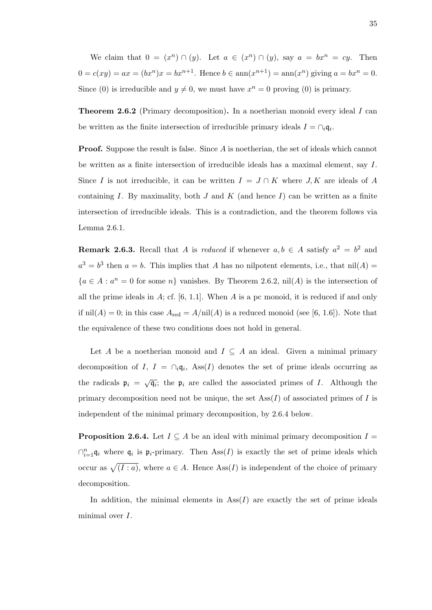We claim that  $0 = (x^n) \cap (y)$ . Let  $a \in (x^n) \cap (y)$ , say  $a = bx^n = cy$ . Then  $0 = c(xy) = ax = (bx^n)x = bx^{n+1}$ . Hence  $b \in \text{ann}(x^{n+1}) = \text{ann}(x^n)$  giving  $a = bx^n = 0$ . Since (0) is irreducible and  $y \neq 0$ , we must have  $x^n = 0$  proving (0) is primary.

**Theorem 2.6.2** (Primary decomposition). In a noetherian monoid every ideal I can be written as the finite intersection of irreducible primary ideals  $I = \bigcap_i \mathfrak{q}_i$ .

**Proof.** Suppose the result is false. Since A is noetherian, the set of ideals which cannot be written as a finite intersection of irreducible ideals has a maximal element, say I. Since I is not irreducible, it can be written  $I = J \cap K$  where  $J, K$  are ideals of A containing I. By maximality, both J and K (and hence I) can be written as a finite intersection of irreducible ideals. This is a contradiction, and the theorem follows via Lemma 2.6.1.

**Remark 2.6.3.** Recall that A is reduced if whenever  $a, b \in A$  satisfy  $a^2 = b^2$  and  $a^3 = b^3$  then  $a = b$ . This implies that A has no nilpotent elements, i.e., that nil(A) =  ${a \in A : a^n = 0 \text{ for some } n}$  vanishes. By Theorem 2.6.2, nil(A) is the intersection of all the prime ideals in  $A$ ; cf. [6, 1.1]. When  $A$  is a pc monoid, it is reduced if and only if  $nil(A) = 0$ ; in this case  $A_{red} = A/nil(A)$  is a reduced monoid (see [6, 1.6]). Note that the equivalence of these two conditions does not hold in general.

Let A be a noetherian monoid and  $I \subseteq A$  an ideal. Given a minimal primary decomposition of I,  $I = \bigcap_i \mathfrak{q}_i$ , Ass $(I)$  denotes the set of prime ideals occurring as the radicals  $\mathfrak{p}_i = \sqrt{\mathfrak{q}_i}$ ; the  $\mathfrak{p}_i$  are called the associated primes of I. Although the primary decomposition need not be unique, the set  $\text{Ass}(I)$  of associated primes of I is independent of the minimal primary decomposition, by 2.6.4 below.

**Proposition 2.6.4.** Let  $I \subseteq A$  be an ideal with minimal primary decomposition  $I =$  $\bigcap_{i=1}^n \mathfrak{q}_i$  where  $\mathfrak{q}_i$  is  $\mathfrak{p}_i$ -primary. Then Ass $(I)$  is exactly the set of prime ideals which occur as  $\sqrt{(I : a)}$ , where  $a \in A$ . Hence Ass(I) is independent of the choice of primary decomposition.

In addition, the minimal elements in  $\text{Ass}(I)$  are exactly the set of prime ideals minimal over I.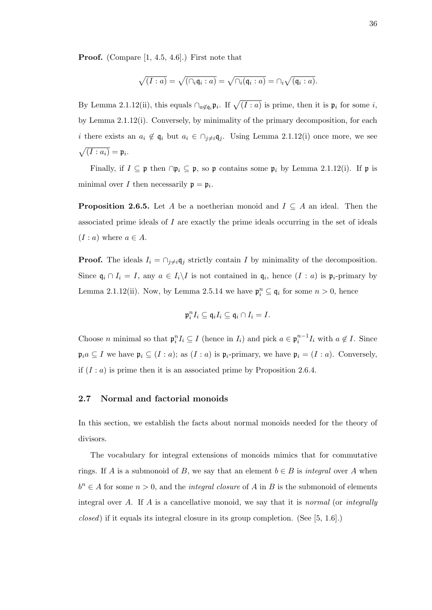Proof. (Compare [1, 4.5, 4.6].) First note that

$$
\sqrt{(I:a)}=\sqrt{(\cap_i \mathfrak{q}_i:a)}=\sqrt{\cap_i (\mathfrak{q}_i:a)}=\cap_i \sqrt{(\mathfrak{q}_i:a)}.
$$

By Lemma 2.1.12(ii), this equals  $\bigcap_{a \notin q_i} \mathfrak{p}_i$ . If  $\sqrt{(I : a)}$  is prime, then it is  $\mathfrak{p}_i$  for some i, by Lemma 2.1.12(i). Conversely, by minimality of the primary decomposition, for each *i* there exists an  $a_i \notin \mathfrak{q}_i$  but  $a_i \in \bigcap_{j \neq i} \mathfrak{q}_j$ . Using Lemma 2.1.12(i) once more, we see  $\sqrt{(I : a_i)} = \mathfrak{p}_i.$ 

Finally, if  $I \subseteq \mathfrak{p}$  then  $\cap \mathfrak{p}_i \subseteq \mathfrak{p}$ , so  $\mathfrak{p}$  contains some  $\mathfrak{p}_i$  by Lemma 2.1.12(i). If  $\mathfrak{p}$  is minimal over *I* then necessarily  $\mathfrak{p} = \mathfrak{p}_i$ .

**Proposition 2.6.5.** Let A be a noetherian monoid and  $I \subseteq A$  an ideal. Then the associated prime ideals of I are exactly the prime ideals occurring in the set of ideals  $(I : a)$  where  $a \in A$ .

**Proof.** The ideals  $I_i = \bigcap_{j \neq i} q_j$  strictly contain I by minimality of the decomposition. Since  $\mathfrak{q}_i \cap I_i = I$ , any  $a \in I_i \backslash I$  is not contained in  $\mathfrak{q}_i$ , hence  $(I : a)$  is  $\mathfrak{p}_i$ -primary by Lemma 2.1.12(ii). Now, by Lemma 2.5.14 we have  $\mathfrak{p}_i^n \subseteq \mathfrak{q}_i$  for some  $n > 0$ , hence

$$
\mathfrak{p}_i^nI_i\subseteq \mathfrak{q}_iI_i\subseteq \mathfrak{q}_i\cap I_i=I.
$$

Choose *n* minimal so that  $\mathfrak{p}_i^n I_i \subseteq I$  (hence in  $I_i$ ) and pick  $a \in \mathfrak{p}_i^{n-1} I_i$  with  $a \notin I$ . Since  $\mathfrak{p}_i a \subseteq I$  we have  $\mathfrak{p}_i \subseteq (I : a)$ ; as  $(I : a)$  is  $\mathfrak{p}_i$ -primary, we have  $\mathfrak{p}_i = (I : a)$ . Conversely, if  $(I : a)$  is prime then it is an associated prime by Proposition 2.6.4.

### 2.7 Normal and factorial monoids

In this section, we establish the facts about normal monoids needed for the theory of divisors.

The vocabulary for integral extensions of monoids mimics that for commutative rings. If A is a submonoid of B, we say that an element  $b \in B$  is *integral* over A when  $b^n \in A$  for some  $n > 0$ , and the *integral closure* of A in B is the submonoid of elements integral over  $A$ . If  $A$  is a cancellative monoid, we say that it is *normal* (or *integrally* closed) if it equals its integral closure in its group completion. (See [5, 1.6].)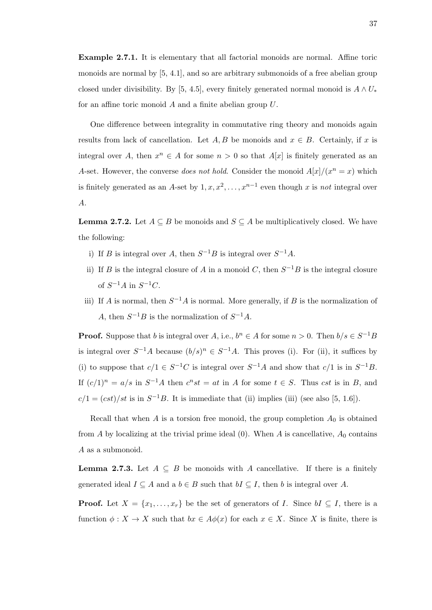Example 2.7.1. It is elementary that all factorial monoids are normal. Affine toric monoids are normal by [5, 4.1], and so are arbitrary submonoids of a free abelian group closed under divisibility. By [5, 4.5], every finitely generated normal monoid is  $A \wedge U_*$ for an affine toric monoid A and a finite abelian group U.

One difference between integrality in commutative ring theory and monoids again results from lack of cancellation. Let  $A, B$  be monoids and  $x \in B$ . Certainly, if x is integral over A, then  $x^n \in A$  for some  $n > 0$  so that  $A[x]$  is finitely generated as an A-set. However, the converse *does not hold*. Consider the monoid  $A[x]/(x^n = x)$  which is finitely generated as an A-set by  $1, x, x^2, \ldots, x^{n-1}$  even though x is not integral over A.

**Lemma 2.7.2.** Let  $A \subseteq B$  be monoids and  $S \subseteq A$  be multiplicatively closed. We have the following:

- i) If B is integral over A, then  $S^{-1}B$  is integral over  $S^{-1}A$ .
- ii) If B is the integral closure of A in a monoid C, then  $S^{-1}B$  is the integral closure of  $S^{-1}A$  in  $S^{-1}C$ .
- iii) If A is normal, then  $S^{-1}A$  is normal. More generally, if B is the normalization of A, then  $S^{-1}B$  is the normalization of  $S^{-1}A$ .

**Proof.** Suppose that b is integral over A, i.e.,  $b^n \in A$  for some  $n > 0$ . Then  $b/s \in S^{-1}B$ is integral over  $S^{-1}A$  because  $(b/s)^n \in S^{-1}A$ . This proves (i). For (ii), it suffices by (i) to suppose that  $c/1 \in S^{-1}C$  is integral over  $S^{-1}A$  and show that  $c/1$  is in  $S^{-1}B$ . If  $(c/1)^n = a/s$  in  $S^{-1}A$  then  $c^nst = at$  in A for some  $t \in S$ . Thus cst is in B, and  $c/1 = (cst)/st$  is in  $S^{-1}B$ . It is immediate that (ii) implies (iii) (see also [5, 1.6]).

Recall that when A is a torsion free monoid, the group completion  $A_0$  is obtained from A by localizing at the trivial prime ideal  $(0)$ . When A is cancellative,  $A_0$  contains A as a submonoid.

**Lemma 2.7.3.** Let  $A \subseteq B$  be monoids with A cancellative. If there is a finitely generated ideal  $I \subseteq A$  and a  $b \in B$  such that  $bI \subseteq I$ , then b is integral over A.

**Proof.** Let  $X = \{x_1, \ldots, x_r\}$  be the set of generators of I. Since  $bI \subseteq I$ , there is a function  $\phi: X \to X$  such that  $bx \in A\phi(x)$  for each  $x \in X$ . Since X is finite, there is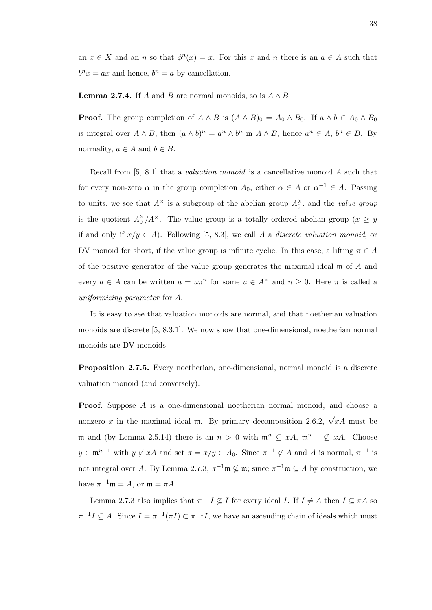an  $x \in X$  and an n so that  $\phi^{n}(x) = x$ . For this x and n there is an  $a \in A$  such that  $b^n x = ax$  and hence,  $b^n = a$  by cancellation.

#### **Lemma 2.7.4.** If A and B are normal monoids, so is  $A \wedge B$

**Proof.** The group completion of  $A \wedge B$  is  $(A \wedge B)_0 = A_0 \wedge B_0$ . If  $a \wedge b \in A_0 \wedge B_0$ is integral over  $A \wedge B$ , then  $(a \wedge b)^n = a^n \wedge b^n$  in  $A \wedge B$ , hence  $a^n \in A$ ,  $b^n \in B$ . By normality,  $a \in A$  and  $b \in B$ .

Recall from [5, 8.1] that a valuation monoid is a cancellative monoid A such that for every non-zero  $\alpha$  in the group completion  $A_0$ , either  $\alpha \in A$  or  $\alpha^{-1} \in A$ . Passing to units, we see that  $A^{\times}$  is a subgroup of the abelian group  $A_0^{\times}$ , and the *value group* is the quotient  $A_0^{\times}/A^{\times}$ . The value group is a totally ordered abelian group  $(x \ge y)$ if and only if  $x/y \in A$ ). Following [5, 8.3], we call A a discrete valuation monoid, or DV monoid for short, if the value group is infinite cyclic. In this case, a lifting  $\pi \in A$ of the positive generator of the value group generates the maximal ideal m of A and every  $a \in A$  can be written  $a = u\pi^n$  for some  $u \in A^{\times}$  and  $n \geq 0$ . Here  $\pi$  is called a uniformizing parameter for A.

It is easy to see that valuation monoids are normal, and that noetherian valuation monoids are discrete [5, 8.3.1]. We now show that one-dimensional, noetherian normal monoids are DV monoids.

Proposition 2.7.5. Every noetherian, one-dimensional, normal monoid is a discrete valuation monoid (and conversely).

Proof. Suppose A is a one-dimensional noetherian normal monoid, and choose a nonzero x in the maximal ideal **m**. By primary decomposition 2.6.2,  $\sqrt{xA}$  must be m and (by Lemma 2.5.14) there is an  $n > 0$  with  $\mathfrak{m}^n \subseteq xA$ ,  $\mathfrak{m}^{n-1} \nsubseteq xA$ . Choose  $y \in \mathfrak{m}^{n-1}$  with  $y \notin xA$  and set  $\pi = x/y \in A_0$ . Since  $\pi^{-1} \notin A$  and A is normal,  $\pi^{-1}$  is not integral over A. By Lemma 2.7.3,  $\pi^{-1} \mathfrak{m} \nsubseteq \mathfrak{m}$ ; since  $\pi^{-1} \mathfrak{m} \subseteq A$  by construction, we have  $\pi^{-1}\mathfrak{m} = A$ , or  $\mathfrak{m} = \pi A$ .

Lemma 2.7.3 also implies that  $\pi^{-1}I \nsubseteq I$  for every ideal I. If  $I \neq A$  then  $I \subseteq \pi A$  so  $\pi^{-1}I \subseteq A$ . Since  $I = \pi^{-1}(\pi I) \subset \pi^{-1}I$ , we have an ascending chain of ideals which must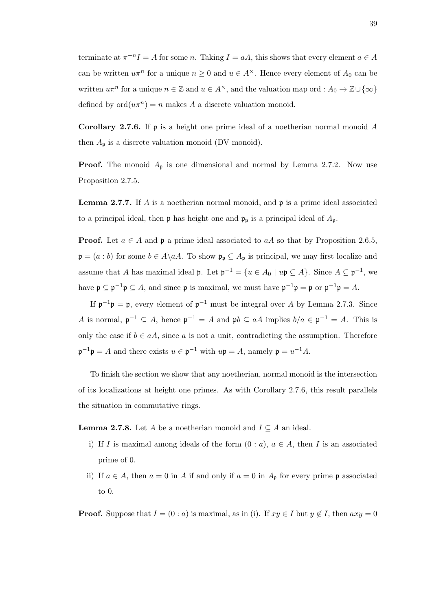terminate at  $\pi^{-n}I = A$  for some n. Taking  $I = aA$ , this shows that every element  $a \in A$ can be written  $u\pi^n$  for a unique  $n \geq 0$  and  $u \in A^{\times}$ . Hence every element of  $A_0$  can be written  $u\pi^n$  for a unique  $n \in \mathbb{Z}$  and  $u \in A^{\times}$ , and the valuation map ord :  $A_0 \to \mathbb{Z} \cup {\infty}$ defined by  $\text{ord}(u\pi^n) = n$  makes A a discrete valuation monoid.

**Corollary 2.7.6.** If  $\mathfrak{p}$  is a height one prime ideal of a noetherian normal monoid A then  $A_{\mathfrak{p}}$  is a discrete valuation monoid (DV monoid).

**Proof.** The monoid  $A_p$  is one dimensional and normal by Lemma 2.7.2. Now use Proposition 2.7.5.

**Lemma 2.7.7.** If A is a noetherian normal monoid, and  $\mathfrak{p}$  is a prime ideal associated to a principal ideal, then  $\mathfrak p$  has height one and  $\mathfrak p_p$  is a principal ideal of  $A_{\mathfrak p}$ .

**Proof.** Let  $a \in A$  and  $\mathfrak{p}$  a prime ideal associated to  $aA$  so that by Proposition 2.6.5,  $\mathfrak{p} = (a : b)$  for some  $b \in A \backslash aA$ . To show  $\mathfrak{p}_{\mathfrak{p}} \subseteq A_{\mathfrak{p}}$  is principal, we may first localize and assume that A has maximal ideal  $\mathfrak{p}$ . Let  $\mathfrak{p}^{-1} = \{u \in A_0 \mid u\mathfrak{p} \subseteq A\}$ . Since  $A \subseteq \mathfrak{p}^{-1}$ , we have  $\mathfrak{p} \subseteq \mathfrak{p}^{-1} \mathfrak{p} \subseteq A$ , and since  $\mathfrak{p}$  is maximal, we must have  $\mathfrak{p}^{-1} \mathfrak{p} = \mathfrak{p}$  or  $\mathfrak{p}^{-1} \mathfrak{p} = A$ .

If  $\mathfrak{p}^{-1}\mathfrak{p} = \mathfrak{p}$ , every element of  $\mathfrak{p}^{-1}$  must be integral over A by Lemma 2.7.3. Since A is normal,  $\mathfrak{p}^{-1} \subseteq A$ , hence  $\mathfrak{p}^{-1} = A$  and  $\mathfrak{p}b \subseteq aA$  implies  $b/a \in \mathfrak{p}^{-1} = A$ . This is only the case if  $b \in aA$ , since a is not a unit, contradicting the assumption. Therefore  $\mathfrak{p}^{-1}\mathfrak{p} = A$  and there exists  $u \in \mathfrak{p}^{-1}$  with  $u\mathfrak{p} = A$ , namely  $\mathfrak{p} = u^{-1}A$ .

To finish the section we show that any noetherian, normal monoid is the intersection of its localizations at height one primes. As with Corollary 2.7.6, this result parallels the situation in commutative rings.

**Lemma 2.7.8.** Let A be a noetherian monoid and  $I \subseteq A$  an ideal.

- i) If I is maximal among ideals of the form  $(0 : a)$ ,  $a \in A$ , then I is an associated prime of 0.
- ii) If  $a \in A$ , then  $a = 0$  in A if and only if  $a = 0$  in  $A_{\mathfrak{p}}$  for every prime  $\mathfrak{p}$  associated to 0.

**Proof.** Suppose that  $I = (0 : a)$  is maximal, as in (i). If  $xy \in I$  but  $y \notin I$ , then  $axy = 0$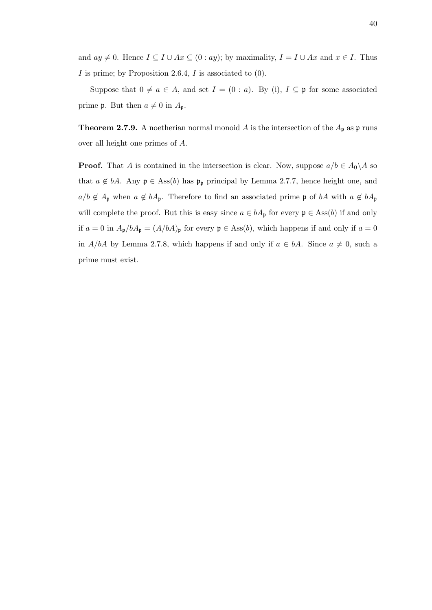and  $ay \neq 0$ . Hence  $I \subseteq I \cup Ax \subseteq (0: ay)$ ; by maximality,  $I = I \cup Ax$  and  $x \in I$ . Thus  $I$  is prime; by Proposition 2.6.4,  $I$  is associated to  $(0)$ .

Suppose that  $0 \neq a \in A$ , and set  $I = (0 : a)$ . By (i),  $I \subseteq \mathfrak{p}$  for some associated prime **p**. But then  $a \neq 0$  in  $A_p$ .

**Theorem 2.7.9.** A noetherian normal monoid A is the intersection of the  $A_p$  as p runs over all height one primes of A.

**Proof.** That A is contained in the intersection is clear. Now, suppose  $a/b \in A_0 \backslash A$  so that  $a \notin bA$ . Any  $\mathfrak{p} \in \text{Ass}(b)$  has  $\mathfrak{p}_{\mathfrak{p}}$  principal by Lemma 2.7.7, hence height one, and  $a/b \notin A_{\mathfrak{p}}$  when  $a \notin bA_{\mathfrak{p}}$ . Therefore to find an associated prime  $\mathfrak{p}$  of  $bA$  with  $a \notin bA_{\mathfrak{p}}$ will complete the proof. But this is easy since  $a \in bA_{\mathfrak{p}}$  for every  $\mathfrak{p} \in \text{Ass}(b)$  if and only if  $a = 0$  in  $A_{\mathfrak{p}}/bA_{\mathfrak{p}} = (A/bA)_{\mathfrak{p}}$  for every  $\mathfrak{p} \in \text{Ass}(b)$ , which happens if and only if  $a = 0$ in A/bA by Lemma 2.7.8, which happens if and only if  $a \in bA$ . Since  $a \neq 0$ , such a prime must exist.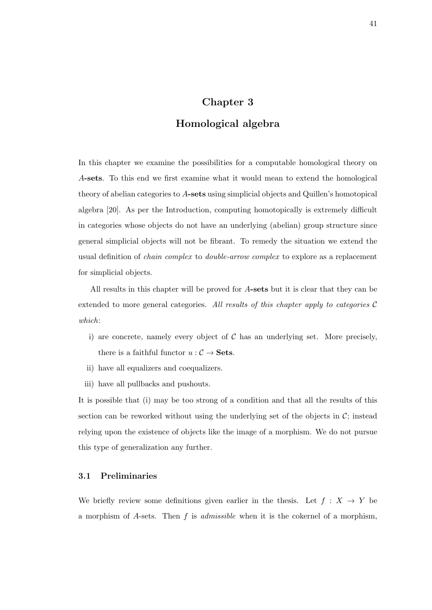# Chapter 3

## Homological algebra

In this chapter we examine the possibilities for a computable homological theory on A-sets. To this end we first examine what it would mean to extend the homological theory of abelian categories to A-sets using simplicial objects and Quillen's homotopical algebra [20]. As per the Introduction, computing homotopically is extremely difficult in categories whose objects do not have an underlying (abelian) group structure since general simplicial objects will not be fibrant. To remedy the situation we extend the usual definition of chain complex to double-arrow complex to explore as a replacement for simplicial objects.

All results in this chapter will be proved for A-sets but it is clear that they can be extended to more general categories. All results of this chapter apply to categories  $C$ which:

- i) are concrete, namely every object of  $C$  has an underlying set. More precisely, there is a faithful functor  $u : C \to \mathbf{Sets}$ .
- ii) have all equalizers and coequalizers.
- iii) have all pullbacks and pushouts.

It is possible that (i) may be too strong of a condition and that all the results of this section can be reworked without using the underlying set of the objects in  $\mathcal{C}$ ; instead relying upon the existence of objects like the image of a morphism. We do not pursue this type of generalization any further.

## 3.1 Preliminaries

We briefly review some definitions given earlier in the thesis. Let  $f : X \rightarrow Y$  be a morphism of A-sets. Then f is *admissible* when it is the cokernel of a morphism,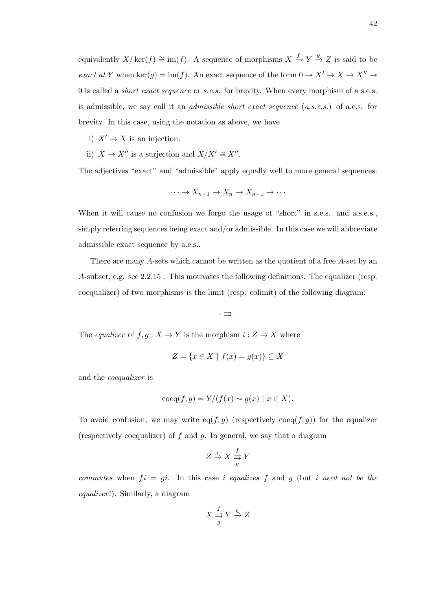equivalently  $X/\ker(f) \cong \text{im}(f)$ . A sequence of morphisms  $X \xrightarrow{f} Y \xrightarrow{g} Z$  is said to be exact at Y when ker(g) = im(f). An exact sequence of the form  $0 \to X' \to X \to X'' \to 0$ 0 is called a short exact sequence or s.e.s. for brevity. When every morphism of a s.e.s. is admissible, we say call it an admissible short exact sequence (a.s.e.s.) of a.e.s. for brevity. In this case, using the notation as above, we have

- i)  $X' \to X$  is an injection.
- ii)  $X \to X''$  is a surjection and  $X/X' \cong X''$ .

The adjectives "exact" and "admissible" apply equally well to more general sequences:

$$
\cdots \to X_{n+1} \to X_n \to X_{n-1} \to \cdots
$$

When it will cause no confusion we forgo the usage of "short" in s.e.s. and a.s.e.s., simply referring sequences being exact and/or admissible. In this case we will abbreviate admissible exact sequence by a.e.s..

There are many A-sets which cannot be written as the quotient of a free A-set by an A-subset, e.g. see 2.2.15 . This motivates the following definitions. The equalizer (resp. coequalizer) of two morphisms is the limit (resp. colimit) of the following diagram:

 $\cdot \rightrightarrows \cdot$ 

The equalizer of  $f, g: X \to Y$  is the morphism  $i: Z \to X$  where

$$
Z = \{ x \in X \mid f(x) = g(x) \} \subseteq X
$$

and the coequalizer is

$$
\mathrm{coeq}(f,g) = Y/(f(x) \sim g(x) \mid x \in X).
$$

To avoid confusion, we may write eq( $f, g$ ) (respectively coeq( $f, g$ )) for the equalizer (respectively coequalizer) of  $f$  and  $g$ . In general, we say that a diagram

$$
Z \xrightarrow{i} X \xrightarrow{f} Y
$$

commutes when  $fi = gi.$  In this case i equalizes f and g (but i need not be the equalizer!). Similarly, a diagram

$$
X \stackrel{f}{\underset{g}{\rightrightarrows}} Y \stackrel{h}{\to} Z
$$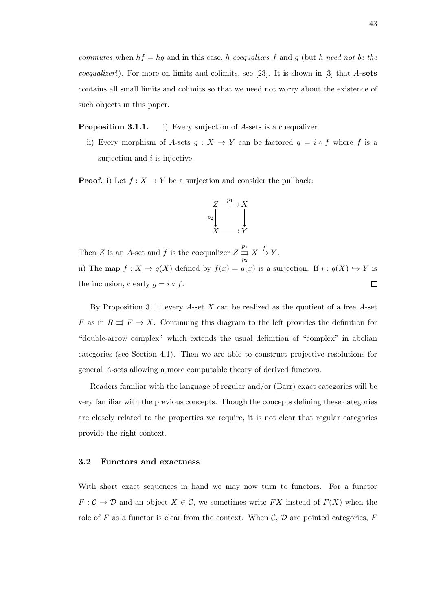commutes when  $hf = hg$  and in this case, h coequalizes f and g (but h need not be the *coequalizer*!). For more on limits and colimits, see [23]. It is shown in [3] that  $A$ -sets contains all small limits and colimits so that we need not worry about the existence of such objects in this paper.

Proposition 3.1.1. i) Every surjection of A-sets is a coequalizer.

ii) Every morphism of A-sets  $g: X \to Y$  can be factored  $g = i \circ f$  where f is a surjection and  $i$  is injective.

**Proof.** i) Let  $f : X \to Y$  be a surjection and consider the pullback:



Then Z is an A-set and f is the coequalizer  $Z \stackrel{p_1}{\rightrightarrows}$  $X \stackrel{f}{\rightarrow} Y.$  $\overline{p}_2$ ii) The map  $f: X \to g(X)$  defined by  $f(x) = g(x)$  is a surjection. If  $i: g(X) \hookrightarrow Y$  is  $\Box$ the inclusion, clearly  $g = i \circ f$ .

By Proposition 3.1.1 every  $A$ -set  $X$  can be realized as the quotient of a free  $A$ -set F as in  $R \rightrightarrows F \to X$ . Continuing this diagram to the left provides the definition for "double-arrow complex" which extends the usual definition of "complex" in abelian categories (see Section 4.1). Then we are able to construct projective resolutions for general A-sets allowing a more computable theory of derived functors.

Readers familiar with the language of regular and/or (Barr) exact categories will be very familiar with the previous concepts. Though the concepts defining these categories are closely related to the properties we require, it is not clear that regular categories provide the right context.

#### 3.2 Functors and exactness

With short exact sequences in hand we may now turn to functors. For a functor  $F: \mathcal{C} \to \mathcal{D}$  and an object  $X \in \mathcal{C}$ , we sometimes write FX instead of  $F(X)$  when the role of F as a functor is clear from the context. When  $\mathcal{C}, \mathcal{D}$  are pointed categories, F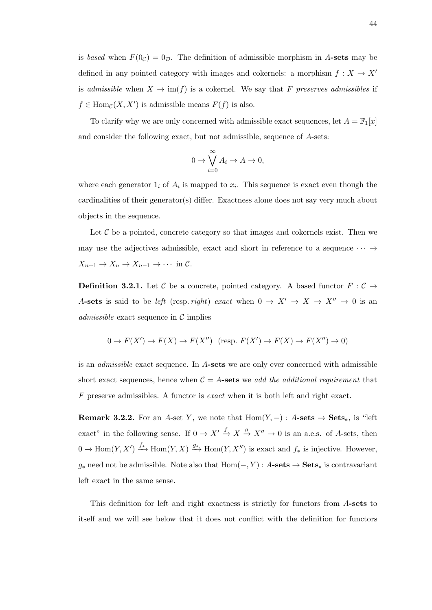is based when  $F(0<sub>C</sub>) = 0<sub>D</sub>$ . The definition of admissible morphism in A-sets may be defined in any pointed category with images and cokernels: a morphism  $f: X \to X'$ is admissible when  $X \to \text{im}(f)$  is a cokernel. We say that F preserves admissibles if  $f \in \text{Hom}_{\mathcal{C}}(X, X')$  is admissible means  $F(f)$  is also.

To clarify why we are only concerned with admissible exact sequences, let  $A = \mathbb{F}_1[x]$ and consider the following exact, but not admissible, sequence of A-sets:

$$
0 \to \bigvee_{i=0}^{\infty} A_i \to A \to 0,
$$

where each generator  $1_i$  of  $A_i$  is mapped to  $x_i$ . This sequence is exact even though the cardinalities of their generator(s) differ. Exactness alone does not say very much about objects in the sequence.

Let  $C$  be a pointed, concrete category so that images and cokernels exist. Then we may use the adjectives admissible, exact and short in reference to a sequence  $\cdots \rightarrow$  $X_{n+1} \to X_n \to X_{n-1} \to \cdots$  in C.

**Definition 3.2.1.** Let C be a concrete, pointed category. A based functor  $F : \mathcal{C} \to$ A-sets is said to be left (resp. right) exact when  $0 \to X' \to X \to X'' \to 0$  is an *admissible* exact sequence in  $\mathcal{C}$  implies

$$
0 \to F(X') \to F(X) \to F(X'')
$$
 (resp.  $F(X') \to F(X) \to F(X'') \to 0$ )

is an admissible exact sequence. In A-sets we are only ever concerned with admissible short exact sequences, hence when  $C = A$ -sets we add the additional requirement that  $F$  preserve admissibles. A functor is *exact* when it is both left and right exact.

**Remark 3.2.2.** For an A-set Y, we note that  $Hom(Y, -) : A\text{-sets} \to \text{Sets}_*$ , is "left exact" in the following sense. If  $0 \to X' \to X \to X'' \to 0$  is an a.e.s. of A-sets, then  $0 \to \text{Hom}(Y, X') \xrightarrow{f_*} \text{Hom}(Y, X) \xrightarrow{g_*} \text{Hom}(Y, X'')$  is exact and  $f_*$  is injective. However,  $g_*$  need not be admissible. Note also that  $Hom(-, Y) : A\text{-sets} \to \text{Sets}_*$  is contravariant left exact in the same sense.

This definition for left and right exactness is strictly for functors from A-sets to itself and we will see below that it does not conflict with the definition for functors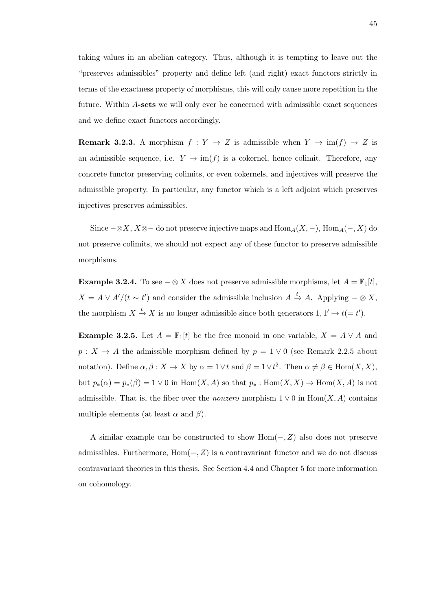taking values in an abelian category. Thus, although it is tempting to leave out the "preserves admissibles" property and define left (and right) exact functors strictly in terms of the exactness property of morphisms, this will only cause more repetition in the future. Within A-sets we will only ever be concerned with admissible exact sequences and we define exact functors accordingly.

**Remark 3.2.3.** A morphism  $f: Y \to Z$  is admissible when  $Y \to \text{im}(f) \to Z$  is an admissible sequence, i.e.  $Y \to \text{im}(f)$  is a cokernel, hence colimit. Therefore, any concrete functor preserving colimits, or even cokernels, and injectives will preserve the admissible property. In particular, any functor which is a left adjoint which preserves injectives preserves admissibles.

Since  $-\otimes X$ ,  $X\otimes-\infty$  do not preserve injective maps and  $\text{Hom}_A(X,-)$ ,  $\text{Hom}_A(-,X)$  do not preserve colimits, we should not expect any of these functor to preserve admissible morphisms.

**Example 3.2.4.** To see  $-\otimes X$  does not preserve admissible morphisms, let  $A = \mathbb{F}_1[t]$ ,  $X = A \vee A'/(t \sim t')$  and consider the admissible inclusion  $A \stackrel{t}{\to} A$ . Applying  $-\otimes X$ , the morphism  $X \stackrel{t}{\to} X$  is no longer admissible since both generators  $1, 1' \mapsto t(= t')$ .

**Example 3.2.5.** Let  $A = \mathbb{F}_1[t]$  be the free monoid in one variable,  $X = A \vee A$  and  $p: X \to A$  the admissible morphism defined by  $p = 1 \vee 0$  (see Remark 2.2.5 about notation). Define  $\alpha, \beta : X \to X$  by  $\alpha = 1 \vee t$  and  $\beta = 1 \vee t^2$ . Then  $\alpha \neq \beta \in \text{Hom}(X, X)$ , but  $p_*(\alpha) = p_*(\beta) = 1 \vee 0$  in  $\text{Hom}(X, A)$  so that  $p_* : \text{Hom}(X, X) \to \text{Hom}(X, A)$  is not admissible. That is, the fiber over the *nonzero* morphism  $1 \vee 0$  in Hom $(X, A)$  contains multiple elements (at least  $\alpha$  and  $\beta$ ).

A similar example can be constructed to show  $Hom(-, Z)$  also does not preserve admissibles. Furthermore,  $Hom(-, Z)$  is a contravariant functor and we do not discuss contravariant theories in this thesis. See Section 4.4 and Chapter 5 for more information on cohomology.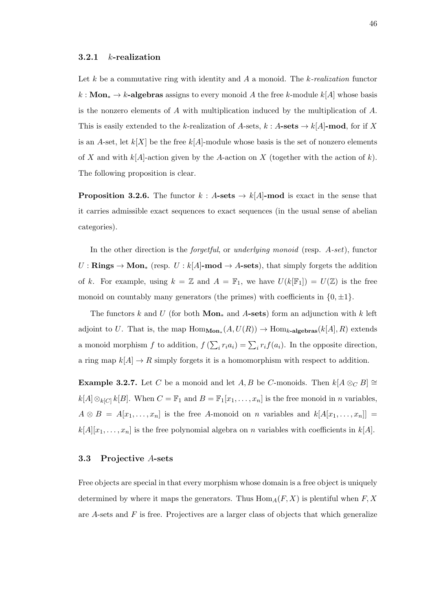Let k be a commutative ring with identity and A a monoid. The k-realization functor  $k : \textbf{Mon}_* \to k$ -algebras assigns to every monoid A the free k-module  $k[A]$  whose basis is the nonzero elements of A with multiplication induced by the multiplication of A. This is easily extended to the k-realization of A-sets,  $k : A\text{-sets} \to k[A]\text{-mod}$ , for if X is an A-set, let  $k[X]$  be the free  $k[A]$ -module whose basis is the set of nonzero elements of X and with  $k[A]$ -action given by the A-action on X (together with the action of k). The following proposition is clear.

**Proposition 3.2.6.** The functor  $k : A\text{-sets} \to k[A]\text{-mod}$  is exact in the sense that it carries admissible exact sequences to exact sequences (in the usual sense of abelian categories).

In the other direction is the *forgetful*, or *underlying monoid* (resp.  $A\text{-}set$ ), functor  $U : \mathbf{Rings} \to \mathbf{Mon}_*$  (resp.  $U : k[A]$ -mod  $\to A$ -sets), that simply forgets the addition of k. For example, using  $k = \mathbb{Z}$  and  $A = \mathbb{F}_1$ , we have  $U(k[\mathbb{F}_1]) = U(\mathbb{Z})$  is the free monoid on countably many generators (the primes) with coefficients in  $\{0, \pm 1\}$ .

The functors k and U (for both  $\mathbf{Mon}_*$  and A-sets) form an adjunction with k left adjoint to U. That is, the map  $\text{Hom}_{\text{Mon}_*}(A, U(R)) \to \text{Hom}_{k\text{-algebras}}(k[A], R)$  extends a monoid morphism f to addition,  $f\left(\sum_i r_i a_i\right) = \sum_i r_i f(a_i)$ . In the opposite direction, a ring map  $k[A] \rightarrow R$  simply forgets it is a homomorphism with respect to addition.

**Example 3.2.7.** Let C be a monoid and let A, B be C-monoids. Then  $k[A \otimes_C B] \cong$  $k[A]\otimes_{k[C]}k[B]$ . When  $C=\mathbb{F}_1$  and  $B=\mathbb{F}_1[x_1,\ldots,x_n]$  is the free monoid in n variables,  $A \otimes B = A[x_1, \ldots, x_n]$  is the free A-monoid on n variables and  $k[A[x_1, \ldots, x_n]] =$  $k[A][x_1, \ldots, x_n]$  is the free polynomial algebra on n variables with coefficients in  $k[A]$ .

#### 3.3 Projective A-sets

Free objects are special in that every morphism whose domain is a free object is uniquely determined by where it maps the generators. Thus  $\text{Hom}_A(F, X)$  is plentiful when  $F, X$ are  $A$ -sets and  $F$  is free. Projectives are a larger class of objects that which generalize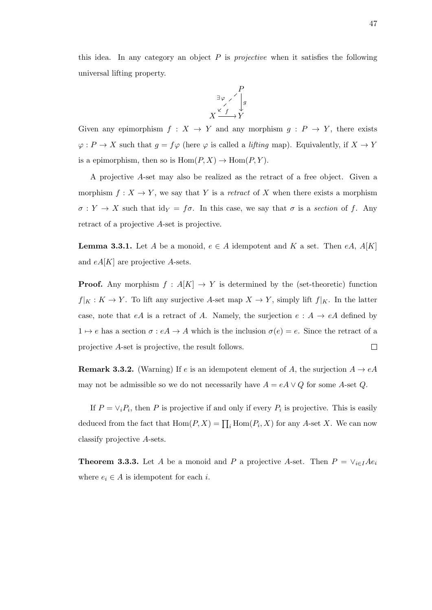this idea. In any category an object  $P$  is *projective* when it satisfies the following universal lifting property.



Given any epimorphism  $f: X \to Y$  and any morphism  $g: P \to Y$ , there exists  $\varphi: P \to X$  such that  $g = f\varphi$  (here  $\varphi$  is called a *lifting* map). Equivalently, if  $X \to Y$ is a epimorphism, then so is  $Hom(P, X) \to Hom(P, Y)$ .

A projective A-set may also be realized as the retract of a free object. Given a morphism  $f: X \to Y$ , we say that Y is a retract of X when there exists a morphism  $\sigma: Y \to X$  such that id $_Y = f\sigma$ . In this case, we say that  $\sigma$  is a section of f. Any retract of a projective A-set is projective.

**Lemma 3.3.1.** Let A be a monoid,  $e \in A$  idempotent and K a set. Then eA,  $A[K]$ and  $eA[K]$  are projective A-sets.

**Proof.** Any morphism  $f : A[K] \rightarrow Y$  is determined by the (set-theoretic) function  $f|_K : K \to Y$ . To lift any surjective A-set map  $X \to Y$ , simply lift  $f|_K$ . In the latter case, note that eA is a retract of A. Namely, the surjection  $e : A \rightarrow eA$  defined by  $1 \mapsto e$  has a section  $\sigma : eA \to A$  which is the inclusion  $\sigma(e) = e$ . Since the retract of a  $\Box$ projective A-set is projective, the result follows.

**Remark 3.3.2.** (Warning) If e is an idempotent element of A, the surjection  $A \rightarrow eA$ may not be admissible so we do not necessarily have  $A = eA \vee Q$  for some A-set Q.

If  $P = \vee_i P_i$ , then P is projective if and only if every  $P_i$  is projective. This is easily deduced from the fact that  $\text{Hom}(P, X) = \prod_i \text{Hom}(P_i, X)$  for any A-set X. We can now classify projective A-sets.

**Theorem 3.3.3.** Let A be a monoid and P a projective A-set. Then  $P = \vee_{i \in I} Ae_i$ where  $e_i \in A$  is idempotent for each i.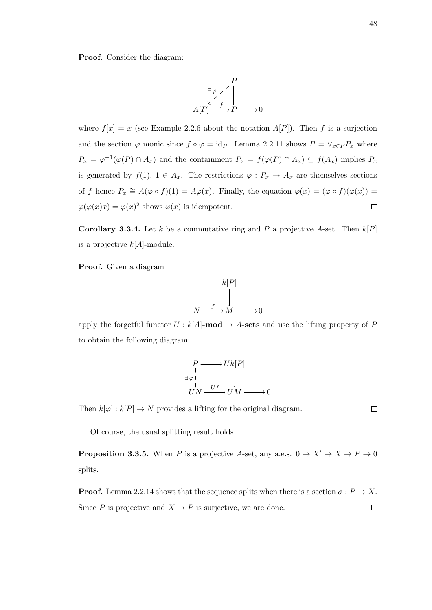Proof. Consider the diagram:

$$
A[P] \xrightarrow{\exists \varphi \ \checkmark} P
$$
  

$$
A[P] \xrightarrow{\checkmark} P \longrightarrow 0
$$

where  $f[x] = x$  (see Example 2.2.6 about the notation  $A[P]$ ). Then f is a surjection and the section  $\varphi$  monic since  $f \circ \varphi = id_P$ . Lemma 2.2.11 shows  $P = \vee_{x \in P} P_x$  where  $P_x = \varphi^{-1}(\varphi(P) \cap A_x)$  and the containment  $P_x = f(\varphi(P) \cap A_x) \subseteq f(A_x)$  implies  $P_x$ is generated by  $f(1), 1 \in A_x$ . The restrictions  $\varphi : P_x \to A_x$  are themselves sections of f hence  $P_x \cong A(\varphi \circ f)(1) = A\varphi(x)$ . Finally, the equation  $\varphi(x) = (\varphi \circ f)(\varphi(x)) =$  $\varphi(\varphi(x)x) = \varphi(x)^2$  shows  $\varphi(x)$  is idempotent.  $\Box$ 

**Corollary 3.3.4.** Let k be a commutative ring and P a projective A-set. Then  $k[P]$ is a projective  $k[A]$ -module.

Proof. Given a diagram

$$
k[P]
$$
  
\n
$$
\downarrow
$$
  
\n
$$
N \xrightarrow{f} M \xrightarrow{0} 0
$$

apply the forgetful functor  $U : k[A]$ -mod  $\rightarrow A$ -sets and use the lifting property of P to obtain the following diagram:

$$
\begin{array}{ccc}\nP & \longrightarrow Uk[P] \\
\downarrow & & \downarrow \\
\downarrow & & \downarrow \\
UN & \xrightarrow{Uf} & UM \longrightarrow 0\n\end{array}
$$

Then  $k[\varphi]: k[P] \to N$  provides a lifting for the original diagram.

Of course, the usual splitting result holds.

**Proposition 3.3.5.** When P is a projective A-set, any a.e.s.  $0 \to X' \to X \to P \to 0$ splits.

**Proof.** Lemma 2.2.14 shows that the sequence splits when there is a section  $\sigma : P \to X$ . Since P is projective and  $X \to P$  is surjective, we are done.  $\Box$ 

 $\Box$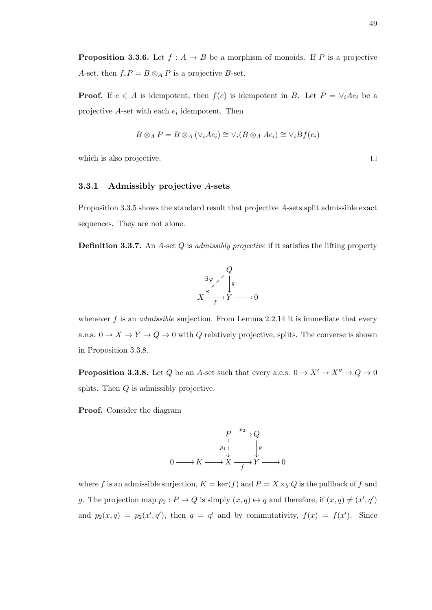**Proposition 3.3.6.** Let  $f : A \rightarrow B$  be a morphism of monoids. If P is a projective A-set, then  $f_*P = B \otimes_A P$  is a projective B-set.

**Proof.** If  $e \in A$  is idempotent, then  $f(e)$  is idempotent in B. Let  $P = \vee_i Ae_i$  be a projective  $A$ -set with each  $e_i$  idempotent. Then

$$
B \otimes_A P = B \otimes_A (\vee_i Ae_i) \cong \vee_i (B \otimes_A Ae_i) \cong \vee_i Bf(e_i)
$$

which is also projective.

#### 3.3.1 Admissibly projective A-sets

Proposition 3.3.5 shows the standard result that projective A-sets split admissible exact sequences. They are not alone.

**Definition 3.3.7.** An A-set Q is admissibly projective if it satisfies the lifting property



whenever  $f$  is an *admissible* surjection. From Lemma 2.2.14 it is immediate that every a.e.s.  $0 \to X \to Y \to Q \to 0$  with  $Q$  relatively projective, splits. The converse is shown in Proposition 3.3.8.

**Proposition 3.3.8.** Let  $Q$  be an A-set such that every a.e.s.  $0 \to X' \to X'' \to Q \to 0$ splits. Then Q is admissibly projective.

Proof. Consider the diagram

$$
P - \overset{p_2}{\longrightarrow} Q
$$
  
\n
$$
p_1 \downarrow \qquad \qquad g
$$
  
\n
$$
0 \longrightarrow K \longrightarrow X \longrightarrow Y \longrightarrow 0
$$

where f is an admissible surjection,  $K = \ker(f)$  and  $P = X \times_Y Q$  is the pullback of f and g. The projection map  $p_2: P \to Q$  is simply  $(x, q) \mapsto q$  and therefore, if  $(x, q) \neq (x', q')$ and  $p_2(x,q) = p_2(x',q')$ , then  $q = q'$  and by commutativity,  $f(x) = f(x')$ . Since

 $\Box$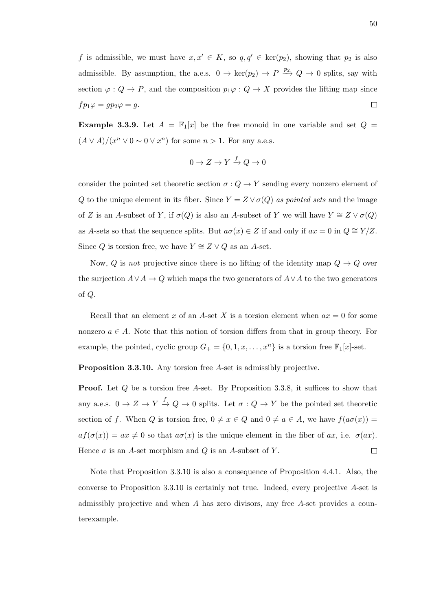f is admissible, we must have  $x, x' \in K$ , so  $q, q' \in \text{ker}(p_2)$ , showing that  $p_2$  is also admissible. By assumption, the a.e.s.  $0 \to \text{ker}(p_2) \to P \xrightarrow{p_2} Q \to 0$  splits, say with section  $\varphi: Q \to P$ , and the composition  $p_1\varphi: Q \to X$  provides the lifting map since  $fp_1\varphi = gp_2\varphi = g.$  $\Box$ 

**Example 3.3.9.** Let  $A = \mathbb{F}_1[x]$  be the free monoid in one variable and set  $Q =$  $(A \vee A)/(x^n \vee 0 \sim 0 \vee x^n)$  for some  $n > 1$ . For any a.e.s.

$$
0 \to Z \to Y \xrightarrow{f} Q \to 0
$$

consider the pointed set theoretic section  $\sigma: Q \to Y$  sending every nonzero element of Q to the unique element in its fiber. Since  $Y = Z \vee \sigma(Q)$  as pointed sets and the image of Z is an A-subset of Y, if  $\sigma(Q)$  is also an A-subset of Y we will have  $Y \cong Z \vee \sigma(Q)$ as A-sets so that the sequence splits. But  $a\sigma(x) \in Z$  if and only if  $ax = 0$  in  $Q \cong Y/Z$ . Since Q is torsion free, we have  $Y \cong Z \vee Q$  as an A-set.

Now, Q is not projective since there is no lifting of the identity map  $Q \to Q$  over the surjection  $A \vee A \to Q$  which maps the two generators of  $A \vee A$  to the two generators of Q.

Recall that an element x of an A-set X is a torsion element when  $ax = 0$  for some nonzero  $a \in A$ . Note that this notion of torsion differs from that in group theory. For example, the pointed, cyclic group  $G_+ = \{0, 1, x, \ldots, x^n\}$  is a torsion free  $\mathbb{F}_1[x]$ -set.

Proposition 3.3.10. Any torsion free A-set is admissibly projective.

**Proof.** Let Q be a torsion free A-set. By Proposition 3.3.8, it suffices to show that any a.e.s.  $0 \to Z \to Y \to Q \to 0$  splits. Let  $\sigma: Q \to Y$  be the pointed set theoretic section of f. When Q is torsion free,  $0 \neq x \in Q$  and  $0 \neq a \in A$ , we have  $f(a\sigma(x)) =$  $af(\sigma(x)) = ax \neq 0$  so that  $a\sigma(x)$  is the unique element in the fiber of ax, i.e.  $\sigma(ax)$ . Hence  $\sigma$  is an A-set morphism and Q is an A-subset of Y.  $\Box$ 

Note that Proposition 3.3.10 is also a consequence of Proposition 4.4.1. Also, the converse to Proposition 3.3.10 is certainly not true. Indeed, every projective A-set is admissibly projective and when A has zero divisors, any free A-set provides a counterexample.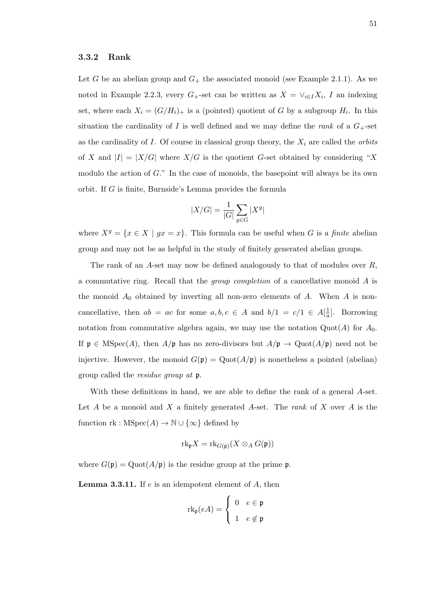#### 3.3.2 Rank

Let G be an abelian group and  $G_{+}$  the associated monoid (see Example 2.1.1). As we noted in Example 2.2.3, every  $G_+$ -set can be written as  $X = \vee_{i \in I} X_i$ , I an indexing set, where each  $X_i = (G/H_i)_+$  is a (pointed) quotient of G by a subgroup  $H_i$ . In this situation the cardinality of I is well defined and we may define the rank of a  $G_{+}$ -set as the cardinality of  $I$ . Of course in classical group theory, the  $X_i$  are called the *orbits* of X and  $|I| = |X/G|$  where  $X/G$  is the quotient G-set obtained by considering "X modulo the action of  $G$ ." In the case of monoids, the basepoint will always be its own orbit. If G is finite, Burnside's Lemma provides the formula

$$
|X/G| = \frac{1}{|G|} \sum_{g \in G} |X^g|
$$

where  $X^g = \{x \in X \mid gx = x\}$ . This formula can be useful when G is a *finite* abelian group and may not be as helpful in the study of finitely generated abelian groups.

The rank of an  $A$ -set may now be defined analogously to that of modules over  $R$ , a commutative ring. Recall that the group completion of a cancellative monoid A is the monoid  $A_0$  obtained by inverting all non-zero elements of  $A$ . When  $A$  is noncancellative, then  $ab = ac$  for some  $a, b, c \in A$  and  $b/1 = c/1 \in A[\frac{1}{a}]$  $\frac{1}{a}$ . Borrowing notation from commutative algebra again, we may use the notation  $Quot(A)$  for  $A_0$ . If  $\mathfrak{p} \in \mathrm{MSpec}(A)$ , then  $A/\mathfrak{p}$  has no zero-divisors but  $A/\mathfrak{p} \to \mathrm{Quot}(A/\mathfrak{p})$  need not be injective. However, the monoid  $G(\mathfrak{p}) = \mathrm{Quot}(A/\mathfrak{p})$  is nonetheless a pointed (abelian) group called the residue group at p.

With these definitions in hand, we are able to define the rank of a general A-set. Let  $A$  be a monoid and  $X$  a finitely generated  $A$ -set. The *rank* of  $X$  over  $A$  is the function  $\operatorname{rk} : \operatorname{MSpec}(A) \to \mathbb{N} \cup \{\infty\}$  defined by

$$
rk_{\mathfrak{p}}X = rk_{G(\mathfrak{p})}(X \otimes_A G(\mathfrak{p}))
$$

where  $G(\mathfrak{p}) = \mathrm{Quot}(A/\mathfrak{p})$  is the residue group at the prime  $\mathfrak{p}$ .

**Lemma 3.3.11.** If  $e$  is an idempotent element of  $A$ , then

$$
\mathrm{rk}_{\mathfrak{p}}(eA) = \begin{cases} 0 & e \in \mathfrak{p} \\ 1 & e \notin \mathfrak{p} \end{cases}
$$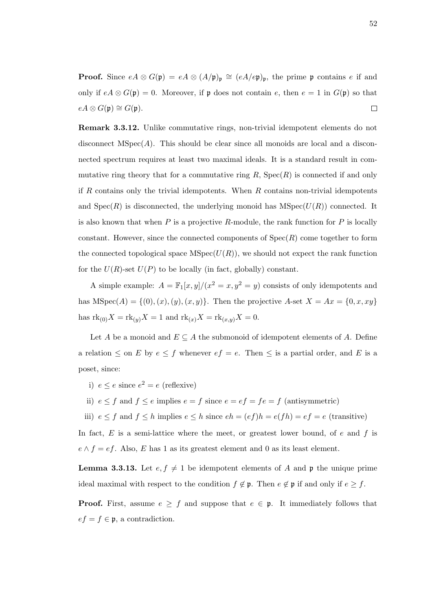**Proof.** Since  $eA \otimes G(\mathfrak{p}) = eA \otimes (A/\mathfrak{p})_{\mathfrak{p}} \cong (eA/e\mathfrak{p})_{\mathfrak{p}},$  the prime  $\mathfrak{p}$  contains e if and only if  $eA \otimes G(\mathfrak{p}) = 0$ . Moreover, if  $\mathfrak{p}$  does not contain e, then  $e = 1$  in  $G(\mathfrak{p})$  so that  $eA \otimes G(\mathfrak{p}) \cong G(\mathfrak{p}).$  $\Box$ 

Remark 3.3.12. Unlike commutative rings, non-trivial idempotent elements do not disconnect  $MSpec(A)$ . This should be clear since all monoids are local and a disconnected spectrum requires at least two maximal ideals. It is a standard result in commutative ring theory that for a commutative ring  $R$ ,  $Spec(R)$  is connected if and only if R contains only the trivial idempotents. When  $R$  contains non-trivial idempotents and  $Spec(R)$  is disconnected, the underlying monoid has  $MSpec(U(R))$  connected. It is also known that when  $P$  is a projective  $R$ -module, the rank function for  $P$  is locally constant. However, since the connected components of  $Spec(R)$  come together to form the connected topological space  $MSpec(U(R))$ , we should not expect the rank function for the  $U(R)$ -set  $U(P)$  to be locally (in fact, globally) constant.

A simple example:  $A = \mathbb{F}_1[x, y]/(x^2 = x, y^2 = y)$  consists of only idempotents and has  $MSpec(A) = \{(0), (x), (y), (x, y)\}.$  Then the projective A-set  $X = Ax = \{0, x, xy\}$ has  $\mathrm{rk}_{(0)}X = \mathrm{rk}_{(y)}X = 1$  and  $\mathrm{rk}_{(x)}X = \mathrm{rk}_{(x,y)}X = 0.$ 

Let A be a monoid and  $E \subseteq A$  the submonoid of idempotent elements of A. Define a relation  $\leq$  on E by  $e \leq f$  whenever  $ef = e$ . Then  $\leq$  is a partial order, and E is a poset, since:

- i)  $e \leq e$  since  $e^2 = e$  (reflexive)
- ii)  $e \le f$  and  $f \le e$  implies  $e = f$  since  $e = ef = fe = f$  (antisymmetric)

iii)  $e \le f$  and  $f \le h$  implies  $e \le h$  since  $eh = (ef)h = e(fh) = ef = e$  (transitive)

In fact,  $E$  is a semi-lattice where the meet, or greatest lower bound, of  $e$  and  $f$  is  $e \wedge f = ef$ . Also, E has 1 as its greatest element and 0 as its least element.

**Lemma 3.3.13.** Let  $e, f \neq 1$  be idempotent elements of A and  $\mathfrak{p}$  the unique prime ideal maximal with respect to the condition  $f \notin \mathfrak{p}$ . Then  $e \notin \mathfrak{p}$  if and only if  $e \geq f$ .

**Proof.** First, assume  $e \geq f$  and suppose that  $e \in \mathfrak{p}$ . It immediately follows that  $ef = f \in \mathfrak{p}$ , a contradiction.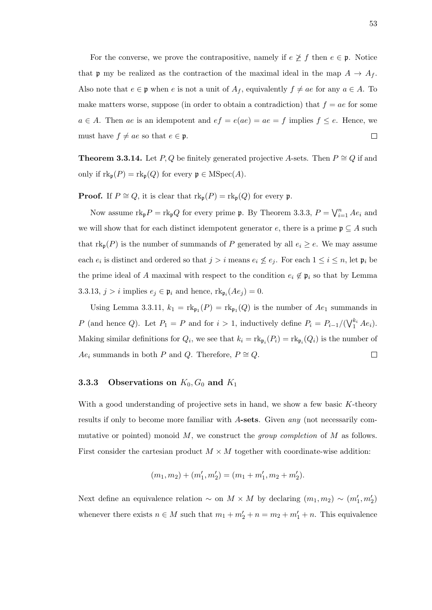For the converse, we prove the contrapositive, namely if  $e \not\geq f$  then  $e \in \mathfrak{p}$ . Notice that **p** my be realized as the contraction of the maximal ideal in the map  $A \rightarrow A_f$ . Also note that  $e \in \mathfrak{p}$  when e is not a unit of  $A_f$ , equivalently  $f \neq ae$  for any  $a \in A$ . To make matters worse, suppose (in order to obtain a contradiction) that  $f = ae$  for some  $a \in A$ . Then ae is an idempotent and  $ef = e(ae) = ae = f$  implies  $f \leq e$ . Hence, we must have  $f \neq ae$  so that  $e \in \mathfrak{p}$ .  $\Box$ 

**Theorem 3.3.14.** Let P, Q be finitely generated projective A-sets. Then  $P \cong Q$  if and only if  $\text{rk}_{\mathfrak{p}}(P) = \text{rk}_{\mathfrak{p}}(Q)$  for every  $\mathfrak{p} \in \text{MSpec}(A)$ .

**Proof.** If  $P \cong Q$ , it is clear that  $\text{rk}_{\text{p}}(P) = \text{rk}_{\text{p}}(Q)$  for every  $\text{p}$ .

Now assume  $\text{rk}_{\text{p}}P = \text{rk}_{\text{p}}Q$  for every prime  $\text{p}$ . By Theorem 3.3.3,  $P = \bigvee_{i=1}^{n} Ae_i$  and we will show that for each distinct idempotent generator e, there is a prime  $\mathfrak{p} \subseteq A$  such that  $\text{rk}_{\text{p}}(P)$  is the number of summands of P generated by all  $e_i \geq e$ . We may assume each  $e_i$  is distinct and ordered so that  $j > i$  means  $e_i \nleq e_j$ . For each  $1 \leq i \leq n$ , let  $\mathfrak{p}_i$  be the prime ideal of A maximal with respect to the condition  $e_i \notin \mathfrak{p}_i$  so that by Lemma 3.3.13,  $j > i$  implies  $e_j \in \mathfrak{p}_i$  and hence,  $\text{rk}_{\mathfrak{p}_i}(Ae_j) = 0$ .

Using Lemma 3.3.11,  $k_1 = \text{rk}_{\mathfrak{p}_1}(P) = \text{rk}_{\mathfrak{p}_1}(Q)$  is the number of  $Ae_1$  summands in P (and hence Q). Let  $P_1 = P$  and for  $i > 1$ , inductively define  $P_i = P_{i-1}/(\sqrt{N_1^{k_i}} A e_i)$ . Making similar definitions for  $Q_i$ , we see that  $k_i = \text{rk}_{\mathfrak{p}_i}(P_i) = \text{rk}_{\mathfrak{p}_i}(Q_i)$  is the number of  $Ae_i$  summands in both P and Q. Therefore,  $P \cong Q$ .  $\Box$ 

## **3.3.3** Observations on  $K_0$ ,  $G_0$  and  $K_1$

With a good understanding of projective sets in hand, we show a few basic K-theory results if only to become more familiar with A-sets. Given any (not necessarily commutative or pointed) monoid  $M$ , we construct the *group completion* of  $M$  as follows. First consider the cartesian product  $M \times M$  together with coordinate-wise addition:

$$
(m_1, m_2) + (m_1', m_2') = (m_1 + m_1', m_2 + m_2').
$$

Next define an equivalence relation  $\sim$  on  $M \times M$  by declaring  $(m_1, m_2) \sim (m'_1, m'_2)$ whenever there exists  $n \in M$  such that  $m_1 + m_2' + n = m_2 + m_1' + n$ . This equivalence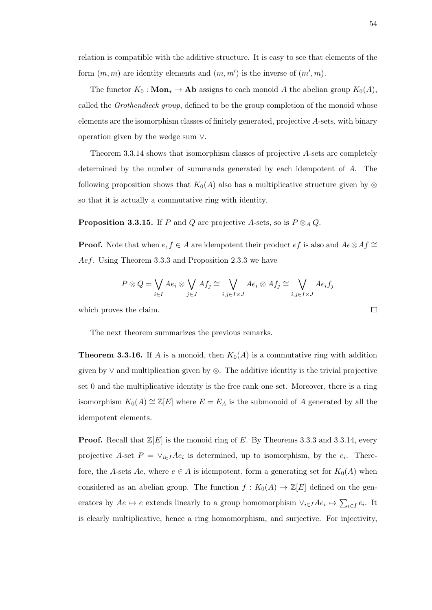relation is compatible with the additive structure. It is easy to see that elements of the form  $(m, m)$  are identity elements and  $(m, m')$  is the inverse of  $(m', m)$ .

The functor  $K_0$ : **Mon**<sup>\*</sup> → **Ap** assigns to each monoid A the abelian group  $K_0(A)$ , called the *Grothendieck group*, defined to be the group completion of the monoid whose elements are the isomorphism classes of finitely generated, projective A-sets, with binary operation given by the wedge sum ∨.

Theorem 3.3.14 shows that isomorphism classes of projective A-sets are completely determined by the number of summands generated by each idempotent of A. The following proposition shows that  $K_0(A)$  also has a multiplicative structure given by ⊗ so that it is actually a commutative ring with identity.

**Proposition 3.3.15.** If P and Q are projective A-sets, so is  $P \otimes_A Q$ .

**Proof.** Note that when  $e, f \in A$  are idempotent their product  $ef$  is also and  $Ae \otimes Af \cong \overline{A}$ Aef. Using Theorem 3.3.3 and Proposition 2.3.3 we have

$$
P \otimes Q = \bigvee_{i \in I} Ae_i \otimes \bigvee_{j \in J} Af_j \cong \bigvee_{i,j \in I \times J} Ae_i \otimes Af_j \cong \bigvee_{i,j \in I \times J} Ae_if_j
$$

which proves the claim.

The next theorem summarizes the previous remarks.

**Theorem 3.3.16.** If A is a monoid, then  $K_0(A)$  is a commutative ring with addition given by  $\vee$  and multiplication given by  $\otimes$ . The additive identity is the trivial projective set 0 and the multiplicative identity is the free rank one set. Moreover, there is a ring isomorphism  $K_0(A) \cong \mathbb{Z}[E]$  where  $E = E_A$  is the submonoid of A generated by all the idempotent elements.

**Proof.** Recall that  $\mathbb{Z}[E]$  is the monoid ring of E. By Theorems 3.3.3 and 3.3.14, every projective A-set  $P = \vee_{i \in I} Ae_i$  is determined, up to isomorphism, by the  $e_i$ . Therefore, the A-sets Ae, where  $e \in A$  is idempotent, form a generating set for  $K_0(A)$  when considered as an abelian group. The function  $f: K_0(A) \to \mathbb{Z}[E]$  defined on the generators by  $Ae \mapsto e$  extends linearly to a group homomorphism  $\vee_{i \in I} Ae_i \mapsto \sum_{i \in I} e_i$ . It is clearly multiplicative, hence a ring homomorphism, and surjective. For injectivity,

$$
\Box
$$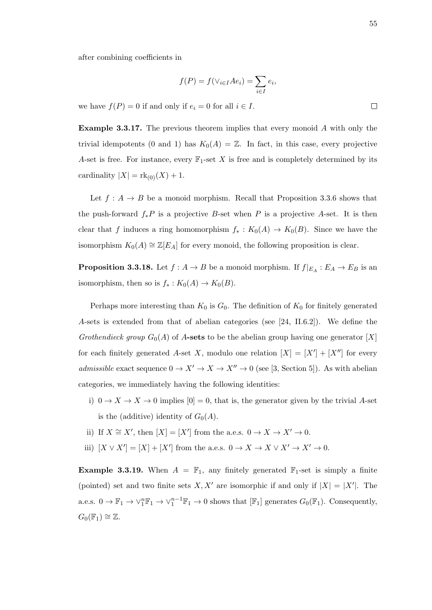55

after combining coefficients in

$$
f(P) = f(\vee_{i \in I} Ae_i) = \sum_{i \in I} e_i,
$$

we have  $f(P) = 0$  if and only if  $e_i = 0$  for all  $i \in I$ .

Example 3.3.17. The previous theorem implies that every monoid A with only the trivial idempotents (0 and 1) has  $K_0(A) = \mathbb{Z}$ . In fact, in this case, every projective A-set is free. For instance, every  $\mathbb{F}_1$ -set X is free and is completely determined by its cardinality  $|X| = \text{rk}_{(0)}(X) + 1$ .

Let  $f: A \rightarrow B$  be a monoid morphism. Recall that Proposition 3.3.6 shows that the push-forward  $f_*P$  is a projective B-set when P is a projective A-set. It is then clear that f induces a ring homomorphism  $f_* : K_0(A) \to K_0(B)$ . Since we have the isomorphism  $K_0(A) \cong \mathbb{Z}[E_A]$  for every monoid, the following proposition is clear.

**Proposition 3.3.18.** Let  $f: A \to B$  be a monoid morphism. If  $f|_{E_A}: E_A \to E_B$  is an isomorphism, then so is  $f_* : K_0(A) \to K_0(B)$ .

Perhaps more interesting than  $K_0$  is  $G_0$ . The definition of  $K_0$  for finitely generated A-sets is extended from that of abelian categories (see [24, II.6.2]). We define the Grothendieck group  $G_0(A)$  of A-sets to be the abelian group having one generator [X] for each finitely generated A-set X, modulo one relation  $|X| = |X'| + |X''|$  for every admissible exact sequence  $0 \to X' \to X \to X'' \to 0$  (see [3, Section 5]). As with abelian categories, we immediately having the following identities:

i)  $0 \to X \to X \to 0$  implies  $[0] = 0$ , that is, the generator given by the trivial A-set is the (additive) identity of  $G_0(A)$ .

ii) If 
$$
X \cong X'
$$
, then  $[X] = [X']$  from the a.e.s.  $0 \to X \to X' \to 0$ .

iii)  $[X \vee X'] = [X] + [X']$  from the a.e.s.  $0 \to X \to X \vee X' \to X' \to 0$ .

**Example 3.3.19.** When  $A = \mathbb{F}_1$ , any finitely generated  $\mathbb{F}_1$ -set is simply a finite (pointed) set and two finite sets X, X' are isomorphic if and only if  $|X| = |X'|$ . The a.e.s.  $0 \to \mathbb{F}_1 \to \vee_1^n \mathbb{F}_1 \to \vee_1^{n-1} \mathbb{F}_1 \to 0$  shows that  $[\mathbb{F}_1]$  generates  $G_0(\mathbb{F}_1)$ . Consequently,  $G_0(\mathbb{F}_1) \cong \mathbb{Z}$ .

 $\Box$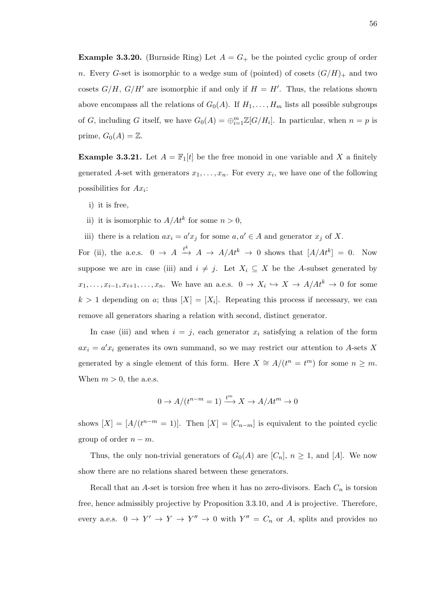**Example 3.3.20.** (Burnside Ring) Let  $A = G_+$  be the pointed cyclic group of order n. Every G-set is isomorphic to a wedge sum of (pointed) of cosets  $(G/H)_+$  and two cosets  $G/H$ ,  $G/H'$  are isomorphic if and only if  $H = H'$ . Thus, the relations shown above encompass all the relations of  $G_0(A)$ . If  $H_1, \ldots, H_m$  lists all possible subgroups of G, including G itself, we have  $G_0(A) = \bigoplus_{i=1}^m \mathbb{Z}[G/H_i]$ . In particular, when  $n = p$  is prime,  $G_0(A) = \mathbb{Z}$ .

**Example 3.3.21.** Let  $A = \mathbb{F}_1[t]$  be the free monoid in one variable and X a finitely generated A-set with generators  $x_1, \ldots, x_n$ . For every  $x_i$ , we have one of the following possibilities for  $Ax_i$ :

- i) it is free,
- ii) it is isomorphic to  $A/At^k$  for some  $n > 0$ ,
- iii) there is a relation  $ax_i = a'x_j$  for some  $a, a' \in A$  and generator  $x_j$  of X.

For (ii), the a.e.s.  $0 \to A \stackrel{t^k}{\to} A \to A/At^k \to 0$  shows that  $[A/At^k] = 0$ . Now suppose we are in case (iii) and  $i \neq j$ . Let  $X_i \subseteq X$  be the A-subset generated by  $x_1, \ldots, x_{i-1}, x_{i+1}, \ldots, x_n$ . We have an a.e.s.  $0 \to X_i \hookrightarrow X \to A/At^k \to 0$  for some  $k > 1$  depending on a; thus  $[X] = [X_i]$ . Repeating this process if necessary, we can remove all generators sharing a relation with second, distinct generator.

In case (iii) and when  $i = j$ , each generator  $x_i$  satisfying a relation of the form  $ax_i = a'x_i$  generates its own summand, so we may restrict our attention to A-sets X generated by a single element of this form. Here  $X \cong A/(t^n = t^m)$  for some  $n \geq m$ . When  $m > 0$ , the a.e.s.

$$
0 \to A/(t^{n-m} = 1) \xrightarrow{t^m} X \to A/At^m \to 0
$$

shows  $[X] = [A/(t^{n-m} = 1)].$  Then  $[X] = [C_{n-m}]$  is equivalent to the pointed cyclic group of order  $n - m$ .

Thus, the only non-trivial generators of  $G_0(A)$  are  $[C_n]$ ,  $n \geq 1$ , and [A]. We now show there are no relations shared between these generators.

Recall that an A-set is torsion free when it has no zero-divisors. Each  $C_n$  is torsion free, hence admissibly projective by Proposition 3.3.10, and A is projective. Therefore, every a.e.s.  $0 \to Y' \to Y \to Y'' \to 0$  with  $Y'' = C_n$  or A, splits and provides no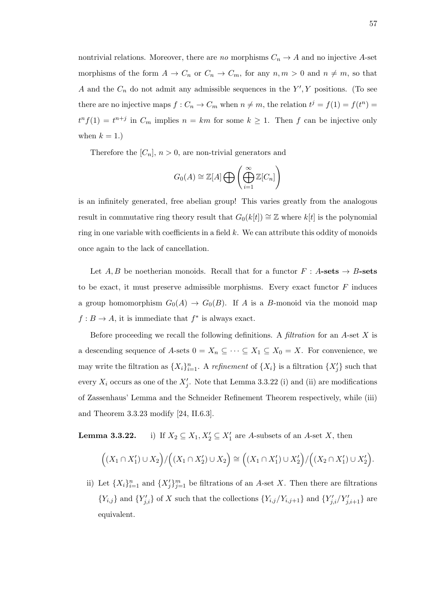nontrivial relations. Moreover, there are no morphisms  $C_n \to A$  and no injective A-set morphisms of the form  $A \to C_n$  or  $C_n \to C_m$ , for any  $n, m > 0$  and  $n \neq m$ , so that A and the  $C_n$  do not admit any admissible sequences in the  $Y', Y$  positions. (To see there are no injective maps  $f: C_n \to C_m$  when  $n \neq m$ , the relation  $t^j = f(1) = f(t^n) =$  $t^n f(1) = t^{n+j}$  in  $C_m$  implies  $n = km$  for some  $k \ge 1$ . Then f can be injective only when  $k = 1.$ )

Therefore the  $[C_n]$ ,  $n > 0$ , are non-trivial generators and

$$
G_0(A) \cong \mathbb{Z}[A] \bigoplus \left( \bigoplus_{i=1}^{\infty} \mathbb{Z}[C_n] \right)
$$

is an infinitely generated, free abelian group! This varies greatly from the analogous result in commutative ring theory result that  $G_0(k[t]) \cong \mathbb{Z}$  where  $k[t]$  is the polynomial ring in one variable with coefficients in a field  $k$ . We can attribute this oddity of monoids once again to the lack of cancellation.

Let A, B be noetherian monoids. Recall that for a functor  $F : A\text{-sets} \to B\text{-sets}$ to be exact, it must preserve admissible morphisms. Every exact functor  $F$  induces a group homomorphism  $G_0(A) \to G_0(B)$ . If A is a B-monoid via the monoid map  $f: B \to A$ , it is immediate that  $f^*$  is always exact.

Before proceeding we recall the following definitions. A filtration for an  $A$ -set  $X$  is a descending sequence of A-sets  $0 = X_n \subseteq \cdots \subseteq X_1 \subseteq X_0 = X$ . For convenience, we may write the filtration as  $\{X_i\}_{i=1}^n$ . A refinement of  $\{X_i\}$  is a filtration  $\{X'_j\}$  such that every  $X_i$  occurs as one of the  $X'_j$ . Note that Lemma 3.3.22 (i) and (ii) are modifications of Zassenhaus' Lemma and the Schneider Refinement Theorem respectively, while (iii) and Theorem 3.3.23 modify [24, II.6.3].

**Lemma 3.3.22.** i) If  $X_2 \subseteq X_1, X_2' \subseteq X_1'$  are A-subsets of an A-set X, then

$$
((X_1 \cap X_1') \cup X_2) / ((X_1 \cap X_2') \cup X_2) \cong ((X_1 \cap X_1') \cup X_2') / ((X_2 \cap X_1') \cup X_2').
$$

ii) Let  $\{X_i\}_{i=1}^n$  and  $\{X'_j\}_{j=1}^m$  be filtrations of an A-set X. Then there are filtrations  ${Y_{i,j}}$  and  ${Y'_{j,i}}$  of X such that the collections  ${Y_{i,j}}/Y_{i,j+1}$  and  ${Y'_{j,i}}/Y'_{j,i+1}$  are equivalent.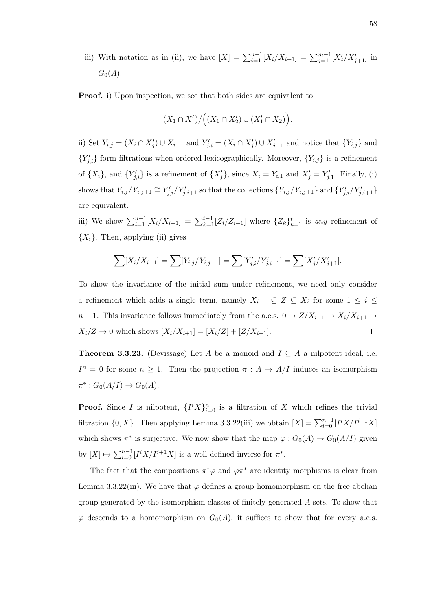iii) With notation as in (ii), we have  $[X] = \sum_{i=1}^{n-1} [X_i/X_{i+1}] = \sum_{j=1}^{m-1} [X'_j/X'_{j+1}]$  in  $G_0(A)$ .

**Proof.** i) Upon inspection, we see that both sides are equivalent to

$$
(X_1 \cap X'_1) / ((X_1 \cap X'_2) \cup (X'_1 \cap X_2)).
$$

ii) Set  $Y_{i,j} = (X_i \cap X'_j) \cup X_{i+1}$  and  $Y'_{j,i} = (X_i \cap X'_j) \cup X'_{j+1}$  and notice that  $\{Y_{i,j}\}$  and  ${Y'_{j,i}}$  form filtrations when ordered lexicographically. Moreover,  ${Y_{i,j}}$  is a refinement of  $\{X_i\}$ , and  $\{Y'_{j,i}\}$  is a refinement of  $\{X'_j\}$ , since  $X_i = Y_{i,1}$  and  $X'_j = Y'_{j,1}$ . Finally, (i) shows that  $Y_{i,j}/Y_{i,j+1} \cong Y'_{j,i}/Y'_{j,i+1}$  so that the collections  $\{Y_{i,j}/Y_{i,j+1}\}$  and  $\{Y'_{j,i}/Y'_{j,i+1}\}$ are equivalent.

iii) We show  $\sum_{i=1}^{n-1} [X_i/X_{i+1}] = \sum_{k=1}^{t-1} [Z_i/Z_{i+1}]$  where  $\{Z_k\}_{k=1}^t$  is any refinement of  $\{X_i\}$ . Then, applying (ii) gives

$$
\sum [X_i/X_{i+1}] = \sum [Y_{i,j}/Y_{i,j+1}] = \sum [Y'_{j,i}/Y'_{j,i+1}] = \sum [X'_{j}/X'_{j+1}].
$$

To show the invariance of the initial sum under refinement, we need only consider a refinement which adds a single term, namely  $X_{i+1} \subseteq Z \subseteq X_i$  for some  $1 \leq i \leq$  $n-1$ . This invariance follows immediately from the a.e.s.  $0 \to Z/X_{i+1} \to X_i/X_{i+1} \to$  $X_i/Z \to 0$  which shows  $[X_i/X_{i+1}] = [X_i/Z] + [Z/X_{i+1}]$ .  $\Box$ 

**Theorem 3.3.23.** (Devissage) Let A be a monoid and  $I \subseteq A$  a nilpotent ideal, i.e.  $I^n = 0$  for some  $n \geq 1$ . Then the projection  $\pi : A \to A/I$  induces an isomorphism  $\pi^* : G_0(A/I) \to G_0(A).$ 

**Proof.** Since I is nilpotent,  $\{I^i X\}_{i=0}^n$  is a filtration of X which refines the trivial filtration  $\{0, X\}$ . Then applying Lemma 3.3.22(iii) we obtain  $[X] = \sum_{i=0}^{n-1} [I^i X / I^{i+1} X]$ which shows  $\pi^*$  is surjective. We now show that the map  $\varphi: G_0(A) \to G_0(A/I)$  given by  $[X] \mapsto \sum_{i=0}^{n-1} [I^i X / I^{i+1} X]$  is a well defined inverse for  $\pi^*$ .

The fact that the compositions  $\pi^*\varphi$  and  $\varphi\pi^*$  are identity morphisms is clear from Lemma 3.3.22(iii). We have that  $\varphi$  defines a group homomorphism on the free abelian group generated by the isomorphism classes of finitely generated A-sets. To show that  $\varphi$  descends to a homomorphism on  $G_0(A)$ , it suffices to show that for every a.e.s.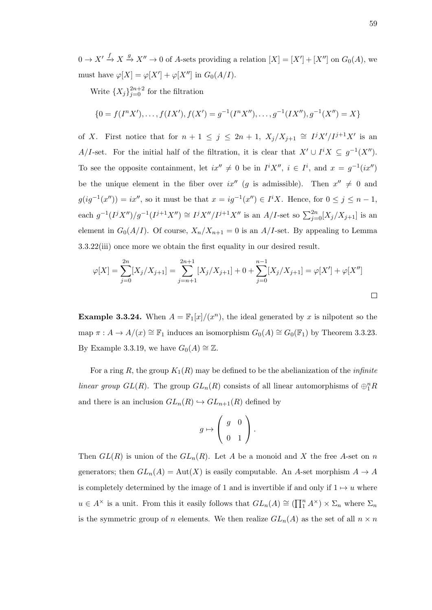$0 \to X' \to X \to X'' \to 0$  of A-sets providing a relation  $[X] = [X'] + [X'']$  on  $G_0(A)$ , we must have  $\varphi[X] = \varphi[X'] + \varphi[X'']$  in  $G_0(A/I)$ .

Write  $\{X_j\}_{j=0}^{2n+2}$  for the filtration

$$
\{0 = f(I^{n}X'), \ldots, f(IX'), f(X') = g^{-1}(I^{n}X''), \ldots, g^{-1}(IX''), g^{-1}(X'') = X\}
$$

of X. First notice that for  $n + 1 \leq j \leq 2n + 1$ ,  $X_j/X_{j+1} \cong I^jX'/I^{j+1}X'$  is an A/I-set. For the initial half of the filtration, it is clear that  $X' \cup I^i X \subseteq g^{-1}(X'')$ . To see the opposite containment, let  $ix'' \neq 0$  be in  $I^i X''$ ,  $i \in I^i$ , and  $x = g^{-1}(ix'')$ be the unique element in the fiber over ix'' (g is admissible). Then  $x'' \neq 0$  and  $g(ig^{-1}(x'')) = ix''$ , so it must be that  $x = ig^{-1}(x'') \in I^i X$ . Hence, for  $0 \le j \le n-1$ , each  $g^{-1}(I^jX'')/g^{-1}(I^{j+1}X'') \cong I^jX''/I^{j+1}X''$  is an  $A/I$ -set so  $\sum_{j=0}^{2n} [X_j/X_{j+1}]$  is an element in  $G_0(A/I)$ . Of course,  $X_n/X_{n+1} = 0$  is an  $A/I$ -set. By appealing to Lemma 3.3.22(iii) once more we obtain the first equality in our desired result.

$$
\varphi[X] = \sum_{j=0}^{2n} [X_j/X_{j+1}] = \sum_{j=n+1}^{2n+1} [X_j/X_{j+1}] + 0 + \sum_{j=0}^{n-1} [X_j/X_{j+1}] = \varphi[X'] + \varphi[X'']
$$

**Example 3.3.24.** When  $A = \mathbb{F}_1[x]/(x^n)$ , the ideal generated by x is nilpotent so the map  $\pi: A \to A/(x) \cong \mathbb{F}_1$  induces an isomorphism  $G_0(A) \cong G_0(\mathbb{F}_1)$  by Theorem 3.3.23. By Example 3.3.19, we have  $G_0(A) \cong \mathbb{Z}$ .

For a ring R, the group  $K_1(R)$  may be defined to be the abelianization of the *infinite* linear group  $GL(R)$ . The group  $GL_n(R)$  consists of all linear automorphisms of  $\bigoplus_{1}^{n}R$ and there is an inclusion  $GL_n(R) \hookrightarrow GL_{n+1}(R)$  defined by

$$
g \mapsto \left(\begin{array}{cc} g & 0 \\ 0 & 1 \end{array}\right).
$$

Then  $GL(R)$  is union of the  $GL_n(R)$ . Let A be a monoid and X the free A-set on n generators; then  $GL_n(A) = Aut(X)$  is easily computable. An A-set morphism  $A \to A$ is completely determined by the image of 1 and is invertible if and only if  $1 \mapsto u$  where  $u \in A^{\times}$  is a unit. From this it easily follows that  $GL_n(A) \cong (\prod_1^n A^{\times}) \times \Sigma_n$  where  $\Sigma_n$ is the symmetric group of n elements. We then realize  $GL_n(A)$  as the set of all  $n \times n$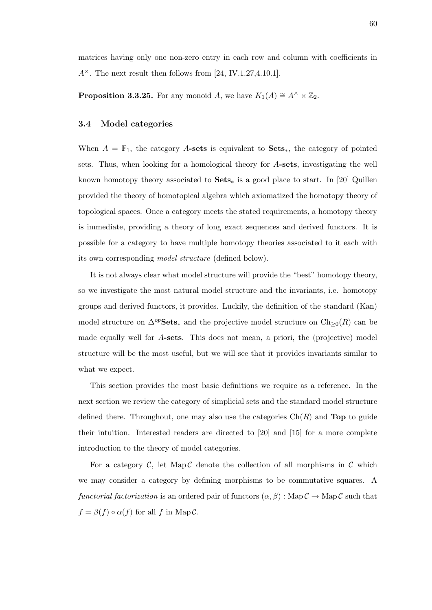matrices having only one non-zero entry in each row and column with coefficients in  $A^{\times}$ . The next result then follows from [24, IV.1.27,4.10.1].

**Proposition 3.3.25.** For any monoid A, we have  $K_1(A) \cong A^{\times} \times \mathbb{Z}_2$ .

## 3.4 Model categories

When  $A = \mathbb{F}_1$ , the category A-sets is equivalent to Sets<sub>\*</sub>, the category of pointed sets. Thus, when looking for a homological theory for A-sets, investigating the well known homotopy theory associated to  $\textbf{Sets}_*$  is a good place to start. In [20] Quillen provided the theory of homotopical algebra which axiomatized the homotopy theory of topological spaces. Once a category meets the stated requirements, a homotopy theory is immediate, providing a theory of long exact sequences and derived functors. It is possible for a category to have multiple homotopy theories associated to it each with its own corresponding model structure (defined below).

It is not always clear what model structure will provide the "best" homotopy theory, so we investigate the most natural model structure and the invariants, i.e. homotopy groups and derived functors, it provides. Luckily, the definition of the standard (Kan) model structure on  $\Delta^{op}$ **Sets**<sub>\*</sub> and the projective model structure on Ch<sub>≥0</sub>(R) can be made equally well for A-sets. This does not mean, a priori, the (projective) model structure will be the most useful, but we will see that it provides invariants similar to what we expect.

This section provides the most basic definitions we require as a reference. In the next section we review the category of simplicial sets and the standard model structure defined there. Throughout, one may also use the categories  $\mathrm{Ch}(R)$  and Top to guide their intuition. Interested readers are directed to [20] and [15] for a more complete introduction to the theory of model categories.

For a category  $\mathcal{C}$ , let Map  $\mathcal{C}$  denote the collection of all morphisms in  $\mathcal{C}$  which we may consider a category by defining morphisms to be commutative squares. A functorial factorization is an ordered pair of functors  $(\alpha, \beta)$ : Map  $\mathcal{C} \to \text{Map }\mathcal{C}$  such that  $f = \beta(f) \circ \alpha(f)$  for all f in Map C.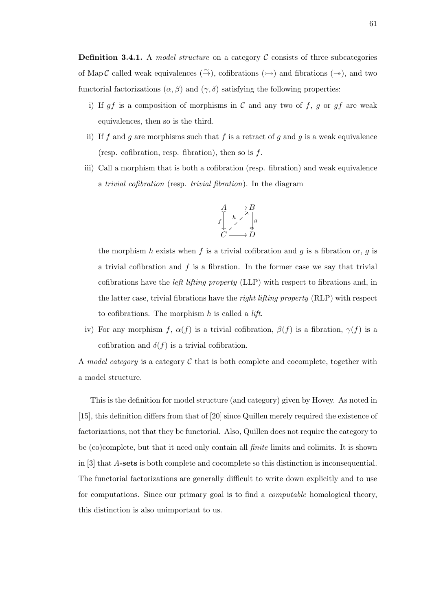**Definition 3.4.1.** A model structure on a category  $\mathcal{C}$  consists of three subcategories of Map C called weak equivalences  $(\stackrel{\sim}{\rightarrow})$ , cofibrations  $(\rightarrow)$  and fibrations  $(\rightarrow)$ , and two functorial factorizations  $(\alpha, \beta)$  and  $(\gamma, \delta)$  satisfying the following properties:

- i) If  $gf$  is a composition of morphisms in  $C$  and any two of  $f, g$  or  $gf$  are weak equivalences, then so is the third.
- ii) If f and g are morphisms such that f is a retract of g and g is a weak equivalence (resp. cofibration, resp. fibration), then so is  $f$ .
- iii) Call a morphism that is both a cofibration (resp. fibration) and weak equivalence a trivial cofibration (resp. trivial fibration). In the diagram



the morphism h exists when f is a trivial cofibration and g is a fibration or, g is a trivial cofibration and  $f$  is a fibration. In the former case we say that trivial cofibrations have the left lifting property (LLP) with respect to fibrations and, in the latter case, trivial fibrations have the right lifting property (RLP) with respect to cofibrations. The morphism  $h$  is called a *lift*.

iv) For any morphism f,  $\alpha(f)$  is a trivial cofibration,  $\beta(f)$  is a fibration,  $\gamma(f)$  is a cofibration and  $\delta(f)$  is a trivial cofibration.

A model category is a category  $\mathcal C$  that is both complete and cocomplete, together with a model structure.

This is the definition for model structure (and category) given by Hovey. As noted in [15], this definition differs from that of [20] since Quillen merely required the existence of factorizations, not that they be functorial. Also, Quillen does not require the category to be (co)complete, but that it need only contain all finite limits and colimits. It is shown in [3] that A-sets is both complete and cocomplete so this distinction is inconsequential. The functorial factorizations are generally difficult to write down explicitly and to use for computations. Since our primary goal is to find a computable homological theory, this distinction is also unimportant to us.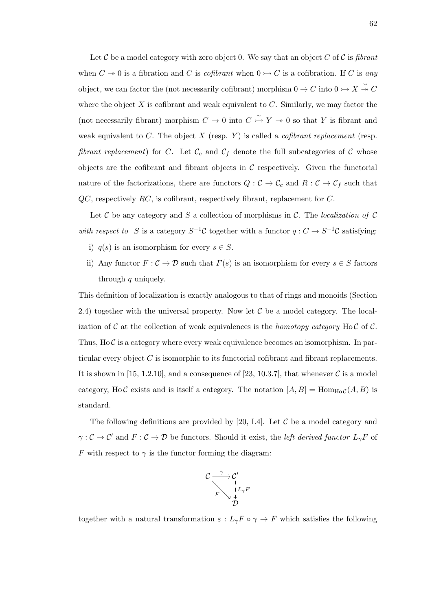Let C be a model category with zero object 0. We say that an object C of C is fibrant when  $C \to 0$  is a fibration and C is *cofibrant* when  $0 \to C$  is a cofibration. If C is any object, we can factor the (not necessarily cofibrant) morphism  $0 \to C$  into  $0 \to X \overset{\sim}{\to} C$ where the object  $X$  is cofibrant and weak equivalent to  $C$ . Similarly, we may factor the (not necessarily fibrant) morphism  $C \to 0$  into  $C \overset{\sim}{\to} Y \twoheadrightarrow 0$  so that Y is fibrant and weak equivalent to C. The object  $X$  (resp.  $Y$ ) is called a *cofibrant replacement* (resp. fibrant replacement) for C. Let  $\mathcal{C}_c$  and  $\mathcal{C}_f$  denote the full subcategories of C whose objects are the cofibrant and fibrant objects in  $\mathcal C$  respectively. Given the functorial nature of the factorizations, there are functors  $Q: \mathcal{C} \to \mathcal{C}_c$  and  $R: \mathcal{C} \to \mathcal{C}_f$  such that  $QC$ , respectively RC, is cofibrant, respectively fibrant, replacement for  $C$ .

Let C be any category and S a collection of morphisms in C. The localization of C with respect to S is a category  $S^{-1}$ C together with a functor  $q: C \to S^{-1}$ C satisfying:

- i)  $q(s)$  is an isomorphism for every  $s \in S$ .
- ii) Any functor  $F: \mathcal{C} \to \mathcal{D}$  such that  $F(s)$  is an isomorphism for every  $s \in S$  factors through q uniquely.

This definition of localization is exactly analogous to that of rings and monoids (Section 2.4) together with the universal property. Now let  $\mathcal C$  be a model category. The localization of C at the collection of weak equivalences is the *homotopy category* Ho C of C. Thus,  $H_0 \mathcal{C}$  is a category where every weak equivalence becomes an isomorphism. In particular every object C is isomorphic to its functorial cofibrant and fibrant replacements. It is shown in [15, 1.2.10], and a consequence of [23, 10.3.7], that whenever  $\mathcal C$  is a model category, Ho C exists and is itself a category. The notation  $[A, B] = \text{Hom}_{\text{HoC}}(A, B)$  is standard.

The following definitions are provided by [20, I.4]. Let  $\mathcal C$  be a model category and  $\gamma: \mathcal{C} \to \mathcal{C}'$  and  $F: \mathcal{C} \to \mathcal{D}$  be functors. Should it exist, the *left derived functor*  $L_{\gamma}F$  of F with respect to  $\gamma$  is the functor forming the diagram:



together with a natural transformation  $\varepsilon : L_{\gamma}F \circ \gamma \to F$  which satisfies the following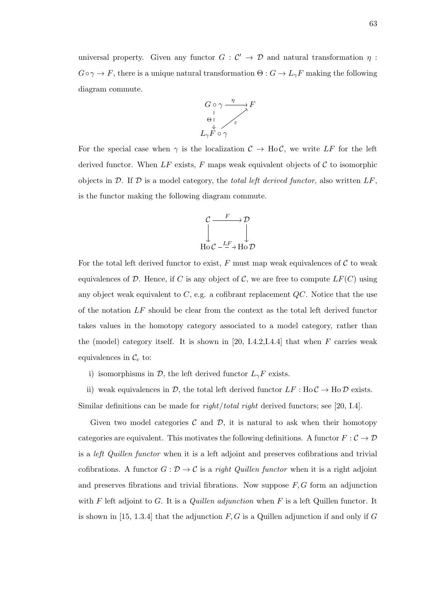universal property. Given any functor  $G: \mathcal{C}' \to \mathcal{D}$  and natural transformation  $\eta$ :  $G \circ \gamma \to F$ , there is a unique natural transformation  $\Theta : G \to L_{\gamma}F$  making the following diagram commute.



For the special case when  $\gamma$  is the localization  $C \to HoC$ , we write LF for the left derived functor. When  $LF$  exists,  $F$  maps weak equivalent objects of  $C$  to isomorphic objects in  $\mathcal D$ . If  $\mathcal D$  is a model category, the total left derived functor, also written  $LF$ , is the functor making the following diagram commute.



For the total left derived functor to exist,  $F$  must map weak equivalences of  $\mathcal C$  to weak equivalences of D. Hence, if C is any object of C, we are free to compute  $LF(C)$  using any object weak equivalent to  $C$ , e.g. a cofibrant replacement  $QC$ . Notice that the use of the notation LF should be clear from the context as the total left derived functor takes values in the homotopy category associated to a model category, rather than the (model) category itself. It is shown in [20, I.4.2, I.4.4] that when  $F$  carries weak equivalences in  $\mathcal{C}_c$  to:

i) isomorphisms in  $\mathcal{D}$ , the left derived functor  $L_{\gamma}F$  exists.

ii) weak equivalences in  $\mathcal{D}$ , the total left derived functor  $LF : Ho\mathcal{C} \to Ho\mathcal{D}$  exists. Similar definitions can be made for  $right/total$  right derived functors; see [20, I.4].

Given two model categories  $\mathcal C$  and  $\mathcal D$ , it is natural to ask when their homotopy categories are equivalent. This motivates the following definitions. A functor  $F:\mathcal{C}\to\mathcal{D}$ is a left Quillen functor when it is a left adjoint and preserves cofibrations and trivial cofibrations. A functor  $G: \mathcal{D} \to \mathcal{C}$  is a *right Quillen functor* when it is a right adjoint and preserves fibrations and trivial fibrations. Now suppose  $F, G$  form an adjunction with  $F$  left adjoint to  $G$ . It is a *Quillen adjunction* when  $F$  is a left Quillen functor. It is shown in [15, 1.3.4] that the adjunction  $F, G$  is a Quillen adjunction if and only if G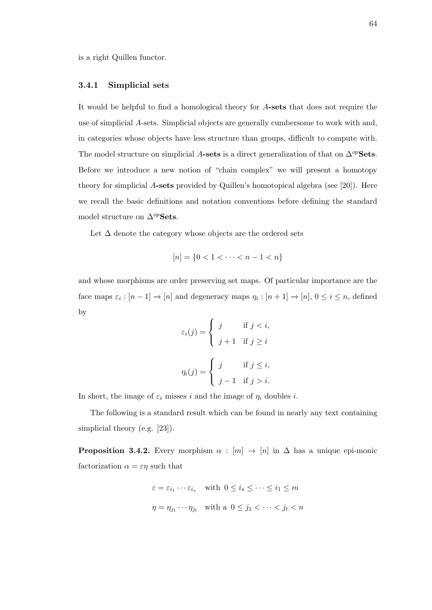is a right Quillen functor.

#### 3.4.1 Simplicial sets

It would be helpful to find a homological theory for A-sets that does not require the use of simplicial A-sets. Simplicial objects are generally cumbersome to work with and, in categories whose objects have less structure than groups, difficult to compute with. The model structure on simplicial A-sets is a direct generalization of that on  $\Delta^{op}$ Sets. Before we introduce a new notion of "chain complex" we will present a homotopy theory for simplicial A-sets provided by Quillen's homotopical algebra (see [20]). Here we recall the basic definitions and notation conventions before defining the standard model structure on  $\Delta^{op}$ Sets.

Let  $\Delta$  denote the category whose objects are the ordered sets

$$
[n] = \{0 < 1 < \dots < n - 1 < n\}
$$

and whose morphisms are order preserving set maps. Of particular importance are the face maps  $\varepsilon_i : [n-1] \to [n]$  and degeneracy maps  $\eta_i : [n+1] \to [n], 0 \le i \le n$ , defined by

$$
\varepsilon_i(j) = \begin{cases} j & \text{if } j < i, \\ j+1 & \text{if } j \ge i \end{cases}
$$

$$
\eta_i(j) = \begin{cases} j & \text{if } j \le i, \\ j-1 & \text{if } j > i. \end{cases}
$$

In short, the image of  $\varepsilon_i$  misses i and the image of  $\eta_i$  doubles i.

The following is a standard result which can be found in nearly any text containing simplicial theory (e.g. [23]).

**Proposition 3.4.2.** Every morphism  $\alpha : [m] \rightarrow [n]$  in  $\Delta$  has a unique epi-monic factorization  $\alpha = \varepsilon \eta$  such that

> $\varepsilon = \varepsilon_{i_1} \cdots \varepsilon_{i_s}$  with  $0 \le i_s \le \cdots \le i_1 \le m$  $\eta = \eta_{j_1} \cdots \eta_{j_t}$  with a  $0 \leq j_1 < \cdots < j_t < n$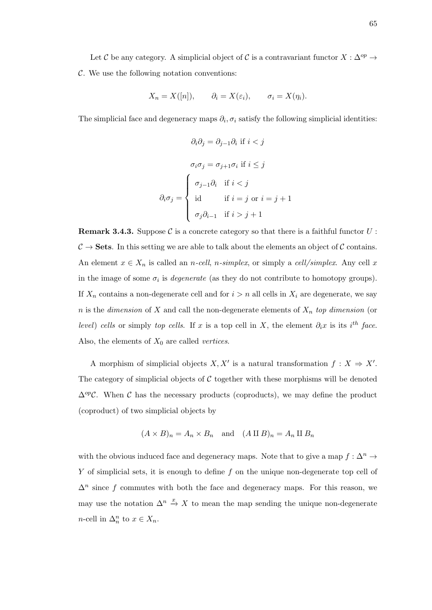Let C be any category. A simplicial object of C is a contravariant functor  $X : \Delta^{op} \to$  $\mathcal{C}$ . We use the following notation conventions:

$$
X_n = X([n]),
$$
  $\partial_i = X(\varepsilon_i),$   $\sigma_i = X(\eta_i).$ 

The simplicial face and degeneracy maps  $\partial_i$ ,  $\sigma_i$  satisfy the following simplicial identities:

$$
\partial_i \partial_j = \partial_{j-1} \partial_i \text{ if } i < j
$$

$$
\sigma_i \sigma_j = \sigma_{j+1} \sigma_i \text{ if } i \leq j
$$

$$
\partial_i \sigma_j = \begin{cases} \sigma_{j-1} \partial_i & \text{if } i < j \\ \text{id} & \text{if } i = j \text{ or } i = j + 1 \\ \sigma_j \partial_{i-1} & \text{if } i > j + 1 \end{cases}
$$

**Remark 3.4.3.** Suppose C is a concrete category so that there is a faithful functor  $U$ :  $\mathcal{C} \to$  Sets. In this setting we are able to talk about the elements an object of  $\mathcal{C}$  contains. An element  $x \in X_n$  is called an *n-cell*, *n-simplex*, or simply a *cell/simplex*. Any cell x in the image of some  $\sigma_i$  is *degenerate* (as they do not contribute to homotopy groups). If  $X_n$  contains a non-degenerate cell and for  $i > n$  all cells in  $X_i$  are degenerate, we say n is the dimension of X and call the non-degenerate elements of  $X_n$  top dimension (or level) cells or simply top cells. If x is a top cell in X, the element  $\partial_i x$  is its i<sup>th</sup> face. Also, the elements of  $X_0$  are called *vertices*.

A morphism of simplicial objects  $X, X'$  is a natural transformation  $f : X \Rightarrow X'$ . The category of simplicial objects of  $C$  together with these morphisms will be denoted  $\Delta^{op}$ C. When C has the necessary products (coproducts), we may define the product (coproduct) of two simplicial objects by

$$
(A \times B)_n = A_n \times B_n
$$
 and  $(A \amalg B)_n = A_n \amalg B_n$ 

with the obvious induced face and degeneracy maps. Note that to give a map  $f: \Delta^n \to$  $Y$  of simplicial sets, it is enough to define  $f$  on the unique non-degenerate top cell of  $\Delta^n$  since f commutes with both the face and degeneracy maps. For this reason, we may use the notation  $\Delta^n \stackrel{x}{\to} X$  to mean the map sending the unique non-degenerate *n*-cell in  $\Delta_n^n$  to  $x \in X_n$ .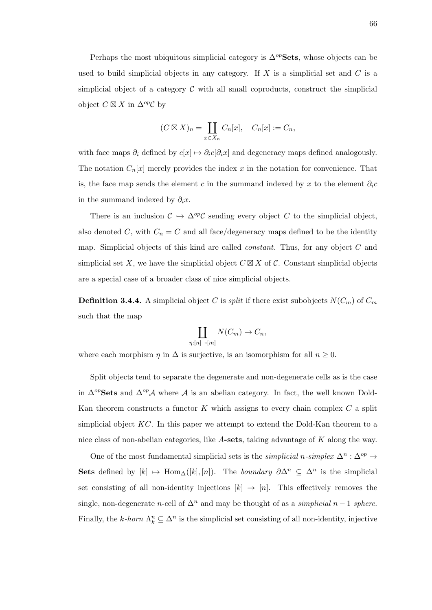Perhaps the most ubiquitous simplicial category is  $\Delta^{op}$ Sets, whose objects can be used to build simplicial objects in any category. If  $X$  is a simplicial set and  $C$  is a simplicial object of a category  $\mathcal C$  with all small coproducts, construct the simplicial object  $C \boxtimes X$  in  $\Delta^{op}C$  by

$$
(C \boxtimes X)_n = \coprod_{x \in X_n} C_n[x], \quad C_n[x] := C_n,
$$

with face maps  $\partial_i$  defined by  $c[x] \mapsto \partial_i c[\partial_i x]$  and degeneracy maps defined analogously. The notation  $C_n[x]$  merely provides the index x in the notation for convenience. That is, the face map sends the element c in the summand indexed by x to the element  $\partial_i c$ in the summand indexed by  $\partial_i x$ .

There is an inclusion  $\mathcal{C} \hookrightarrow \Delta^{op}\mathcal{C}$  sending every object C to the simplicial object, also denoted C, with  $C_n = C$  and all face/degeneracy maps defined to be the identity map. Simplicial objects of this kind are called *constant*. Thus, for any object C and simplicial set X, we have the simplicial object  $C \boxtimes X$  of C. Constant simplicial objects are a special case of a broader class of nice simplicial objects.

**Definition 3.4.4.** A simplicial object C is *split* if there exist subobjects  $N(C_m)$  of  $C_m$ such that the map

$$
\coprod_{\eta:[n]\to[m]} N(C_m) \to C_n,
$$

where each morphism  $\eta$  in  $\Delta$  is surjective, is an isomorphism for all  $n \geq 0$ .

Split objects tend to separate the degenerate and non-degenerate cells as is the case in  $\Delta^{op}$ Sets and  $\Delta^{op}$ A where A is an abelian category. In fact, the well known Dold-Kan theorem constructs a functor  $K$  which assigns to every chain complex  $C$  a split simplicial object  $KC$ . In this paper we attempt to extend the Dold-Kan theorem to a nice class of non-abelian categories, like A-sets, taking advantage of K along the way.

One of the most fundamental simplicial sets is the *simplicial* n-simplex  $\Delta^n$ :  $\Delta^{op}$  → Sets defined by  $[k] \mapsto \text{Hom}_{\Delta}([k], [n])$ . The *boundary*  $\partial \Delta^n \subseteq \Delta^n$  is the simplicial set consisting of all non-identity injections  $[k] \to [n]$ . This effectively removes the single, non-degenerate *n*-cell of  $\Delta^n$  and may be thought of as a *simplicial*  $n-1$  *sphere.* Finally, the k-horn  $\Lambda_k^n \subseteq \Delta^n$  is the simplicial set consisting of all non-identity, injective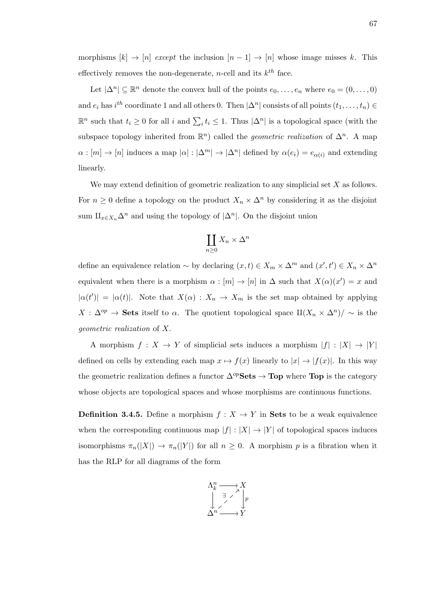morphisms  $[k] \to [n]$  except the inclusion  $[n-1] \to [n]$  whose image misses k. This effectively removes the non-degenerate, *n*-cell and its  $k^{th}$  face.

Let  $|\Delta^n| \subseteq \mathbb{R}^n$  denote the convex hull of the points  $e_0, \ldots, e_n$  where  $e_0 = (0, \ldots, 0)$ and  $e_i$  has  $i^{th}$  coordinate 1 and all others 0. Then  $|\Delta^n|$  consists of all points  $(t_1, \ldots, t_n)$  $\mathbb{R}^n$  such that  $t_i \geq 0$  for all i and  $\sum_i t_i \leq 1$ . Thus  $|\Delta^n|$  is a topological space (with the subspace topology inherited from  $\mathbb{R}^n$  called the *geometric realization* of  $\Delta^n$ . A map  $\alpha : [m] \to [n]$  induces a map  $|\alpha| : |\Delta^m| \to |\Delta^n|$  defined by  $\alpha(e_i) = e_{\alpha(i)}$  and extending linearly.

We may extend definition of geometric realization to any simplicial set X as follows. For  $n \geq 0$  define a topology on the product  $X_n \times \Delta^n$  by considering it as the disjoint sum  $\amalg_{x\in X_n}\Delta^n$  and using the topology of  $|\Delta^n|$ . On the disjoint union

$$
\coprod_{n\geq 0} X_n \times \Delta^n
$$

define an equivalence relation  $\sim$  by declaring  $(x,t) \in X_m \times \Delta^m$  and  $(x',t') \in X_n \times \Delta^n$ equivalent when there is a morphism  $\alpha : [m] \to [n]$  in  $\Delta$  such that  $X(\alpha)(x') = x$  and  $|\alpha(t')| = |\alpha(t)|$ . Note that  $X(\alpha) : X_n \to X_m$  is the set map obtained by applying  $X : \Delta^{op} \to \mathbf{Sets}$  itself to  $\alpha$ . The quotient topological space  $\text{II}(X_n \times \Delta^n)/\sim$  is the geometric realization of X.

A morphism  $f: X \to Y$  of simplicial sets induces a morphism  $|f|: |X| \to |Y|$ defined on cells by extending each map  $x \mapsto f(x)$  linearly to  $|x| \to |f(x)|$ . In this way the geometric realization defines a functor  $\Delta^{op}$ **Sets**  $\rightarrow$  **Top** where **Top** is the category whose objects are topological spaces and whose morphisms are continuous functions.

**Definition 3.4.5.** Define a morphism  $f : X \to Y$  in **Sets** to be a weak equivalence when the corresponding continuous map  $|f| : |X| \to |Y|$  of topological spaces induces isomorphisms  $\pi_n(|X|) \to \pi_n(|Y|)$  for all  $n \geq 0$ . A morphism p is a fibration when it has the RLP for all diagrams of the form

$$
\begin{array}{ccc}\n\Lambda_k^n & \longrightarrow & X \\
\downarrow & \nearrow & \downarrow \\
\searrow & \nearrow & \downarrow \\
\Delta^n & \longrightarrow & Y\n\end{array}
$$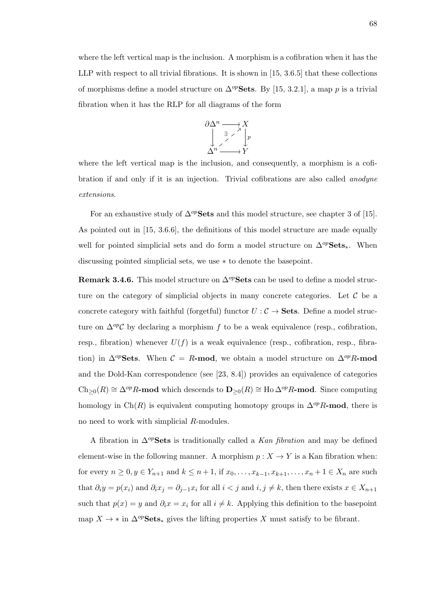where the left vertical map is the inclusion. A morphism is a cofibration when it has the LLP with respect to all trivial fibrations. It is shown in [15, 3.6.5] that these collections of morphisms define a model structure on  $\Delta^{op}$ Sets. By [15, 3.2.1], a map p is a trivial fibration when it has the RLP for all diagrams of the form

$$
\begin{array}{ccc}\n\partial \Delta^n & \longrightarrow & X \\
\downarrow & \nearrow & \downarrow \\
\Delta^n & \longrightarrow & Y\n\end{array}
$$

where the left vertical map is the inclusion, and consequently, a morphism is a cofibration if and only if it is an injection. Trivial cofibrations are also called anodyne extensions.

For an exhaustive study of  $\Delta^{op}$ Sets and this model structure, see chapter 3 of [15]. As pointed out in [15, 3.6.6], the definitions of this model structure are made equally well for pointed simplicial sets and do form a model structure on  $\Delta^{op}Sets_*$ . When discussing pointed simplicial sets, we use ∗ to denote the basepoint.

**Remark 3.4.6.** This model structure on  $\Delta^{op}$ **Sets** can be used to define a model structure on the category of simplicial objects in many concrete categories. Let  $\mathcal C$  be a concrete category with faithful (forgetful) functor  $U : \mathcal{C} \to \mathbf{Sets}$ . Define a model structure on  $\Delta^{op}$ C by declaring a morphism f to be a weak equivalence (resp., cofibration, resp., fibration) whenever  $U(f)$  is a weak equivalence (resp., cofibration, resp., fibration) in  $\Delta^{op}$ Sets. When  $C = R$ -mod, we obtain a model structure on  $\Delta^{op}R$ -mod and the Dold-Kan correspondence (see [23, 8.4]) provides an equivalence of categories  $\text{Ch}_{\geq 0}(R) \cong \Delta^{op}R$ -mod which descends to  $\mathbf{D}_{\geq 0}(R) \cong \text{Ho}\Delta^{op}R$ -mod. Since computing homology in Ch(R) is equivalent computing homotopy groups in  $\Delta^{op}R\text{-mod}$ , there is no need to work with simplicial R-modules.

A fibration in  $\Delta^{op}$ Sets is traditionally called a Kan fibration and may be defined element-wise in the following manner. A morphism  $p : X \to Y$  is a Kan fibration when: for every  $n \ge 0, y \in Y_{n+1}$  and  $k \le n+1$ , if  $x_0, \ldots, x_{k-1}, x_{k+1}, \ldots, x_n+1 \in X_n$  are such that  $\partial_i y = p(x_i)$  and  $\partial_i x_j = \partial_{j-1} x_i$  for all  $i < j$  and  $i, j \neq k$ , then there exists  $x \in X_{n+1}$ such that  $p(x) = y$  and  $\partial_i x = x_i$  for all  $i \neq k$ . Applying this definition to the basepoint map  $X \to *$  in  $\Delta^{op}$ **Sets**<sub>\*</sub> gives the lifting properties X must satisfy to be fibrant.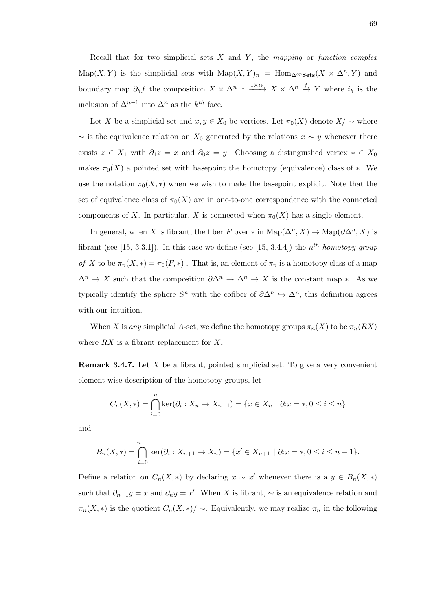Recall that for two simplicial sets  $X$  and  $Y$ , the mapping or function complex Map(X, Y) is the simplicial sets with  $\text{Map}(X, Y)_n = \text{Hom}_{\Delta^{op} \textbf{Sets}}(X \times \Delta^n, Y)$  and boundary map  $\partial_k f$  the composition  $X \times \Delta^{n-1} \xrightarrow{1 \times i_k} X \times \Delta^n \xrightarrow{f} Y$  where  $i_k$  is the inclusion of  $\Delta^{n-1}$  into  $\Delta^n$  as the  $k^{th}$  face.

Let X be a simplicial set and  $x, y \in X_0$  be vertices. Let  $\pi_0(X)$  denote  $X/\sim$  where  $\sim$  is the equivalence relation on  $X_0$  generated by the relations  $x \sim y$  whenever there exists  $z \in X_1$  with  $\partial_1 z = x$  and  $\partial_0 z = y$ . Choosing a distinguished vertex  $* \in X_0$ makes  $\pi_0(X)$  a pointed set with basepoint the homotopy (equivalence) class of  $*$ . We use the notation  $\pi_0(X, *)$  when we wish to make the basepoint explicit. Note that the set of equivalence class of  $\pi_0(X)$  are in one-to-one correspondence with the connected components of X. In particular, X is connected when  $\pi_0(X)$  has a single element.

In general, when X is fibrant, the fiber F over  $*$  in  $\text{Map}(\Delta^n, X) \to \text{Map}(\partial \Delta^n, X)$  is fibrant (see [15, 3.3.1]). In this case we define (see [15, 3.4.4]) the  $n^{th}$  homotopy group of X to be  $\pi_n(X,*) = \pi_0(F,*)$ . That is, an element of  $\pi_n$  is a homotopy class of a map  $\Delta^n \to X$  such that the composition  $\partial \Delta^n \to \Delta^n \to X$  is the constant map ∗. As we typically identify the sphere  $S^n$  with the cofiber of  $\partial \Delta^n \hookrightarrow \Delta^n$ , this definition agrees with our intuition.

When X is any simplicial A-set, we define the homotopy groups  $\pi_n(X)$  to be  $\pi_n(RX)$ where  $RX$  is a fibrant replacement for  $X$ .

**Remark 3.4.7.** Let  $X$  be a fibrant, pointed simplicial set. To give a very convenient element-wise description of the homotopy groups, let

$$
C_n(X, *) = \bigcap_{i=0}^{n} \ker(\partial_i : X_n \to X_{n-1}) = \{ x \in X_n \mid \partial_i x = *, 0 \le i \le n \}
$$

and

$$
B_n(X,*) = \bigcap_{i=0}^{n-1} \ker(\partial_i : X_{n+1} \to X_n) = \{x' \in X_{n+1} \mid \partial_i x = *, 0 \le i \le n-1\}.
$$

Define a relation on  $C_n(X,*)$  by declaring  $x \sim x'$  whenever there is a  $y \in B_n(X,*)$ such that  $\partial_{n+1}y = x$  and  $\partial_n y = x'$ . When X is fibrant,  $\sim$  is an equivalence relation and  $\pi_n(X, *)$  is the quotient  $C_n(X, *)/ \sim$ . Equivalently, we may realize  $\pi_n$  in the following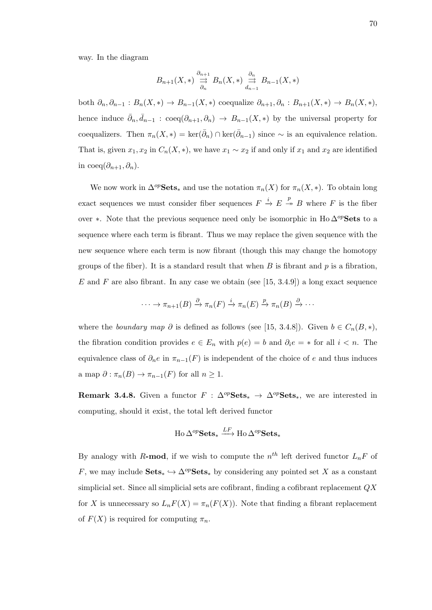way. In the diagram

$$
B_{n+1}(X,*) \stackrel{\partial_{n+1}}{\underset{\partial_n}{\rightrightarrows}} B_n(X,*) \stackrel{\partial_n}{\underset{d_{n-1}}{\rightrightarrows}} B_{n-1}(X,*)
$$

both  $\partial_n, \partial_{n-1}: B_n(X,*) \to B_{n-1}(X,*)$  coequalize  $\partial_{n+1}, \partial_n: B_{n+1}(X,*) \to B_n(X,*)$ , hence induce  $\bar{\partial}_n, \bar{d}_{n-1}$  : coeq $(\partial_{n+1}, \partial_n) \to B_{n-1}(X, *)$  by the universal property for coequalizers. Then  $\pi_n(X,*) = \ker(\bar{\partial}_n) \cap \ker(\bar{\partial}_{n-1})$  since  $\sim$  is an equivalence relation. That is, given  $x_1, x_2$  in  $C_n(X, *)$ , we have  $x_1 \sim x_2$  if and only if  $x_1$  and  $x_2$  are identified in coeq $(\partial_{n+1}, \partial_n)$ .

We now work in  $\Delta^{op}$ **Sets**\* and use the notation  $\pi_n(X)$  for  $\pi_n(X, *)$ . To obtain long exact sequences we must consider fiber sequences  $F \stackrel{i}{\to} E \stackrel{p}{\to} B$  where F is the fiber over ∗. Note that the previous sequence need only be isomorphic in Ho  $\Delta^{op}$ Sets to a sequence where each term is fibrant. Thus we may replace the given sequence with the new sequence where each term is now fibrant (though this may change the homotopy groups of the fiber). It is a standard result that when  $B$  is fibrant and  $p$  is a fibration, E and F are also fibrant. In any case we obtain (see [15, 3.4.9]) a long exact sequence

$$
\cdots \to \pi_{n+1}(B) \xrightarrow{\partial} \pi_n(F) \xrightarrow{i} \pi_n(E) \xrightarrow{p} \pi_n(B) \xrightarrow{\partial} \cdots
$$

where the boundary map  $\partial$  is defined as follows (see [15, 3.4.8]). Given  $b \in C_n(B, *),$ the fibration condition provides  $e \in E_n$  with  $p(e) = b$  and  $\partial_i e = *$  for all  $i < n$ . The equivalence class of  $\partial_n e$  in  $\pi_{n-1}(F)$  is independent of the choice of e and thus induces a map  $\partial : \pi_n(B) \to \pi_{n-1}(F)$  for all  $n \geq 1$ .

Remark 3.4.8. Given a functor  $F : \Delta^{op} \text{Sets}_* \to \Delta^{op} \text{Sets}_*$ , we are interested in computing, should it exist, the total left derived functor

$$
\mathrm{Ho}\,\Delta^{op}\mathbf{Sets}_*\stackrel{LF}{\longrightarrow}\mathrm{Ho}\,\Delta^{op}\mathbf{Sets}_*
$$

By analogy with R-mod, if we wish to compute the  $n^{th}$  left derived functor  $L_nF$  of F, we may include  $\textbf{Sets}_* \hookrightarrow \Delta^{op} \textbf{Sets}_*$  by considering any pointed set X as a constant simplicial set. Since all simplicial sets are cofibrant, finding a cofibrant replacement QX for X is unnecessary so  $L_nF(X) = \pi_n(F(X))$ . Note that finding a fibrant replacement of  $F(X)$  is required for computing  $\pi_n$ .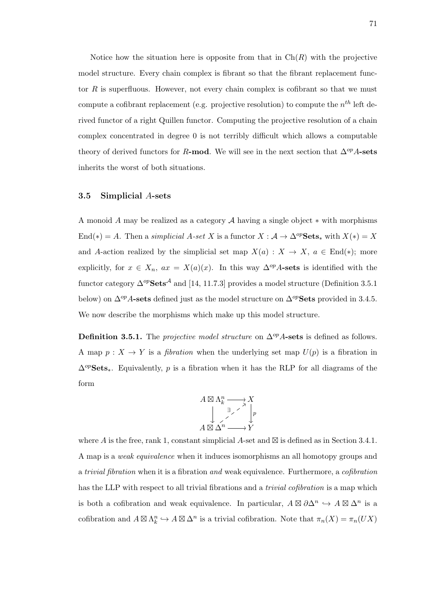Notice how the situation here is opposite from that in  $Ch(R)$  with the projective model structure. Every chain complex is fibrant so that the fibrant replacement functor  $R$  is superfluous. However, not every chain complex is cofibrant so that we must compute a cofibrant replacement (e.g. projective resolution) to compute the  $n^{th}$  left derived functor of a right Quillen functor. Computing the projective resolution of a chain complex concentrated in degree 0 is not terribly difficult which allows a computable theory of derived functors for R-mod. We will see in the next section that  $\Delta^{op}A$ -sets inherits the worst of both situations.

### 3.5 Simplicial A-sets

A monoid A may be realized as a category A having a single object  $*$  with morphisms End(\*) = A. Then a simplicial A-set X is a functor  $X : \mathcal{A} \to \Delta^{op} \mathbf{Sets}_*$  with  $X(*) = X$ and A-action realized by the simplicial set map  $X(a) : X \to X$ ,  $a \in End(*)$ ; more explicitly, for  $x \in X_n$ ,  $ax = X(a)(x)$ . In this way  $\Delta^{op}A$ -sets is identified with the functor category  $\Delta^{op}$ Sets<sup>A</sup> and [14, 11.7.3] provides a model structure (Definition 3.5.1) below) on  $\Delta^{op}$ A-sets defined just as the model structure on  $\Delta^{op}$ Sets provided in 3.4.5. We now describe the morphisms which make up this model structure.

**Definition 3.5.1.** The *projective model structure* on  $\Delta^{op}A$ -sets is defined as follows. A map  $p: X \to Y$  is a *fibration* when the underlying set map  $U(p)$  is a fibration in  $\Delta^{op}$ **Sets**<sup>\*</sup>. Equivalently, p is a fibration when it has the RLP for all diagrams of the form



where A is the free, rank 1, constant simplicial A-set and  $\boxtimes$  is defined as in Section 3.4.1. A map is a weak equivalence when it induces isomorphisms an all homotopy groups and a trivial fibration when it is a fibration and weak equivalence. Furthermore, a cofibration has the LLP with respect to all trivial fibrations and a trivial cofibration is a map which is both a cofibration and weak equivalence. In particular,  $A \boxtimes \partial \Delta^n \hookrightarrow A \boxtimes \Delta^n$  is a cofibration and  $A \boxtimes \Lambda_k^n \hookrightarrow A \boxtimes \Delta^n$  is a trivial cofibration. Note that  $\pi_n(X) = \pi_n(UX)$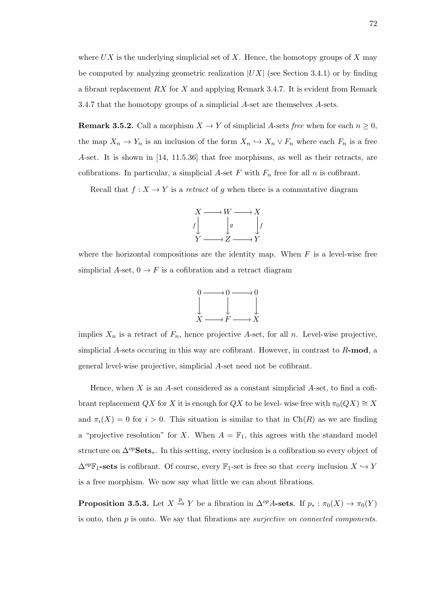where  $UX$  is the underlying simplicial set of X. Hence, the homotopy groups of X may be computed by analyzing geometric realization  $|UX|$  (see Section 3.4.1) or by finding a fibrant replacement RX for X and applying Remark 3.4.7. It is evident from Remark 3.4.7 that the homotopy groups of a simplicial A-set are themselves A-sets.

**Remark 3.5.2.** Call a morphism  $X \to Y$  of simplicial A-sets free when for each  $n \geq 0$ , the map  $X_n \to Y_n$  is an inclusion of the form  $X_n \hookrightarrow X_n \vee F_n$  where each  $F_n$  is a free A-set. It is shown in [14, 11.5.36] that free morphisms, as well as their retracts, are cofibrations. In particular, a simplicial A-set F with  $F_n$  free for all n is cofibrant.

Recall that  $f: X \to Y$  is a retract of g when there is a commutative diagram



where the horizontal compositions are the identity map. When  $F$  is a level-wise free simplicial  $A$ -set,  $0 \to F$  is a cofibration and a retract diagram



implies  $X_n$  is a retract of  $F_n$ , hence projective A-set, for all n. Level-wise projective, simplicial A-sets occuring in this way are cofibrant. However, in contrast to  $R$ -mod, a general level-wise projective, simplicial A-set need not be cofibrant.

Hence, when  $X$  is an  $A$ -set considered as a constant simplicial  $A$ -set, to find a cofibrant replacement QX for X it is enough for QX to be level- wise free with  $\pi_0(QX) \cong X$ and  $\pi_i(X) = 0$  for  $i > 0$ . This situation is similar to that in Ch(R) as we are finding a "projective resolution" for X. When  $A = \mathbb{F}_1$ , this agrees with the standard model structure on  $\Delta^{op}$ **Sets**<sup>\*</sup>. In this setting, every inclusion is a cofibration so every object of  $\Delta^{op}$ F<sub>1</sub>-sets is cofibrant. Of course, every F<sub>1</sub>-set is free so that *every* inclusion  $X \hookrightarrow Y$ is a free morphism. We now say what little we can about fibrations.

**Proposition 3.5.3.** Let  $X \stackrel{p}{\to} Y$  be a fibration in  $\Delta^{op}A$ -sets. If  $p_* : \pi_0(X) \to \pi_0(Y)$ is onto, then  $p$  is onto. We say that fibrations are *surjective on connected components*.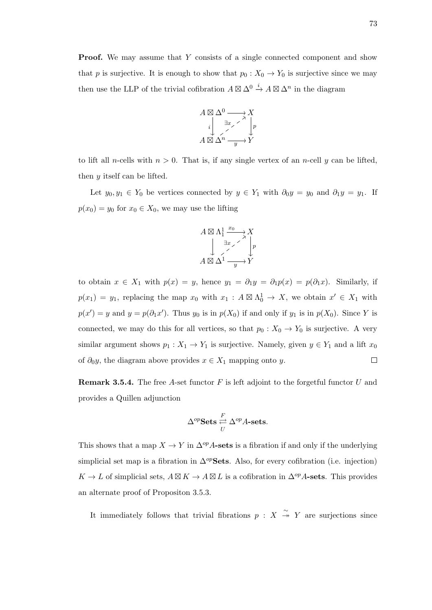**Proof.** We may assume that Y consists of a single connected component and show that p is surjective. It is enough to show that  $p_0 : X_0 \to Y_0$  is surjective since we may then use the LLP of the trivial cofibration  $A \boxtimes \Delta^0 \stackrel{i}{\to} A \boxtimes \Delta^n$  in the diagram



to lift all *n*-cells with  $n > 0$ . That is, if any single vertex of an *n*-cell y can be lifted, then y itself can be lifted.

Let  $y_0, y_1 \in Y_0$  be vertices connected by  $y \in Y_1$  with  $\partial_0 y = y_0$  and  $\partial_1 y = y_1$ . If  $p(x_0) = y_0$  for  $x_0 \in X_0$ , we may use the lifting

$$
A \boxtimes \Lambda_1^1 \xrightarrow{x_0} X
$$
  
\n
$$
\downarrow x
$$
  
\n
$$
A \boxtimes \Lambda^1 \xrightarrow{1} Y
$$
  
\n
$$
Y
$$

to obtain  $x \in X_1$  with  $p(x) = y$ , hence  $y_1 = \partial_1 y = \partial_1 p(x) = p(\partial_1 x)$ . Similarly, if  $p(x_1) = y_1$ , replacing the map  $x_0$  with  $x_1 : A \boxtimes \Lambda_0^1 \to X$ , we obtain  $x' \in X_1$  with  $p(x') = y$  and  $y = p(\partial_1 x')$ . Thus  $y_0$  is in  $p(X_0)$  if and only if  $y_1$  is in  $p(X_0)$ . Since Y is connected, we may do this for all vertices, so that  $p_0 : X_0 \to Y_0$  is surjective. A very similar argument shows  $p_1 : X_1 \to Y_1$  is surjective. Namely, given  $y \in Y_1$  and a lift  $x_0$ of  $\partial_0 y$ , the diagram above provides  $x \in X_1$  mapping onto y.  $\Box$ 

**Remark 3.5.4.** The free A-set functor  $F$  is left adjoint to the forgetful functor  $U$  and provides a Quillen adjunction

$$
\Delta^{op} \textbf{Sets} \underset{U}{\overset{F}{\rightleftharpoons}} \Delta^{op} A\textbf{-sets}.
$$

This shows that a map  $X \to Y$  in  $\Delta^{op}$  A-sets is a fibration if and only if the underlying simplicial set map is a fibration in  $\Delta^{op}$ Sets. Also, for every cofibration (i.e. injection)  $K \to L$  of simplicial sets,  $A \boxtimes K \to A \boxtimes L$  is a cofibration in  $\Delta^{op}$  A-sets. This provides an alternate proof of Propositon 3.5.3.

It immediately follows that trivial fibrations  $p : X \rightarrow Y$  are surjections since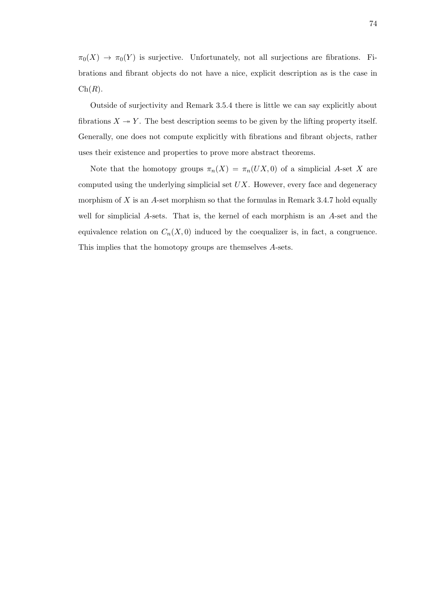$\pi_0(X) \to \pi_0(Y)$  is surjective. Unfortunately, not all surjections are fibrations. Fibrations and fibrant objects do not have a nice, explicit description as is the case in  $\mathrm{Ch}(R)$ .

Outside of surjectivity and Remark 3.5.4 there is little we can say explicitly about fibrations  $X \to Y$ . The best description seems to be given by the lifting property itself. Generally, one does not compute explicitly with fibrations and fibrant objects, rather uses their existence and properties to prove more abstract theorems.

Note that the homotopy groups  $\pi_n(X) = \pi_n(UX, 0)$  of a simplicial A-set X are computed using the underlying simplicial set  $UX$ . However, every face and degeneracy morphism of  $X$  is an A-set morphism so that the formulas in Remark 3.4.7 hold equally well for simplicial A-sets. That is, the kernel of each morphism is an A-set and the equivalence relation on  $C_n(X,0)$  induced by the coequalizer is, in fact, a congruence. This implies that the homotopy groups are themselves A-sets.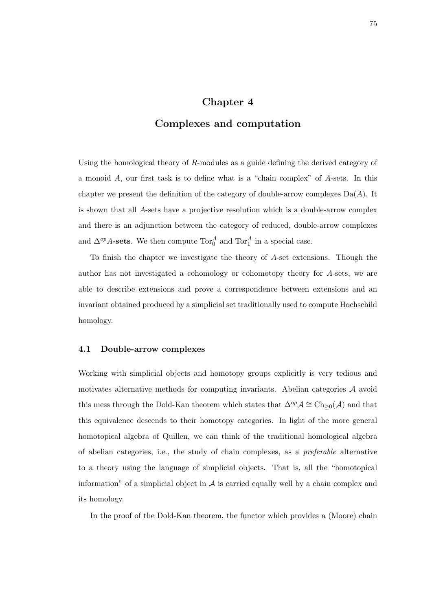# Chapter 4

# Complexes and computation

Using the homological theory of  $R$ -modules as a guide defining the derived category of a monoid A, our first task is to define what is a "chain complex" of A-sets. In this chapter we present the definition of the category of double-arrow complexes  $Da(A)$ . It is shown that all A-sets have a projective resolution which is a double-arrow complex and there is an adjunction between the category of reduced, double-arrow complexes and  $\Delta^{op}$  A-sets. We then compute  $\text{Tor}_0^A$  and  $\text{Tor}_1^A$  in a special case.

To finish the chapter we investigate the theory of A-set extensions. Though the author has not investigated a cohomology or cohomotopy theory for A-sets, we are able to describe extensions and prove a correspondence between extensions and an invariant obtained produced by a simplicial set traditionally used to compute Hochschild homology.

## 4.1 Double-arrow complexes

Working with simplicial objects and homotopy groups explicitly is very tedious and motivates alternative methods for computing invariants. Abelian categories A avoid this mess through the Dold-Kan theorem which states that  $\Delta^{op} \mathcal{A} \cong Ch_{\geq 0}(\mathcal{A})$  and that this equivalence descends to their homotopy categories. In light of the more general homotopical algebra of Quillen, we can think of the traditional homological algebra of abelian categories, i.e., the study of chain complexes, as a preferable alternative to a theory using the language of simplicial objects. That is, all the "homotopical information" of a simplicial object in  $A$  is carried equally well by a chain complex and its homology.

In the proof of the Dold-Kan theorem, the functor which provides a (Moore) chain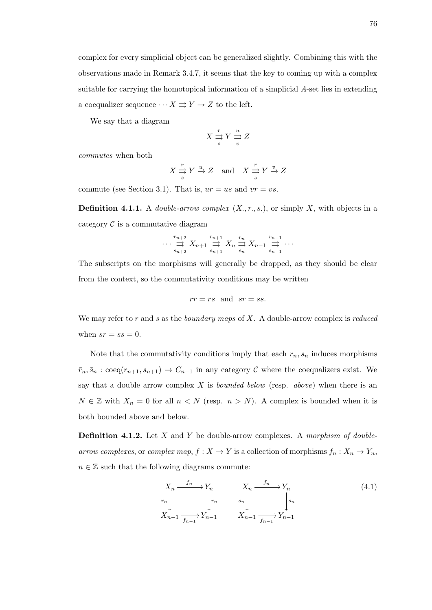complex for every simplicial object can be generalized slightly. Combining this with the observations made in Remark 3.4.7, it seems that the key to coming up with a complex suitable for carrying the homotopical information of a simplicial A-set lies in extending a coequalizer sequence  $\cdots X \rightrightarrows Y \to Z$  to the left.

We say that a diagram

$$
X \underset{s}{\overset{r}{\rightrightarrows}} Y \underset{v}{\overset{u}{\rightrightarrows}} Z
$$

commutes when both

$$
X \stackrel{r}{\rightrightarrows} Y \stackrel{u}{\rightharpoonup} Z \quad \text{and} \quad X \stackrel{r}{\rightrightarrows} Y \stackrel{v}{\rightharpoonup} Z
$$

commute (see Section 3.1). That is,  $ur = us$  and  $vr = vs$ .

**Definition 4.1.1.** A *double-arrow complex*  $(X, r, s)$ , or simply X, with objects in a category  $\mathcal C$  is a commutative diagram

$$
\cdots \underset{s_{n+2}}{\overset{r_{n+2}}{\longrightarrow}} X_{n+1} \underset{s_{n+1}}{\overset{r_{n+1}}{\longrightarrow}} X_n \underset{s_n}{\overset{r_n}{\longrightarrow}} X_{n-1} \underset{s_{n-1}}{\overset{r_{n-1}}{\longrightarrow}} \cdots
$$

The subscripts on the morphisms will generally be dropped, as they should be clear from the context, so the commutativity conditions may be written

$$
rr = rs \text{ and } sr = ss.
$$

We may refer to  $r$  and  $s$  as the *boundary maps* of  $X$ . A double-arrow complex is *reduced* when  $sr = ss = 0$ .

Note that the commutativity conditions imply that each  $r_n$ ,  $s_n$  induces morphisms  $\bar{r}_n, \bar{s}_n : \text{coeq}(r_{n+1}, s_{n+1}) \to C_{n-1}$  in any category C where the coequalizers exist. We say that a double arrow complex  $X$  is *bounded below* (resp. *above*) when there is an  $N \in \mathbb{Z}$  with  $X_n = 0$  for all  $n < N$  (resp.  $n > N$ ). A complex is bounded when it is both bounded above and below.

**Definition 4.1.2.** Let  $X$  and  $Y$  be double-arrow complexes. A morphism of doublearrow complexes, or complex map,  $f: X \to Y$  is a collection of morphisms  $f_n: X_n \to Y_n$ ,  $n \in \mathbb{Z}$  such that the following diagrams commute:

$$
X_n \xrightarrow{f_n} Y_n \qquad X_n \xrightarrow{f_n} Y_n
$$
  
\n
$$
X_{n-1} \xrightarrow{f_n} Y_{n-1} \qquad s_n \qquad s_n
$$
  
\n
$$
X_{n-1} \xrightarrow{f_{n-1}} Y_{n-1} \qquad X_{n-1} \xrightarrow{f_{n-1}} Y_{n-1}
$$
  
\n(4.1)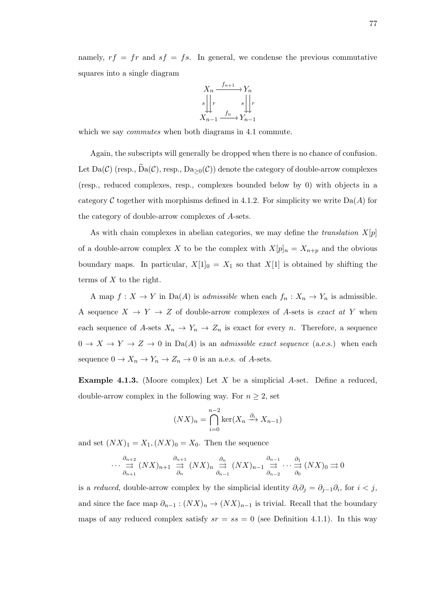namely,  $rf = fr$  and  $sf = fs$ . In general, we condense the previous commutative squares into a single diagram



which we say *commutes* when both diagrams in 4.1 commute.

Again, the subscripts will generally be dropped when there is no chance of confusion. Let  $Da(\mathcal{C})$  (resp.,  $Da(\mathcal{C})$ , resp.,  $Da_{>0}(\mathcal{C})$ ) denote the category of double-arrow complexes (resp., reduced complexes, resp., complexes bounded below by 0) with objects in a category C together with morphisms defined in 4.1.2. For simplicity we write  $Da(A)$  for the category of double-arrow complexes of A-sets.

As with chain complexes in abelian categories, we may define the *translation*  $X[p]$ of a double-arrow complex X to be the complex with  $X[p]_n = X_{n+p}$  and the obvious boundary maps. In particular,  $X[1]_0 = X_1$  so that  $X[1]$  is obtained by shifting the terms of  $X$  to the right.

A map  $f: X \to Y$  in Da(A) is *admissible* when each  $f_n: X_n \to Y_n$  is admissible. A sequence  $X \to Y \to Z$  of double-arrow complexes of A-sets is exact at Y when each sequence of A-sets  $X_n \to Y_n \to Z_n$  is exact for every n. Therefore, a sequence  $0 \to X \to Y \to Z \to 0$  in Da(A) is an *admissible exact sequence* (a.e.s.) when each sequence  $0 \to X_n \to Y_n \to Z_n \to 0$  is an a.e.s. of A-sets.

**Example 4.1.3.** (Moore complex) Let  $X$  be a simplicial  $A$ -set. Define a reduced, double-arrow complex in the following way. For  $n \geq 2$ , set

$$
(NX)n = \bigcap_{i=0}^{n-2} \ker(X_n \xrightarrow{\partial_i} X_{n-1})
$$

and set  $(NX)_1 = X_1, (NX)_0 = X_0$ . Then the sequence

$$
\cdots \stackrel{\partial_{n+2}}{\rightrightarrows} (NX)_{n+1} \stackrel{\partial_{n+1}}{\rightrightarrows} (NX)_{n} \stackrel{\partial_{n}}{\rightrightarrows} (NX)_{n-1} \stackrel{\partial_{n-1}}{\rightrightarrows} \cdots \stackrel{\partial_{1}}{\rightrightarrows} (NX)_{0} \rightrightarrows 0
$$
  

$$
\frac{\partial_{n+1}}{\partial_{n+1}} \cdots \stackrel{\partial_{1}}{\rightrightarrows} (NX)_{0} \rightrightarrows 0
$$

is a reduced, double-arrow complex by the simplicial identity  $\partial_i \partial_j = \partial_{j-1} \partial_i$ , for  $i < j$ , and since the face map  $\partial_{n-1}$  :  $(NX)_n \to (NX)_{n-1}$  is trivial. Recall that the boundary maps of any reduced complex satisfy  $sr = ss = 0$  (see Definition 4.1.1). In this way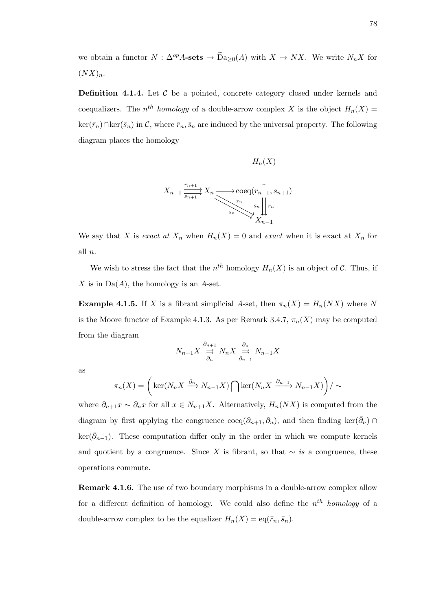we obtain a functor  $N : \Delta^{op} A\text{-sets} \to \widetilde{D}a_{\geq 0}(A)$  with  $X \mapsto N X$ . We write  $N_n X$  for  $(NX)_n$ .

**Definition 4.1.4.** Let  $\mathcal{C}$  be a pointed, concrete category closed under kernels and coequalizers. The  $n^{th}$  homology of a double-arrow complex X is the object  $H_n(X)$  $\ker(\bar{r}_n) \cap \ker(\bar{s}_n)$  in C, where  $\bar{r}_n, \bar{s}_n$  are induced by the universal property. The following diagram places the homology



We say that X is exact at  $X_n$  when  $H_n(X) = 0$  and exact when it is exact at  $X_n$  for all n.

We wish to stress the fact that the  $n^{th}$  homology  $H_n(X)$  is an object of C. Thus, if X is in  $Da(A)$ , the homology is an A-set.

**Example 4.1.5.** If X is a fibrant simplicial A-set, then  $\pi_n(X) = H_n(NX)$  where N is the Moore functor of Example 4.1.3. As per Remark 3.4.7,  $\pi_n(X)$  may be computed from the diagram

$$
N_{n+1}X \stackrel{\partial_{n+1}}{\underset{\partial_n}{\rightrightarrows}} N_nX \stackrel{\partial_n}{\underset{\partial_{n-1}}{\rightrightarrows}} N_{n-1}X
$$

as

$$
\pi_n(X) = \left( \ker(N_n X \xrightarrow{\partial_n} N_{n-1} X) \bigcap \ker(N_n X \xrightarrow{\partial_{n-1}} N_{n-1} X) \right) / \sim
$$

where  $\partial_{n+1}x \sim \partial_n x$  for all  $x \in N_{n+1}X$ . Alternatively,  $H_n(NX)$  is computed from the diagram by first applying the congruence  $\operatorname{coeq}(\partial_{n+1}, \partial_n)$ , and then finding ker $(\bar{\partial}_n)$  $\ker(\bar{\partial}_{n-1})$ . These computation differ only in the order in which we compute kernels and quotient by a congruence. Since X is fibrant, so that  $\sim$  is a congruence, these operations commute.

Remark 4.1.6. The use of two boundary morphisms in a double-arrow complex allow for a different definition of homology. We could also define the  $n^{th}$  homology of a double-arrow complex to be the equalizer  $H_n(X) = \text{eq}(\bar{r}_n, \bar{s}_n)$ .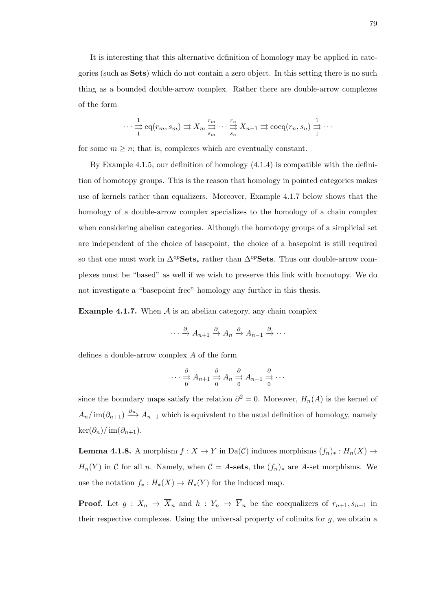It is interesting that this alternative definition of homology may be applied in categories (such as Sets) which do not contain a zero object. In this setting there is no such thing as a bounded double-arrow complex. Rather there are double-arrow complexes of the form

$$
\cdots \frac{1}{1} \operatorname{eq}(r_m, s_m) \rightrightarrows X_m \overset{r_m}{\underset{s_m}{\rightrightarrows}} \cdots \overset{r_n}{\underset{s_n}{\rightrightarrows}} X_{n-1} \rightrightarrows \operatorname{coeq}(r_n, s_n) \overset{1}{\underset{1}{\rightrightarrows}} \cdots
$$

for some  $m \geq n$ ; that is, complexes which are eventually constant.

By Example 4.1.5, our definition of homology (4.1.4) is compatible with the definition of homotopy groups. This is the reason that homology in pointed categories makes use of kernels rather than equalizers. Moreover, Example 4.1.7 below shows that the homology of a double-arrow complex specializes to the homology of a chain complex when considering abelian categories. Although the homotopy groups of a simplicial set are independent of the choice of basepoint, the choice of a basepoint is still required so that one must work in  $\Delta^{op}$ Sets<sub>∗</sub> rather than  $\Delta^{op}$ Sets. Thus our double-arrow complexes must be "based" as well if we wish to preserve this link with homotopy. We do not investigate a "basepoint free" homology any further in this thesis.

**Example 4.1.7.** When  $A$  is an abelian category, any chain complex

$$
\cdots \xrightarrow{\partial} A_{n+1} \xrightarrow{\partial} A_n \xrightarrow{\partial} A_{n-1} \xrightarrow{\partial} \cdots
$$

defines a double-arrow complex A of the form

$$
\cdots \stackrel{\partial}{\underset{0}{\rightarrow}} A_{n+1} \stackrel{\partial}{\underset{0}{\rightarrow}} A_n \stackrel{\partial}{\underset{0}{\rightarrow}} A_{n-1} \stackrel{\partial}{\underset{0}{\rightarrow}} \cdots
$$

since the boundary maps satisfy the relation  $\partial^2 = 0$ . Moreover,  $H_n(A)$  is the kernel of  $A_n/\text{im}(\partial_{n+1}) \stackrel{\partial_n}{\longrightarrow} A_{n-1}$  which is equivalent to the usual definition of homology, namely  $\ker(\partial_n)/\operatorname{im}(\partial_{n+1}).$ 

**Lemma 4.1.8.** A morphism  $f : X \to Y$  in Da(C) induces morphisms  $(f_n)_*: H_n(X) \to$  $H_n(Y)$  in C for all n. Namely, when  $C = A$ -sets, the  $(f_n)_*$  are A-set morphisms. We use the notation  $f_* : H_*(X) \to H_*(Y)$  for the induced map.

**Proof.** Let  $g: X_n \to \overline{X}_n$  and  $h: Y_n \to \overline{Y}_n$  be the coequalizers of  $r_{n+1}, s_{n+1}$  in their respective complexes. Using the universal property of colimits for  $q$ , we obtain a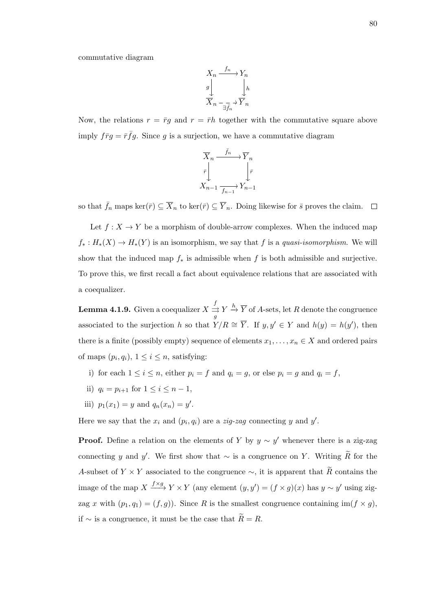commutative diagram

$$
\begin{array}{ccc}\nX_n & \xrightarrow{f_n} & Y_n \\
\downarrow g & & \downarrow h \\
\hline\n\overline{X}_n & \xrightarrow{-\overline{f}_n} & \overline{Y}_n\n\end{array}
$$

Now, the relations  $r = \bar{r}g$  and  $r = \bar{r}h$  together with the commutative square above imply  $f\bar{r}g = \bar{r}f\bar{g}$ . Since g is a surjection, we have a commutative diagram

$$
\overline{X}_n \xrightarrow{\bar{f}_n} \overline{Y}_n
$$
\n
$$
\overline{r} \downarrow \qquad \qquad \downarrow \overline{r}
$$
\n
$$
X_{n-1} \xrightarrow[\bar{f}_{n-1}]{\bar{f}_{n-1}} Y_{n-1}
$$

so that  $\bar{f}_n$  maps  $\ker(\bar{r}) \subseteq \overline{X}_n$  to  $\ker(\bar{r}) \subseteq \overline{Y}_n$ . Doing likewise for  $\bar{s}$  proves the claim.  $\Box$ 

Let  $f: X \to Y$  be a morphism of double-arrow complexes. When the induced map  $f_*: H_*(X) \to H_*(Y)$  is an isomorphism, we say that f is a quasi-isomorphism. We will show that the induced map  $f_*$  is admissible when f is both admissible and surjective. To prove this, we first recall a fact about equivalence relations that are associated with a coequalizer.

**Lemma 4.1.9.** Given a coequalizer  $X \stackrel{f}{\rightrightarrows}$  $\frac{d}{d\beta} Y \xrightarrow{h} \overline{Y}$  of A-sets, let R denote the congruence associated to the surjection h so that  $Y/R \cong \overline{Y}$ . If  $y, y' \in Y$  and  $h(y) = h(y')$ , then there is a finite (possibly empty) sequence of elements  $x_1, \ldots, x_n \in X$  and ordered pairs of maps  $(p_i, q_i)$ ,  $1 \leq i \leq n$ , satisfying:

- i) for each  $1 \leq i \leq n$ , either  $p_i = f$  and  $q_i = g$ , or else  $p_i = g$  and  $q_i = f$ ,
- ii)  $q_i = p_{i+1}$  for  $1 \le i \le n-1$ ,
- iii)  $p_1(x_1) = y$  and  $q_n(x_n) = y'$ .

Here we say that the  $x_i$  and  $(p_i, q_i)$  are a *zig-zag* connecting y and y'.

**Proof.** Define a relation on the elements of Y by  $y \sim y'$  whenever there is a zig-zag connecting y and y'. We first show that  $\sim$  is a congruence on Y. Writing  $\widetilde{R}$  for the A-subset of  $Y \times Y$  associated to the congruence  $\sim$ , it is apparent that  $\widetilde{R}$  contains the image of the map  $X \xrightarrow{f \times g} Y \times Y$  (any element  $(y, y') = (f \times g)(x)$  has  $y \sim y'$  using zigzag x with  $(p_1, q_1) = (f, g)$ . Since R is the smallest congruence containing im $(f \times g)$ , if ∼ is a congruence, it must be the case that  $\widetilde{R} = R$ .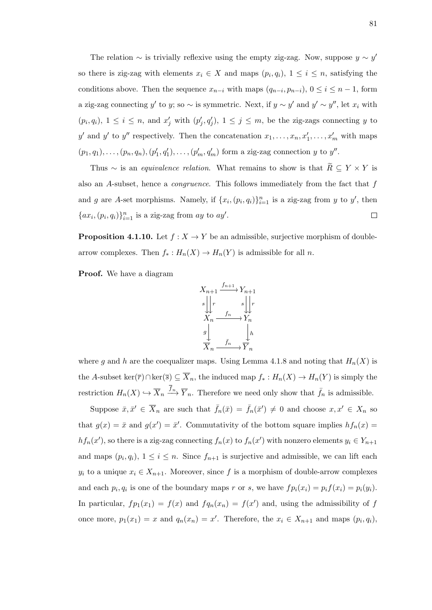The relation  $\sim$  is trivially reflexive using the empty zig-zag. Now, suppose  $y \sim y'$ so there is zig-zag with elements  $x_i \in X$  and maps  $(p_i, q_i)$ ,  $1 \leq i \leq n$ , satisfying the conditions above. Then the sequence  $x_{n-i}$  with maps  $(q_{n-i}, p_{n-i}), 0 \le i \le n-1$ , form a zig-zag connecting y' to y; so  $\sim$  is symmetric. Next, if  $y \sim y'$  and  $y' \sim y''$ , let  $x_i$  with  $(p_i, q_i)$ ,  $1 \leq i \leq n$ , and  $x'_j$  with  $(p'_j, q'_j)$ ,  $1 \leq j \leq m$ , be the zig-zags connecting y to y' and y' to y'' respectively. Then the concatenation  $x_1, \ldots, x_n, x'_1, \ldots, x'_m$  with maps  $(p_1, q_1), \ldots, (p_n, q_n), (p'_1, q'_1), \ldots, (p'_m, q'_m)$  form a zig-zag connection y to y''.

Thus ∼ is an *equivalence relation*. What remains to show is that  $\widetilde{R} \subseteq Y \times Y$  is also an A-subset, hence a congruence. This follows immediately from the fact that f and g are A-set morphisms. Namely, if  $\{x_i,(p_i,q_i)\}_{i=1}^n$  is a zig-zag from y to y', then  $\{ax_i,(p_i,q_i)\}_{i=1}^n$  is a zig-zag from ay to ay'.  $\Box$ 

**Proposition 4.1.10.** Let  $f : X \to Y$  be an admissible, surjective morphism of doublearrow complexes. Then  $f_* : H_n(X) \to H_n(Y)$  is admissible for all n.

Proof. We have a diagram



where g and h are the coequalizer maps. Using Lemma 4.1.8 and noting that  $H_n(X)$  is the A-subset ker( $\overline{r}$ )∩ker( $\overline{s}$ )  $\subseteq \overline{X}_n$ , the induced map  $f_* : H_n(X) \to H_n(Y)$  is simply the restriction  $H_n(X) \hookrightarrow \overline{X}_n \xrightarrow{f_n} \overline{Y}_n$ . Therefore we need only show that  $\overline{f}_n$  is admissible.

Suppose  $\bar{x}, \bar{x}' \in \overline{X}_n$  are such that  $\bar{f}_n(\bar{x}) = \bar{f}_n(\bar{x}') \neq 0$  and choose  $x, x' \in X_n$  so that  $g(x) = \bar{x}$  and  $g(x') = \bar{x}'$ . Commutativity of the bottom square implies  $hf_n(x) =$  $hf_n(x')$ , so there is a zig-zag connecting  $f_n(x)$  to  $f_n(x')$  with nonzero elements  $y_i \in Y_{n+1}$ and maps  $(p_i, q_i)$ ,  $1 \leq i \leq n$ . Since  $f_{n+1}$  is surjective and admissible, we can lift each  $y_i$  to a unique  $x_i \in X_{n+1}$ . Moreover, since f is a morphism of double-arrow complexes and each  $p_i, q_i$  is one of the boundary maps r or s, we have  $fp_i(x_i) = p_i f(x_i) = p_i(y_i)$ . In particular,  $fp_1(x_1) = f(x)$  and  $fq_n(x_n) = f(x')$  and, using the admissibility of f once more,  $p_1(x_1) = x$  and  $q_n(x_n) = x'$ . Therefore, the  $x_i \in X_{n+1}$  and maps  $(p_i, q_i)$ ,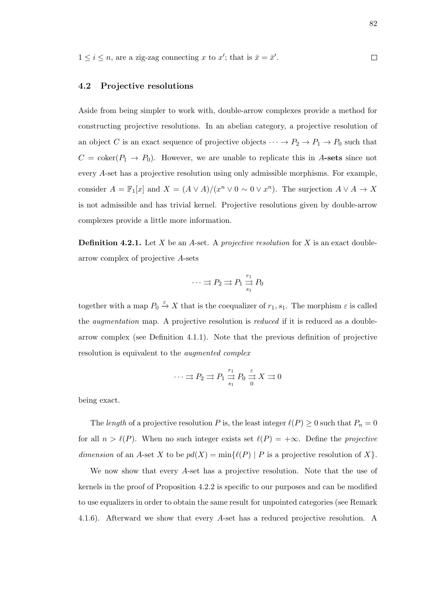$1 \leq i \leq n$ , are a zig-zag connecting x to x'; that is  $\bar{x} = \bar{x}'$ .  $\Box$ 

#### 4.2 Projective resolutions

Aside from being simpler to work with, double-arrow complexes provide a method for constructing projective resolutions. In an abelian category, a projective resolution of an object C is an exact sequence of projective objects  $\cdots \rightarrow P_2 \rightarrow P_1 \rightarrow P_0$  such that  $C = \text{coker}(P_1 \rightarrow P_0)$ . However, we are unable to replicate this in A-sets since not every A-set has a projective resolution using only admissible morphisms. For example, consider  $A = \mathbb{F}_1[x]$  and  $X = (A \vee A)/(x^n \vee 0 \sim 0 \vee x^n)$ . The surjection  $A \vee A \to X$ is not admissible and has trivial kernel. Projective resolutions given by double-arrow complexes provide a little more information.

**Definition 4.2.1.** Let  $X$  be an  $A$ -set. A projective resolution for  $X$  is an exact doublearrow complex of projective A-sets

$$
\cdots \rightrightarrows P_2 \rightrightarrows P_1 \xrightarrow[s_1]{r_1} P_0
$$

together with a map  $P_0 \stackrel{\varepsilon}{\rightarrow} X$  that is the coequalizer of  $r_1, s_1$ . The morphism  $\varepsilon$  is called the *augmentation* map. A projective resolution is *reduced* if it is reduced as a doublearrow complex (see Definition 4.1.1). Note that the previous definition of projective resolution is equivalent to the augmented complex

$$
\cdots \rightrightarrows P_2 \rightrightarrows P_1 \xrightarrow[s_1]{r_1} P_0 \xrightarrow[s_1]{\varepsilon} X \rightrightarrows 0
$$

being exact.

The length of a projective resolution P is, the least integer  $\ell(P) \geq 0$  such that  $P_n = 0$ for all  $n > \ell(P)$ . When no such integer exists set  $\ell(P) = +\infty$ . Define the projective dimension of an A-set X to be  $pd(X) = min{(\ell(P) | P \text{ is a projective resolution of } X)}$ .

We now show that every A-set has a projective resolution. Note that the use of kernels in the proof of Proposition 4.2.2 is specific to our purposes and can be modified to use equalizers in order to obtain the same result for unpointed categories (see Remark 4.1.6). Afterward we show that every A-set has a reduced projective resolution. A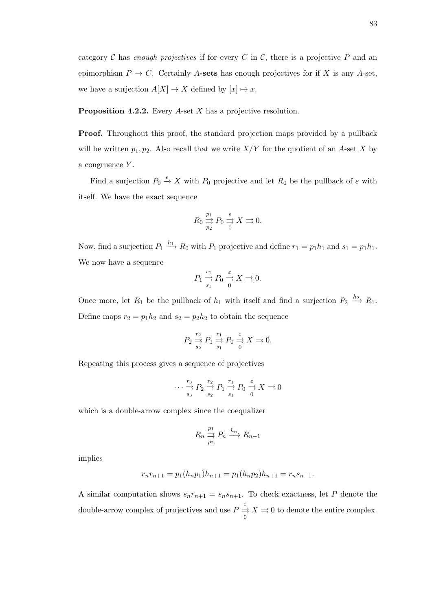**Proposition 4.2.2.** Every A-set X has a projective resolution.

**Proof.** Throughout this proof, the standard projection maps provided by a pullback will be written  $p_1, p_2$ . Also recall that we write  $X/Y$  for the quotient of an A-set X by a congruence  $Y$ .

Find a surjection  $P_0 \stackrel{\epsilon}{\rightarrow} X$  with  $P_0$  projective and let  $R_0$  be the pullback of  $\varepsilon$  with itself. We have the exact sequence

$$
R_0 \underset{p_2}{\overset{p_1}{\rightrightarrows}} P_0 \underset{0}{\overset{\varepsilon}{\rightrightarrows}} X \rightrightarrows 0.
$$

Now, find a surjection  $P_1 \stackrel{h_1}{\longrightarrow} R_0$  with  $P_1$  projective and define  $r_1 = p_1 h_1$  and  $s_1 = p_1 h_1$ . We now have a sequence

$$
P_1 \stackrel{r_1}{\underset{s_1}{\to}} P_0 \stackrel{\varepsilon}{\underset{0}{\to}} X \stackrel{}{\to} 0.
$$

Once more, let  $R_1$  be the pullback of  $h_1$  with itself and find a surjection  $P_2 \stackrel{h_2}{\longrightarrow} R_1$ . Define maps  $r_2 = p_1 h_2$  and  $s_2 = p_2 h_2$  to obtain the sequence

$$
P_2 \stackrel{r_2}{\underset{s_2}{\to}} P_1 \stackrel{r_1}{\underset{s_1}{\to}} P_0 \stackrel{\varepsilon}{\underset{0}{\to}} X \stackrel{}{\to} 0.
$$

Repeating this process gives a sequence of projectives

$$
\cdots \stackrel{r_3}{\underset{s_3}{\rightarrow}} P_2 \stackrel{r_2}{\underset{s_2}{\rightarrow}} P_1 \stackrel{r_1}{\underset{s_1}{\rightarrow}} P_0 \stackrel{\varepsilon}{\underset{0}{\rightarrow}} X \stackrel{}{\rightrightarrows} 0
$$

which is a double-arrow complex since the coequalizer

$$
R_n \underset{p_2}{\overset{p_1}{\to}} P_n \overset{h_n}{\longrightarrow} R_{n-1}
$$

implies

$$
r_n r_{n+1} = p_1(h_n p_1) h_{n+1} = p_1(h_n p_2) h_{n+1} = r_n s_{n+1}.
$$

A similar computation shows  $s_n r_{n+1} = s_n s_{n+1}$ . To check exactness, let P denote the double-arrow complex of projectives and use  $P \stackrel{\varepsilon}{\rightrightarrows}$ 0  $X \rightrightarrows 0$  to denote the entire complex.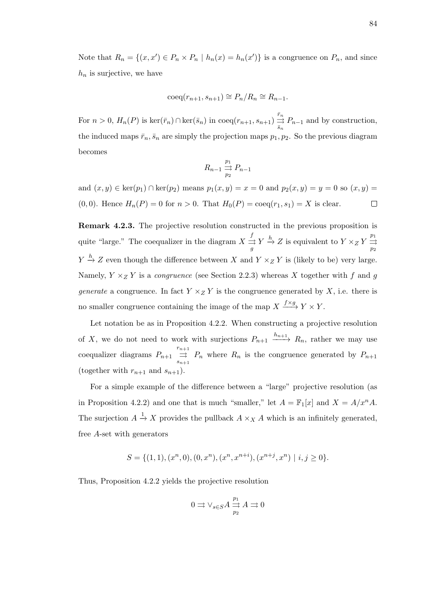Note that  $R_n = \{(x, x') \in P_n \times P_n \mid h_n(x) = h_n(x')\}$  is a congruence on  $P_n$ , and since  $h_n$  is surjective, we have

$$
\mathrm{coeq}(r_{n+1}, s_{n+1}) \cong P_n / R_n \cong R_{n-1}.
$$

For  $n > 0$ ,  $H_n(P)$  is  $\ker(\bar{r}_n) \cap \ker(\bar{s}_n)$  in  $\operatorname{coeq}(r_{n+1}, s_{n+1}) \stackrel{\bar{r}_n}{\rightrightarrows}$  $\Rightarrow P_{n-1}$  and by construction, the induced maps  $\bar{r}_n, \bar{s}_n$  are simply the projection maps  $p_1, p_2$ . So the previous diagram becomes

$$
R_{n-1} \underset{p_2}{\overset{p_1}{\rightrightarrows}} P_{n-1}
$$

and  $(x, y) \in \text{ker}(p_1) \cap \text{ker}(p_2)$  means  $p_1(x, y) = x = 0$  and  $p_2(x, y) = y = 0$  so  $(x, y) = y$  $(0, 0)$ . Hence  $H_n(P) = 0$  for  $n > 0$ . That  $H_0(P) = \text{coeq}(r_1, s_1) = X$  is clear.  $\Box$ 

Remark 4.2.3. The projective resolution constructed in the previous proposition is quite "large." The coequalizer in the diagram  $X \stackrel{f}{\rightrightarrows}$  $\frac{f}{\Rightarrow} Y \xrightarrow{h} Z$  is equivalent to  $Y \times_Z Y \xrightarrow[1]$  $\overline{p}_2$  $Y \stackrel{h}{\rightarrow} Z$  even though the difference between X and  $Y \times_Z Y$  is (likely to be) very large. Namely,  $Y \times Z Y$  is a *congruence* (see Section 2.2.3) whereas X together with f and g generate a congruence. In fact  $Y \times_Z Y$  is the congruence generated by X, i.e. there is no smaller congruence containing the image of the map  $X \xrightarrow{f \times g} Y \times Y$ .

Let notation be as in Proposition 4.2.2. When constructing a projective resolution of X, we do not need to work with surjections  $P_{n+1} \xrightarrow{h_{n+1}} R_n$ , rather we may use coequalizer diagrams  $P_{n+1}$  $\stackrel{r_{n+1}}{\rightrightarrows}$  $\Rightarrow P_n$  where  $R_n$  is the congruence generated by  $P_{n+1}$ (together with  $r_{n+1}$  and  $s_{n+1}$ ).

For a simple example of the difference between a "large" projective resolution (as in Proposition 4.2.2) and one that is much "smaller," let  $A = \mathbb{F}_1[x]$  and  $X = A/x^nA$ . The surjection  $A \stackrel{1}{\rightarrow} X$  provides the pullback  $A \times_X A$  which is an infinitely generated, free A-set with generators

$$
S = \{ (1,1), (x^n,0), (0,x^n), (x^n, x^{n+i}), (x^{n+j}, x^n) \mid i, j \ge 0 \}.
$$

Thus, Proposition 4.2.2 yields the projective resolution

$$
0 \rightrightarrows \vee_{s \in S} A \xrightarrow{p_1}_{p_2} A \rightrightarrows 0
$$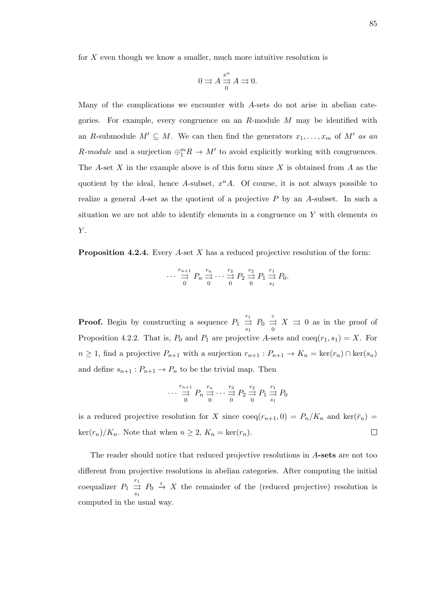for  $X$  even though we know a smaller, much more intuitive resolution is

$$
0 \rightrightarrows A \stackrel{x^n}{\rightrightarrows} A \rightrightarrows 0.
$$

Many of the complications we encounter with A-sets do not arise in abelian categories. For example, every congruence on an R-module M may be identified with an R-submodule  $M' \subseteq M$ . We can then find the generators  $x_1, \ldots, x_m$  of  $M'$  as an R-module and a surjection  $\bigoplus_{1}^{m} R \to M'$  to avoid explicitly working with congruences. The A-set X in the example above is of this form since X is obtained from A as the quotient by the ideal, hence A-subset,  $x<sup>n</sup>A$ . Of course, it is not always possible to realize a general A-set as the quotient of a projective  $P$  by an A-subset. In such a situation we are not able to identify elements in a congruence on  $Y$  with elements in  $Y$ .

**Proposition 4.2.4.** Every A-set X has a reduced projective resolution of the form:

$$
\cdots \stackrel{r_{n+1}}{\underset{0}{\rightrightarrows}} P_n \stackrel{r_n}{\underset{0}{\rightrightarrows}} \cdots \stackrel{r_3}{\underset{0}{\rightrightarrows}} P_2 \stackrel{r_2}{\underset{0}{\rightrightarrows}} P_1 \stackrel{r_1}{\underset{s_1}{\rightrightarrows}} P_0.
$$

**Proof.** Begin by constructing a sequence  $P_1 \stackrel{r_1}{\rightrightarrows}$  $\stackrel{r_1}{\Rightarrow} P_0 \stackrel{\varepsilon}{\Rightarrow}$ 0  $X \rightrightarrows 0$  as in the proof of Proposition 4.2.2. That is,  $P_0$  and  $P_1$  are projective A-sets and  $\text{coeq}(r_1, s_1) = X$ . For  $n \geq 1$ , find a projective  $P_{n+1}$  with a surjection  $r_{n+1} : P_{n+1} \to K_n = \ker(r_n) \cap \ker(s_n)$ and define  $s_{n+1}: P_{n+1} \to P_n$  to be the trivial map. Then

$$
\cdots \overset{r_{n+1}}{\underset{0}{\rightrightarrows}} P_n \overset{r_n}{\underset{0}{\rightrightarrows}} \cdots \overset{r_3}{\underset{0}{\rightrightarrows}} P_2 \overset{r_2}{\underset{0}{\rightrightarrows}} P_1 \overset{r_1}{\underset{s_1}{\rightrightarrows}} P_0
$$

is a reduced projective resolution for X since  $\text{coeq}(r_{n+1}, 0) = P_n/K_n$  and  $\text{ker}(\bar{r}_n) =$  $\text{ker}(r_n)/K_n$ . Note that when  $n \geq 2$ ,  $K_n = \text{ker}(r_n)$ .  $\Box$ 

The reader should notice that reduced projective resolutions in A-sets are not too different from projective resolutions in abelian categories. After computing the initial coequalizer  $P_1 \stackrel{r_1}{\Rightarrow}$  $\frac{1}{\epsilon_1}$   $P_0 \xrightarrow{\epsilon} X$  the remainder of the (reduced projective) resolution is computed in the usual way.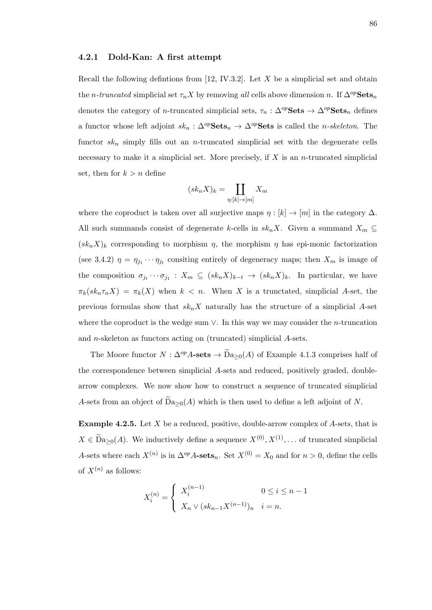# 4.2.1 Dold-Kan: A first attempt

Recall the following defintions from  $[12, IV.3.2]$ . Let X be a simplicial set and obtain the *n*-truncated simplicial set  $\tau_n X$  by removing all cells above dimension n. If  $\Delta^{op}$ Sets<sub>n</sub> denotes the category of *n*-truncated simplicial sets,  $\tau_n : \Delta^{op} \textbf{Sets} \to \Delta^{op} \textbf{Sets}_n$  defines a functor whose left adjoint  $sk_n$ :  $\Delta^{op}$ **Sets**<sub>n</sub>  $\rightarrow \Delta^{op}$ **Sets** is called the *n-skeleton*. The functor  $sk_n$  simply fills out an *n*-truncated simplicial set with the degenerate cells necessary to make it a simplicial set. More precisely, if  $X$  is an *n*-truncated simplicial set, then for  $k > n$  define

$$
(sk_n X)_k = \coprod_{\eta: [k] \to [m]} X_m
$$

where the coproduct is taken over all surjective maps  $\eta : [k] \to [m]$  in the category  $\Delta$ . All such summands consist of degenerate k-cells in  $sk_nX$ . Given a summand  $X_m \subseteq$  $(s k_n X)_k$  corresponding to morphism  $\eta$ , the morphism  $\eta$  has epi-monic factorization (see 3.4.2)  $\eta = \eta_{j_1} \cdots \eta_{j_t}$  consiting entirely of degeneracy maps; then  $X_m$  is image of the composition  $\sigma_{j_t} \cdots \sigma_{j_1} : X_m \subseteq (sk_n X)_{k-t} \to (sk_n X)_k$ . In particular, we have  $\pi_k(s k_n \tau_n X) = \pi_k(X)$  when  $k < n$ . When X is a trunctated, simplicial A-set, the previous formulas show that  $sk_nX$  naturally has the structure of a simplicial A-set where the coproduct is the wedge sum  $\vee$ . In this way we may consider the *n*-truncation and n-skeleton as functors acting on (truncated) simplicial A-sets.

The Moore functor  $N : \Delta^{op} A\text{-sets} \to \widetilde{D}a_{>0}(A)$  of Example 4.1.3 comprises half of the correspondence between simplicial A-sets and reduced, positively graded, doublearrow complexes. We now show how to construct a sequence of truncated simplicial A-sets from an object of  $Da_{\geq 0}(A)$  which is then used to define a left adjoint of N.

**Example 4.2.5.** Let  $X$  be a reduced, positive, double-arrow complex of  $A$ -sets, that is  $X \in \widetilde{D}a_{\geq 0}(A)$ . We inductively define a sequence  $X^{(0)}, X^{(1)}, \dots$  of truncated simplicial A-sets where each  $X^{(n)}$  is in  $\Delta^{op}$ A-sets<sub>n</sub>. Set  $X^{(0)} = X_0$  and for  $n > 0$ , define the cells of  $X^{(n)}$  as follows:

$$
X_i^{(n)} = \begin{cases} X_i^{(n-1)} & 0 \le i \le n-1 \\ X_n \vee (sk_{n-1}X^{(n-1)})_n & i = n. \end{cases}
$$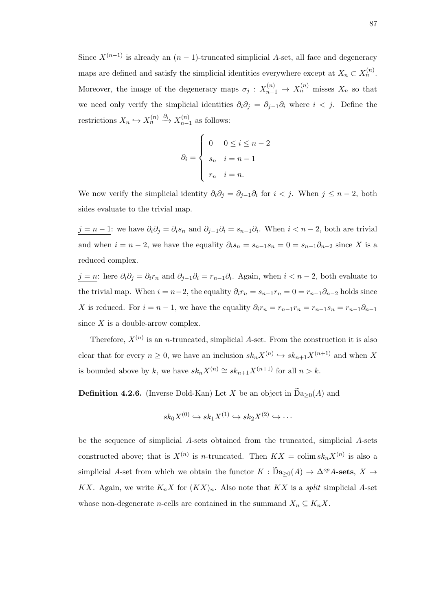Since  $X^{(n-1)}$  is already an  $(n-1)$ -truncated simplicial A-set, all face and degeneracy maps are defined and satisfy the simplicial identities everywhere except at  $X_n \subset X_n^{(n)}$ . Moreover, the image of the degeneracy maps  $\sigma_j: X_{n-1}^{(n)} \to X_n^{(n)}$  misses  $X_n$  so that we need only verify the simplicial identities  $\partial_i \partial_j = \partial_{j-1} \partial_i$  where  $i < j$ . Define the restrictions  $X_n \hookrightarrow X_n^{(n)} \stackrel{\partial_i}{\longrightarrow} X_{n-}^{(n)}$  $\binom{n}{n-1}$  as follows:

$$
\partial_i = \begin{cases} 0 & 0 \le i \le n-2 \\ s_n & i = n-1 \\ r_n & i = n. \end{cases}
$$

We now verify the simplicial identity  $\partial_i \partial_j = \partial_{j-1} \partial_i$  for  $i < j$ . When  $j \leq n-2$ , both sides evaluate to the trivial map.

 $j = n - 1$ : we have  $\partial_i \partial_j = \partial_i s_n$  and  $\partial_{j-1} \partial_i = s_{n-1} \partial_i$ . When  $i < n - 2$ , both are trivial and when  $i = n - 2$ , we have the equality  $\partial_i s_n = s_{n-1} s_n = 0 = s_{n-1} \partial_{n-2}$  since X is a reduced complex.

 $j = n$ : here  $\partial_i \partial_j = \partial_i r_n$  and  $\partial_{j-1} \partial_i = r_{n-1} \partial_i$ . Again, when  $i < n-2$ , both evaluate to the trivial map. When  $i = n-2$ , the equality  $\partial_i r_n = s_{n-1}r_n = 0 = r_{n-1}\partial_{n-2}$  holds since X is reduced. For  $i = n - 1$ , we have the equality  $\partial_i r_n = r_{n-1}r_n = r_{n-1}s_n = r_{n-1}\partial_{n-1}$ since  $X$  is a double-arrow complex.

Therefore,  $X^{(n)}$  is an *n*-truncated, simplicial A-set. From the construction it is also clear that for every  $n \geq 0$ , we have an inclusion  $sk_n X^{(n)} \hookrightarrow sk_{n+1} X^{(n+1)}$  and when X is bounded above by k, we have  $sk_nX^{(n)} \cong sk_{n+1}X^{(n+1)}$  for all  $n > k$ .

**Definition 4.2.6.** (Inverse Dold-Kan) Let X be an object in  $\widetilde{D}a_{>0}(A)$  and

$$
sk_0 X^{(0)} \hookrightarrow sk_1 X^{(1)} \hookrightarrow sk_2 X^{(2)} \hookrightarrow \cdots
$$

be the sequence of simplicial A-sets obtained from the truncated, simplicial A-sets constructed above; that is  $X^{(n)}$  is *n*-truncated. Then  $KX = \text{colim } sk_n X^{(n)}$  is also a simplicial A-set from which we obtain the functor  $K : \widetilde{D}a_{>0}(A) \to \Delta^{op}A$ -sets,  $X \mapsto$ KX. Again, we write  $K_n X$  for  $(KX)_n$ . Also note that KX is a *split* simplicial A-set whose non-degenerate *n*-cells are contained in the summand  $X_n \subseteq K_n X$ .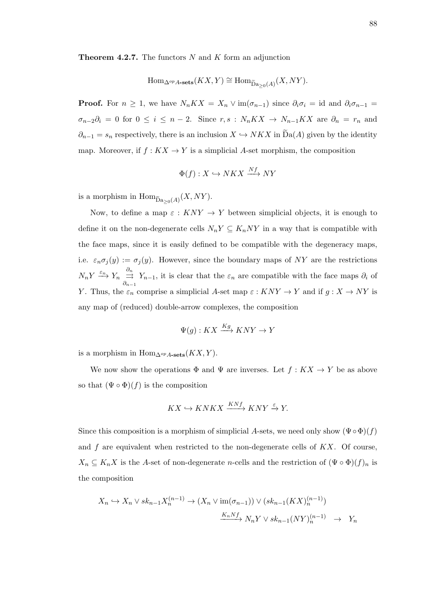**Theorem 4.2.7.** The functors  $N$  and  $K$  form an adjunction

$$
\mathrm{Hom}_{\Delta^{op}A\text{-sets}}(KX,Y)\cong \mathrm{Hom}_{\widetilde{\mathrm{Da}}_{\geq 0}(A)}(X,NY).
$$

**Proof.** For  $n \geq 1$ , we have  $N_n K X = X_n \vee \text{im}(\sigma_{n-1})$  since  $\partial_i \sigma_i = \text{id}$  and  $\partial_i \sigma_{n-1} =$  $\sigma_{n-2}\partial_i = 0$  for  $0 \le i \le n-2$ . Since  $r, s : N_n K X \to N_{n-1} K X$  are  $\partial_n = r_n$  and  $\partial_{n-1} = s_n$  respectively, there is an inclusion  $X \hookrightarrow N K X$  in  $\widetilde{D}a(A)$  given by the identity map. Moreover, if  $f : KX \to Y$  is a simplicial A-set morphism, the composition

$$
\Phi(f) : X \hookrightarrow N K X \xrightarrow{Nf} N Y
$$

is a morphism in  $\text{Hom}_{\widetilde{D}a_{\geq 0}(A)}(X, NY)$ .

Now, to define a map  $\varepsilon : KNY \to Y$  between simplicial objects, it is enough to define it on the non-degenerate cells  $N_nY\subseteq K_nNY$  in a way that is compatible with the face maps, since it is easily defined to be compatible with the degeneracy maps, i.e.  $\varepsilon_n \sigma_j(y) := \sigma_j(y)$ . However, since the boundary maps of NY are the restrictions  $N_n Y \stackrel{\varepsilon_n}{\longrightarrow} Y_n \stackrel{\partial_n}{\rightrightarrows}$  $\partial_{n-1}$  $Y_{n-1}$ , it is clear that the  $\varepsilon_n$  are compatible with the face maps  $\partial_i$  of Y. Thus, the  $\varepsilon_n$  comprise a simplicial A-set map  $\varepsilon: KNY \to Y$  and if  $g: X \to NY$  is any map of (reduced) double-arrow complexes, the composition

$$
\Psi(g) : KX \xrightarrow{Kg} KNY \to Y
$$

is a morphism in Hom<sub>∆</sub><sub>op</sub><sub>A-sets</sub> $(KX, Y)$ .

We now show the operations  $\Phi$  and  $\Psi$  are inverses. Let  $f: KX \to Y$  be as above so that  $(\Psi \circ \Phi)(f)$  is the composition

$$
KX \hookrightarrow KNKX \xrightarrow{KNf} KNY \xrightarrow{\varepsilon} Y.
$$

Since this composition is a morphism of simplicial A-sets, we need only show  $(\Psi \circ \Phi)(f)$ and  $f$  are equivalent when restricted to the non-degenerate cells of  $KX$ . Of course,  $X_n \subseteq K_n X$  is the A-set of non-degenerate n-cells and the restriction of  $(\Psi \circ \Phi)(f)_n$  is the composition

$$
X_n \hookrightarrow X_n \vee sk_{n-1}X_n^{(n-1)} \to (X_n \vee \text{im}(\sigma_{n-1})) \vee (sk_{n-1}(KX)_n^{(n-1)})
$$

$$
\xrightarrow{K_n Nf} N_n Y \vee sk_{n-1}(NY)_n^{(n-1)} \to Y_n
$$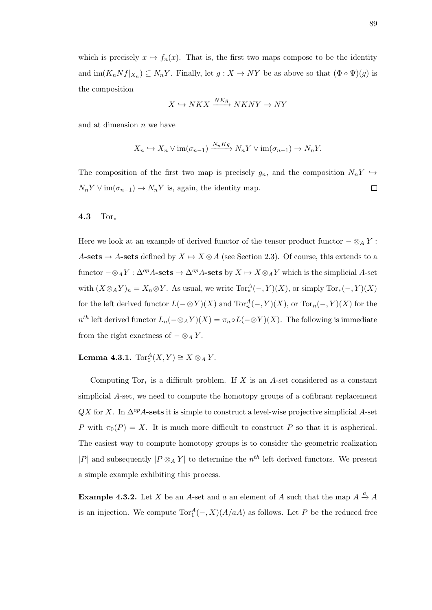which is precisely  $x \mapsto f_n(x)$ . That is, the first two maps compose to be the identity and  $\text{im}(K_n Nf|_{X_n}) \subseteq N_n Y$ . Finally, let  $g: X \to NY$  be as above so that  $(\Phi \circ \Psi)(g)$  is the composition

$$
X \hookrightarrow N K X \xrightarrow{NKg} N K N Y \to N Y
$$

and at dimension  $n$  we have

$$
X_n \hookrightarrow X_n \vee \operatorname{im}(\sigma_{n-1}) \xrightarrow{N_n Kg} N_n Y \vee \operatorname{im}(\sigma_{n-1}) \to N_n Y.
$$

The composition of the first two map is precisely  $g_n$ , and the composition  $N_n Y \hookrightarrow$  $N_n Y \vee \text{im}(\sigma_{n-1}) \to N_n Y$  is, again, the identity map.  $\Box$ 

### 4.3 Tor<sup>∗</sup>

Here we look at an example of derived functor of the tensor product functor  $-\otimes_A Y$ : A-sets  $\rightarrow$  A-sets defined by  $X \rightarrow X \otimes A$  (see Section 2.3). Of course, this extends to a functor  $-\otimes_A Y : \Delta^{op} A$ -sets  $\to \Delta^{op} A$ -sets by  $X \mapsto X \otimes_A Y$  which is the simplicial A-set with  $(X \otimes_A Y)_n = X_n \otimes Y$ . As usual, we write  $Tor_*^A(-, Y)(X)$ , or simply  $Tor_*(-, Y)(X)$ for the left derived functor  $L(-\otimes Y)(X)$  and  $\text{Tor}_n^A(-, Y)(X)$ , or  $\text{Tor}_n(-, Y)(X)$  for the  $n^{th}$  left derived functor  $L_n(-\otimes_A Y)(X) = \pi_n \circ L(-\otimes Y)(X)$ . The following is immediate from the right exactness of  $-\otimes_A Y$ .

**Lemma 4.3.1.**  $Tor_0^A(X,Y) \cong X \otimes_A Y$ .

Computing Tor $_{*}$  is a difficult problem. If X is an A-set considered as a constant simplicial A-set, we need to compute the homotopy groups of a cofibrant replacement  $\mathbb{Q}X$  for X. In  $\Delta^{op}$ A-sets it is simple to construct a level-wise projective simplicial A-set P with  $\pi_0(P) = X$ . It is much more difficult to construct P so that it is aspherical. The easiest way to compute homotopy groups is to consider the geometric realization |P| and subsequently  $|P \otimes_A Y|$  to determine the  $n^{th}$  left derived functors. We present a simple example exhibiting this process.

**Example 4.3.2.** Let X be an A-set and a an element of A such that the map  $A \stackrel{a}{\rightarrow} A$ is an injection. We compute  $Tor_1^A(-, X)(A/aA)$  as follows. Let P be the reduced free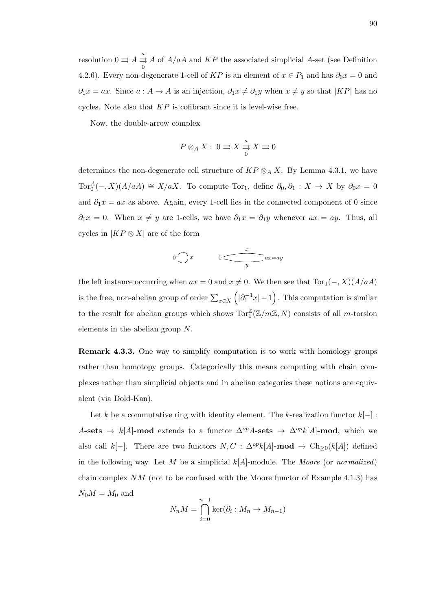resolution  $0 \rightrightarrows A \rightrightarrows^a$  $\mathbf{0}$ A of  $A/aA$  and  $KP$  the associated simplicial A-set (see Definition 4.2.6). Every non-degenerate 1-cell of KP is an element of  $x \in P_1$  and has  $\partial_0 x = 0$  and  $\partial_1 x = ax$ . Since  $a : A \to A$  is an injection,  $\partial_1 x \neq \partial_1 y$  when  $x \neq y$  so that  $|KP|$  has no cycles. Note also that  $KP$  is cofibrant since it is level-wise free.

Now, the double-arrow complex

$$
P \otimes_A X : 0 \rightrightarrows X \xrightarrow{\begin{subarray}{c} a \\ \rightrightarrows \end{subarray}} X \rightrightarrows 0
$$

determines the non-degenerate cell structure of  $KP \otimes_A X$ . By Lemma 4.3.1, we have  $Tor_0^A(-, X)(A/aA) \cong X/aX$ . To compute Tor<sub>1</sub>, define  $\partial_0, \partial_1 : X \to X$  by  $\partial_0 x = 0$ and  $\partial_1 x = ax$  as above. Again, every 1-cell lies in the connected component of 0 since  $\partial_0 x = 0$ . When  $x \neq y$  are 1-cells, we have  $\partial_1 x = \partial_1 y$  whenever  $ax = ay$ . Thus, all cycles in  $|KP \otimes X|$  are of the form

$$
0 \bigcirc x \qquad \qquad 0 \qquad \qquad x \qquad \qquad ax = ay
$$

the left instance occurring when  $ax = 0$  and  $x \neq 0$ . We then see that  $Tor_1(-, X)(A/aA)$ is the free, non-abelian group of order  $\sum_{x \in X} (|\partial_1^{-1} x| - 1)$ . This computation is similar to the result for abelian groups which shows  $\text{Tor}_{1}^{\mathbb{Z}}(\mathbb{Z}/m\mathbb{Z}, N)$  consists of all m-torsion elements in the abelian group N.

Remark 4.3.3. One way to simplify computation is to work with homology groups rather than homotopy groups. Categorically this means computing with chain complexes rather than simplicial objects and in abelian categories these notions are equivalent (via Dold-Kan).

Let k be a commutative ring with identity element. The k-realization functor  $k[-]$ : A-sets  $\rightarrow k[A]$ -mod extends to a functor  $\Delta^{op}A$ -sets  $\rightarrow \Delta^{op}k[A]$ -mod, which we also call k[-]. There are two functors  $N, C : \Delta^{op} k[A]$ -mod  $\rightarrow$  Ch<sub>≥0</sub>(k[A]) defined in the following way. Let M be a simplicial  $k[A]$ -module. The Moore (or normalized) chain complex  $NM$  (not to be confused with the Moore functor of Example 4.1.3) has  $N_0M = M_0$  and

$$
N_n M = \bigcap_{i=0}^{n-1} \ker(\partial_i : M_n \to M_{n-1})
$$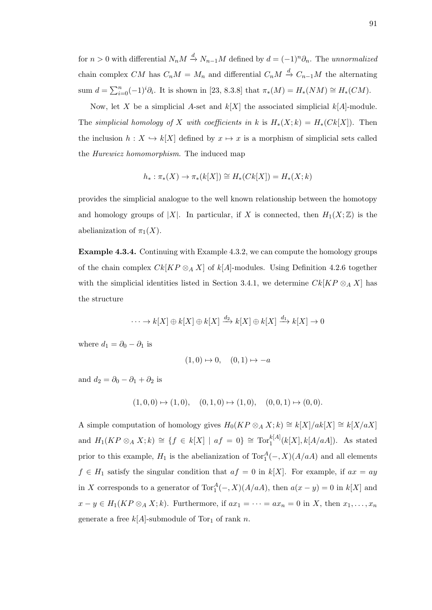for  $n > 0$  with differential  $N_n M \stackrel{d}{\rightarrow} N_{n-1} M$  defined by  $d = (-1)^n \partial_n$ . The unnormalized chain complex CM has  $C_nM = M_n$  and differential  $C_nM \stackrel{d}{\to} C_{n-1}M$  the alternating sum  $d = \sum_{i=0}^{n} (-1)^{i} \partial_{i}$ . It is shown in [23, 8.3.8] that  $\pi_{*}(M) = H_{*}(NM) \cong H_{*}(CM)$ .

Now, let X be a simplicial A-set and  $k[X]$  the associated simplicial  $k[A]$ -module. The simplicial homology of X with coefficients in k is  $H_*(X;k) = H_*(Ck[X])$ . Then the inclusion  $h: X \hookrightarrow k[X]$  defined by  $x \mapsto x$  is a morphism of simplicial sets called the Hurewicz homomorphism. The induced map

$$
h_* : \pi_*(X) \to \pi_*(k[X]) \cong H_*(Ck[X]) = H_*(X;k)
$$

provides the simplicial analogue to the well known relationship between the homotopy and homology groups of |X|. In particular, if X is connected, then  $H_1(X;\mathbb{Z})$  is the abelianization of  $\pi_1(X)$ .

Example 4.3.4. Continuing with Example 4.3.2, we can compute the homology groups of the chain complex  $Ck[KP\otimes_A X]$  of  $k[A]$ -modules. Using Definition 4.2.6 together with the simplicial identities listed in Section 3.4.1, we determine  $Ck[KP\otimes_A X]$  has the structure

$$
\cdots \to k[X] \oplus k[X] \oplus k[X] \xrightarrow{d_2} k[X] \oplus k[X] \xrightarrow{d_1} k[X] \to 0
$$

where  $d_1 = \partial_0 - \partial_1$  is

$$
(1,0) \mapsto 0, \quad (0,1) \mapsto -a
$$

and  $d_2 = \partial_0 - \partial_1 + \partial_2$  is

$$
(1,0,0) \mapsto (1,0), \quad (0,1,0) \mapsto (1,0), \quad (0,0,1) \mapsto (0,0).
$$

A simple computation of homology gives  $H_0(KP \otimes_A X; k) \cong k[X]/ak[X] \cong k[X/\alpha X]$ and  $H_1(KP \otimes_A X;k) \cong \{f \in k[X] \mid af = 0\} \cong \text{Tor}_1^{k[A]}(k[X],k[A/aa]).$  As stated prior to this example,  $H_1$  is the abelianization of  $Tor_1^A(-, X)(A/aA)$  and all elements  $f \in H_1$  satisfy the singular condition that  $af = 0$  in  $k[X]$ . For example, if  $ax = ay$ in X corresponds to a generator of  $Tor_1^A(-, X)(A/aA)$ , then  $a(x - y) = 0$  in  $k[X]$  and  $x - y \in H_1(KP \otimes_A X; k)$ . Furthermore, if  $ax_1 = \cdots = ax_n = 0$  in X, then  $x_1, \ldots, x_n$ generate a free  $k[A]$ -submodule of Tor<sub>1</sub> of rank n.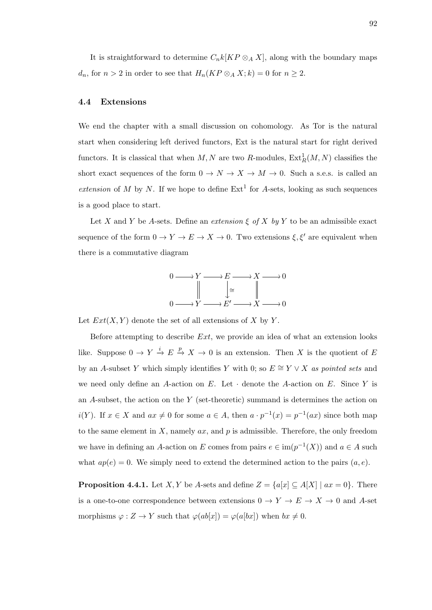It is straightforward to determine  $C_nk[KP \otimes_A X]$ , along with the boundary maps  $d_n$ , for  $n > 2$  in order to see that  $H_n(KP \otimes_A X; k) = 0$  for  $n \geq 2$ .

# 4.4 Extensions

We end the chapter with a small discussion on cohomology. As Tor is the natural start when considering left derived functors, Ext is the natural start for right derived functors. It is classical that when  $M, N$  are two R-modules,  $\text{Ext}^1_R(M, N)$  classifies the short exact sequences of the form  $0 \to N \to X \to M \to 0$ . Such a s.e.s. is called an extension of M by N. If we hope to define  $Ext<sup>1</sup>$  for A-sets, looking as such sequences is a good place to start.

Let X and Y be A-sets. Define an extension  $\xi$  of X by Y to be an admissible exact sequence of the form  $0 \to Y \to E \to X \to 0$ . Two extensions  $\xi, \xi'$  are equivalent when there is a commutative diagram



Let  $Ext(X, Y)$  denote the set of all extensions of X by Y.

Before attempting to describe  $Ext$ , we provide an idea of what an extension looks like. Suppose  $0 \to Y \stackrel{i}{\to} E \stackrel{p}{\to} X \to 0$  is an extension. Then X is the quotient of E by an A-subset Y which simply identifies Y with 0; so  $E \cong Y \vee X$  as pointed sets and we need only define an A-action on E. Let  $\cdot$  denote the A-action on E. Since Y is an A-subset, the action on the Y (set-theoretic) summand is determines the action on  $i(Y)$ . If  $x \in X$  and  $ax \neq 0$  for some  $a \in A$ , then  $a \cdot p^{-1}(x) = p^{-1}(ax)$  since both map to the same element in  $X$ , namely  $ax$ , and  $p$  is admissible. Therefore, the only freedom we have in defining an A-action on E comes from pairs  $e \in \text{im}(p^{-1}(X))$  and  $a \in A$  such what  $ap(e) = 0$ . We simply need to extend the determined action to the pairs  $(a, e)$ .

**Proposition 4.4.1.** Let *X*, *Y* be *A*-sets and define  $Z = \{a[x] \subseteq A[X] \mid ax = 0\}$ . There is a one-to-one correspondence between extensions  $0\to Y\to E\to X\to 0$  and  $A\text{-set}$ morphisms  $\varphi: Z \to Y$  such that  $\varphi(ab[x]) = \varphi(a[bx])$  when  $bx \neq 0$ .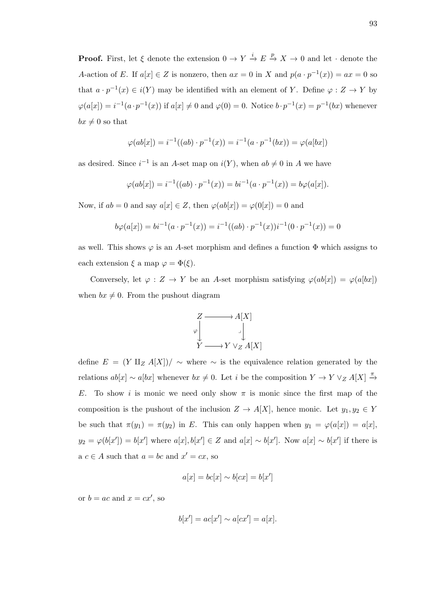**Proof.** First, let  $\xi$  denote the extension  $0 \to Y \stackrel{i}{\to} E \stackrel{p}{\to} X \to 0$  and let  $\cdot$  denote the A-action of E. If  $a[x] \in Z$  is nonzero, then  $ax = 0$  in X and  $p(a \cdot p^{-1}(x)) = ax = 0$  so that  $a \cdot p^{-1}(x) \in i(Y)$  may be identified with an element of Y. Define  $\varphi : Z \to Y$  by  $\varphi(a[x]) = i^{-1}(a \cdot p^{-1}(x))$  if  $a[x] \neq 0$  and  $\varphi(0) = 0$ . Notice  $b \cdot p^{-1}(x) = p^{-1}(bx)$  whenever  $bx \neq 0$  so that

$$
\varphi(ab[x]) = i^{-1}((ab) \cdot p^{-1}(x)) = i^{-1}(a \cdot p^{-1}(bx)) = \varphi(a[bx])
$$

as desired. Since  $i^{-1}$  is an A-set map on  $i(Y)$ , when  $ab \neq 0$  in A we have

$$
\varphi(ab[x]) = i^{-1}((ab) \cdot p^{-1}(x)) = bi^{-1}(a \cdot p^{-1}(x)) = b\varphi(a[x]).
$$

Now, if  $ab = 0$  and say  $a[x] \in Z$ , then  $\varphi(ab[x]) = \varphi(0[x]) = 0$  and

$$
b\varphi(a[x]) = bi^{-1}(a \cdot p^{-1}(x)) = i^{-1}((ab) \cdot p^{-1}(x))i^{-1}(0 \cdot p^{-1}(x)) = 0
$$

as well. This shows  $\varphi$  is an A-set morphism and defines a function  $\Phi$  which assigns to each extension  $\xi$  a map  $\varphi = \Phi(\xi)$ .

Conversely, let  $\varphi: Z \to Y$  be an A-set morphism satisfying  $\varphi(ab[x]) = \varphi(a[bx])$ when  $bx \neq 0$ . From the pushout diagram



define  $E = (Y \amalg_Z A[X]) / \sim$  where  $\sim$  is the equivalence relation generated by the relations  $ab[x] \sim a[bx]$  whenever  $bx \neq 0$ . Let i be the composition  $Y \to Y \vee_Z A[X] \stackrel{\pi}{\to} \theta$ E. To show i is monic we need only show  $\pi$  is monic since the first map of the composition is the pushout of the inclusion  $Z \to A[X]$ , hence monic. Let  $y_1, y_2 \in Y$ be such that  $\pi(y_1) = \pi(y_2)$  in E. This can only happen when  $y_1 = \varphi(a[x]) = a[x]$ ,  $y_2 = \varphi(b[x']) = b[x']$  where  $a[x], b[x'] \in Z$  and  $a[x] \sim b[x']$ . Now  $a[x] \sim b[x']$  if there is  $a \ c \in A$  such that  $a = bc$  and  $x' = cx$ , so

$$
a[x] = bc[x] \sim b[cx] = b[x']
$$

or  $b = ac$  and  $x = cx'$ , so

$$
b[x'] = ac[x'] \sim a[cx'] = a[x].
$$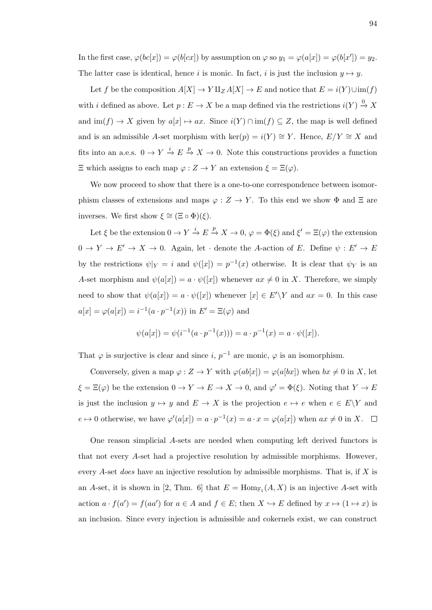In the first case,  $\varphi(bc[x]) = \varphi(b[cx])$  by assumption on  $\varphi$  so  $y_1 = \varphi(a[x]) = \varphi(b[x']) = y_2$ . The latter case is identical, hence i is monic. In fact, i is just the inclusion  $y \mapsto y$ .

Let f be the composition  $A[X] \to Y \amalg_Z A[X] \to E$  and notice that  $E = i(Y) \cup im(f)$ with i defined as above. Let  $p: E \to X$  be a map defined via the restrictions  $i(Y) \stackrel{0}{\to} X$ and  $\text{im}(f) \to X$  given by  $a[x] \mapsto ax$ . Since  $i(Y) \cap \text{im}(f) \subseteq Z$ , the map is well defined and is an admissible A-set morphism with ker(p) =  $i(Y) \cong Y$ . Hence,  $E/Y \cong X$  and fits into an a.e.s.  $0 \to Y \stackrel{i}{\to} E \stackrel{p}{\to} X \to 0$ . Note this constructions provides a function  $\Xi$  which assigns to each map  $\varphi: Z \to Y$  an extension  $\xi = \Xi(\varphi)$ .

We now proceed to show that there is a one-to-one correspondence between isomorphism classes of extensions and maps  $\varphi : Z \to Y$ . To this end we show  $\Phi$  and  $\Xi$  are inverses. We first show  $\xi \cong (\Xi \circ \Phi)(\xi)$ .

Let  $\xi$  be the extension  $0 \to Y \stackrel{i}{\to} E \stackrel{p}{\to} X \to 0$ ,  $\varphi = \Phi(\xi)$  and  $\xi' = \Xi(\varphi)$  the extension  $0 \to Y \to E' \to X \to 0$ . Again, let · denote the A-action of E. Define  $\psi : E' \to E'$ by the restrictions  $\psi|_Y = i$  and  $\psi([x]) = p^{-1}(x)$  otherwise. It is clear that  $\psi_Y$  is an A-set morphism and  $\psi(a[x]) = a \cdot \psi([x])$  whenever  $ax \neq 0$  in X. Therefore, we simply need to show that  $\psi(a[x]) = a \cdot \psi([x])$  whenever  $[x] \in E' \backslash Y$  and  $ax = 0$ . In this case  $a[x] = \varphi(a[x]) = i^{-1}(a \cdot p^{-1}(x))$  in  $E' = \Xi(\varphi)$  and

$$
\psi(a[x]) = \psi(i^{-1}(a \cdot p^{-1}(x))) = a \cdot p^{-1}(x) = a \cdot \psi([x]).
$$

That  $\varphi$  is surjective is clear and since i,  $p^{-1}$  are monic,  $\varphi$  is an isomorphism.

Conversely, given a map  $\varphi: Z \to Y$  with  $\varphi(ab[x]) = \varphi(a[bx])$  when  $bx \neq 0$  in X, let  $\xi = \Xi(\varphi)$  be the extension  $0 \to Y \to E \to X \to 0$ , and  $\varphi' = \Phi(\xi)$ . Noting that  $Y \to E$ is just the inclusion  $y \mapsto y$  and  $E \to X$  is the projection  $e \mapsto e$  when  $e \in E\backslash Y$  and  $e \mapsto 0$  otherwise, we have  $\varphi'(a[x]) = a \cdot p^{-1}(x) = a \cdot x = \varphi(a[x])$  when  $ax \neq 0$  in X.

One reason simplicial A-sets are needed when computing left derived functors is that not every A-set had a projective resolution by admissible morphisms. However, every A-set *does* have an injective resolution by admissible morphisms. That is, if  $X$  is an A-set, it is shown in [2, Thm. 6] that  $E = \text{Hom}_{\mathbb{F}_1}(A, X)$  is an injective A-set with action  $a \cdot f(a') = f(aa')$  for  $a \in A$  and  $f \in E$ ; then  $X \hookrightarrow E$  defined by  $x \mapsto (1 \mapsto x)$  is an inclusion. Since every injection is admissible and cokernels exist, we can construct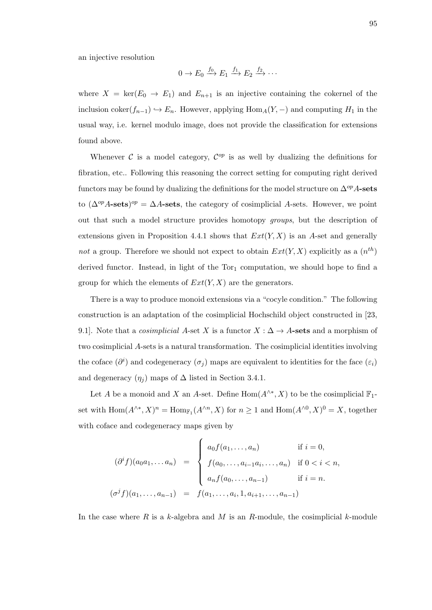an injective resolution

$$
0 \to E_0 \xrightarrow{f_0} E_1 \xrightarrow{f_1} E_2 \xrightarrow{f_2} \cdots
$$

where  $X = \text{ker}(E_0 \to E_1)$  and  $E_{n+1}$  is an injective containing the cokernel of the inclusion coker $(f_{n-1}) \hookrightarrow E_n$ . However, applying Hom<sub>A</sub>(Y, –) and computing  $H_1$  in the usual way, i.e. kernel modulo image, does not provide the classification for extensions found above.

Whenever  $\mathcal C$  is a model category,  $\mathcal C^{op}$  is as well by dualizing the definitions for fibration, etc.. Following this reasoning the correct setting for computing right derived functors may be found by dualizing the definitions for the model structure on  $\Delta^{op} A$ -sets to  $(\Delta^{op}A\text{-sets})^{op} = \Delta A\text{-sets}$ , the category of cosimplicial A-sets. However, we point out that such a model structure provides homotopy groups, but the description of extensions given in Proposition 4.4.1 shows that  $Ext(Y, X)$  is an A-set and generally not a group. Therefore we should not expect to obtain  $Ext(Y, X)$  explicitly as a  $(n<sup>th</sup>)$ derived functor. Instead, in light of the  $Tor_1$  computation, we should hope to find a group for which the elements of  $Ext(Y, X)$  are the generators.

There is a way to produce monoid extensions via a "cocyle condition." The following construction is an adaptation of the cosimplicial Hochschild object constructed in [23, 9.1]. Note that a *cosimplicial* A-set X is a functor  $X : \Delta \to A$ -sets and a morphism of two cosimplicial A-sets is a natural transformation. The cosimplicial identities involving the coface  $(\partial^i)$  and codegeneracy  $(\sigma_j)$  maps are equivalent to identities for the face  $(\varepsilon_i)$ and degeneracy  $(\eta_i)$  maps of  $\Delta$  listed in Section 3.4.1.

Let A be a monoid and X an A-set. Define  $Hom(A^{\wedge *}, X)$  to be the cosimplicial  $\mathbb{F}_1$ set with  $\text{Hom}(A^{\wedge *}, X)^n = \text{Hom}_{\mathbb{F}_1}(A^{\wedge n}, X)$  for  $n \geq 1$  and  $\text{Hom}(A^{\wedge 0}, X)^0 = X$ , together with coface and codegeneracy maps given by

$$
(\partial^{i} f)(a_{0}a_{1}, \ldots a_{n}) = \begin{cases} a_{0}f(a_{1}, \ldots, a_{n}) & \text{if } i = 0, \\ f(a_{0}, \ldots, a_{i-1}a_{i}, \ldots, a_{n}) & \text{if } 0 < i < n, \\ a_{n}f(a_{0}, \ldots, a_{n-1}) & \text{if } i = n. \end{cases}
$$

$$
(\sigma^{j} f)(a_{1}, \ldots, a_{n-1}) = f(a_{1}, \ldots, a_{i}, 1, a_{i+1}, \ldots, a_{n-1})
$$

In the case where R is a k-algebra and M is an R-module, the cosimplicial k-module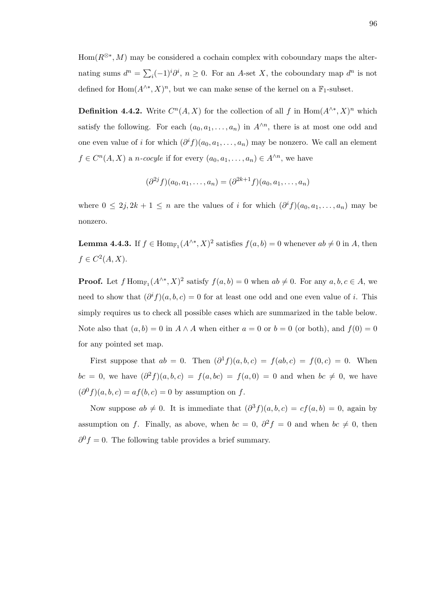Hom( $R^{\otimes*}$ , M) may be considered a cochain complex with coboundary maps the alternating sums  $d^n = \sum_i (-1)^i \partial^i$ ,  $n \ge 0$ . For an A-set X, the coboundary map  $d^n$  is not defined for  $\text{Hom}(A^{\wedge *}, X)^n$ , but we can make sense of the kernel on a  $\mathbb{F}_1$ -subset.

**Definition 4.4.2.** Write  $C^{n}(A, X)$  for the collection of all f in Hom $(A^{\wedge *}, X)^{n}$  which satisfy the following. For each  $(a_0, a_1, \ldots, a_n)$  in  $A^{\wedge n}$ , there is at most one odd and one even value of i for which  $(\partial^i f)(a_0, a_1, \ldots, a_n)$  may be nonzero. We call an element  $f \in C^{n}(A, X)$  a *n*-cocyle if for every  $(a_0, a_1, \ldots, a_n) \in A^{\wedge n}$ , we have

$$
(\partial^{2j} f)(a_0, a_1, \dots, a_n) = (\partial^{2k+1} f)(a_0, a_1, \dots, a_n)
$$

where  $0 \leq 2j$ ,  $2k + 1 \leq n$  are the values of i for which  $(\partial^i f)(a_0, a_1, \ldots, a_n)$  may be nonzero.

**Lemma 4.4.3.** If  $f \in \text{Hom}_{\mathbb{F}_1}(A^{\wedge *}, X)^2$  satisfies  $f(a, b) = 0$  whenever  $ab \neq 0$  in A, then  $f \in C^2(A, X)$ .

**Proof.** Let  $f$  Hom<sub>F<sub>1</sub></sub> $(A^{\wedge *}, X)^2$  satisfy  $f(a, b) = 0$  when  $ab \neq 0$ . For any  $a, b, c \in A$ , we need to show that  $(\partial^i f)(a, b, c) = 0$  for at least one odd and one even value of i. This simply requires us to check all possible cases which are summarized in the table below. Note also that  $(a, b) = 0$  in  $A \wedge A$  when either  $a = 0$  or  $b = 0$  (or both), and  $f(0) = 0$ for any pointed set map.

First suppose that  $ab = 0$ . Then  $(\partial^1 f)(a, b, c) = f(ab, c) = f(0, c) = 0$ . When  $bc = 0$ , we have  $(\partial^2 f)(a, b, c) = f(a, bc) = f(a, 0) = 0$  and when  $bc \neq 0$ , we have  $(\partial^{0} f)(a, b, c) = af(b, c) = 0$  by assumption on f.

Now suppose  $ab \neq 0$ . It is immediate that  $(\partial^3 f)(a, b, c) = cf(a, b) = 0$ , again by assumption on f. Finally, as above, when  $bc = 0$ ,  $\partial^2 f = 0$  and when  $bc \neq 0$ , then  $\partial^0 f = 0$ . The following table provides a brief summary.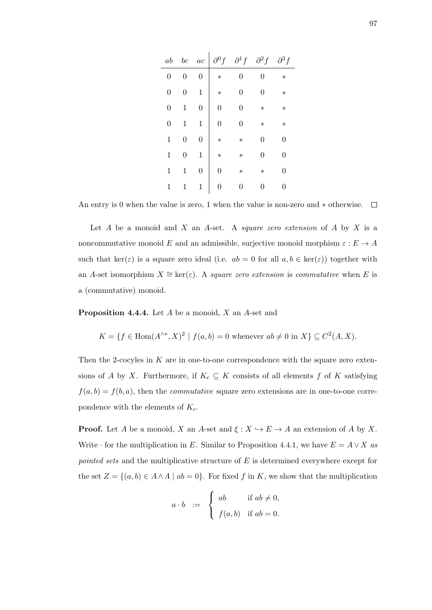| ab               | bc | ac             | $\partial^0 f$ | $\partial^1 f$ | $\partial^2 f$ | $\partial^3 f$ |
|------------------|----|----------------|----------------|----------------|----------------|----------------|
| $\boldsymbol{0}$ | 0  | $\overline{0}$ | $\ast$         | 0              | 0              | $\ast$         |
| $\overline{0}$   | 0  | $\mathbf 1$    | $\ast$         | 0              | 0              | $\ast$         |
| $\boldsymbol{0}$ | 1  | $\overline{0}$ | 0              | $\overline{0}$ | $\ast$         | $\ast$         |
| $\boldsymbol{0}$ | 1  | $\mathbf 1$    | $\overline{0}$ | 0              | $\ast$         | $\ast$         |
| $\mathbf 1$      | 0  | $\overline{0}$ | $\ast$         | $\ast$         | 0              | 0              |
| $\mathbf 1$      | 0  | $\mathbf 1$    | $\ast$         | $\ast$         | 0              | 0              |
| 1                | 1  | $\overline{0}$ | 0              | $\ast$         | $\ast$         | 0              |
| 1                | 1  | $\mathbf 1$    | 0              | 0              | 0              | 0              |

An entry is 0 when the value is zero, 1 when the value is non-zero and  $*$  otherwise.  $\Box$ 

Let  $A$  be a monoid and  $X$  an  $A$ -set. A *square zero extension* of  $A$  by  $X$  is a noncommutative monoid E and an admissible, surjective monoid morphism  $\varepsilon : E \to A$ such that ker( $\varepsilon$ ) is a square zero ideal (i.e.  $ab = 0$  for all  $a, b \in \text{ker}(\varepsilon)$ ) together with an A-set isomorphism  $X \cong \ker(\varepsilon)$ . A square zero extension is commutative when E is a (commutative) monoid.

Proposition 4.4.4. Let A be a monoid, X an A-set and

$$
K = \{ f \in \text{Hom}(A^{\wedge *}, X)^2 \mid f(a, b) = 0 \text{ whenever } ab \neq 0 \text{ in } X \} \subseteq C^2(A, X).
$$

Then the 2-cocyles in  $K$  are in one-to-one correspondence with the square zero extensions of A by X. Furthermore, if  $K_c \subseteq K$  consists of all elements f of K satisfying  $f(a, b) = f(b, a)$ , then the *commutative* square zero extensions are in one-to-one correpondence with the elements of  $K_c$ .

**Proof.** Let A be a monoid, X an A-set and  $\xi : X \hookrightarrow E \to A$  an extension of A by X. Write  $\cdot$  for the multiplication in E. Similar to Proposition 4.4.1, we have  $E = A \vee X$  as pointed sets and the multiplicative structure of E is determined everywhere except for the set  $Z = \{(a, b) \in A \land A \mid ab = 0\}$ . For fixed f in K, we show that the multiplication

$$
a \cdot b \quad := \quad \begin{cases} \quad ab & \text{if } ab \neq 0, \\ \quad f(a, b) & \text{if } ab = 0. \end{cases}
$$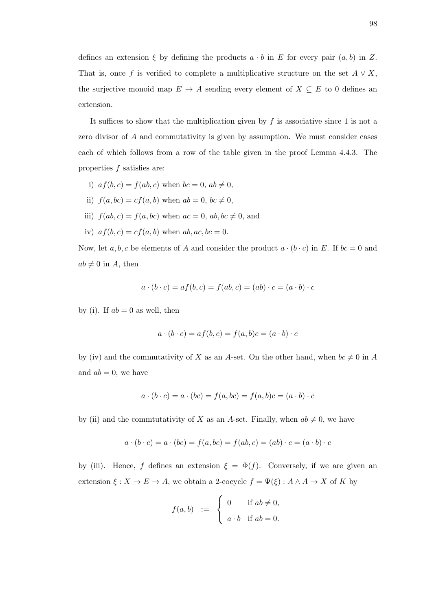defines an extension  $\xi$  by defining the products  $a \cdot b$  in E for every pair  $(a, b)$  in Z. That is, once f is verified to complete a multiplicative structure on the set  $A \vee X$ , the surjective monoid map  $E \to A$  sending every element of  $X \subseteq E$  to 0 defines an extension.

It suffices to show that the multiplication given by  $f$  is associative since 1 is not a zero divisor of A and commutativity is given by assumption. We must consider cases each of which follows from a row of the table given in the proof Lemma 4.4.3. The properties f satisfies are:

- i)  $af(b, c) = f(ab, c)$  when  $bc = 0$ ,  $ab \neq 0$ ,
- ii)  $f(a, bc) = cf(a, b)$  when  $ab = 0, bc \neq 0$ ,
- iii)  $f(ab, c) = f(a, bc)$  when  $ac = 0$ ,  $ab, bc \neq 0$ , and
- iv)  $af(b, c) = cf(a, b)$  when  $ab, ac, bc = 0$ .

Now, let a, b, c be elements of A and consider the product  $a \cdot (b \cdot c)$  in E. If  $bc = 0$  and  $ab \neq 0$  in A, then

$$
a \cdot (b \cdot c) = af(b, c) = f(ab, c) = (ab) \cdot c = (a \cdot b) \cdot c
$$

by (i). If  $ab = 0$  as well, then

$$
a \cdot (b \cdot c) = af(b, c) = f(a, b)c = (a \cdot b) \cdot c
$$

by (iv) and the commutativity of X as an A-set. On the other hand, when  $bc \neq 0$  in A and  $ab = 0$ , we have

$$
a \cdot (b \cdot c) = a \cdot (bc) = f(a, bc) = f(a, b)c = (a \cdot b) \cdot c
$$

by (ii) and the commtutativity of X as an A-set. Finally, when  $ab \neq 0$ , we have

$$
a \cdot (b \cdot c) = a \cdot (bc) = f(a, bc) = f(ab, c) = (ab) \cdot c = (a \cdot b) \cdot c
$$

by (iii). Hence, f defines an extension  $\xi = \Phi(f)$ . Conversely, if we are given an extension  $\xi: X \to E \to A$ , we obtain a 2-cocycle  $f = \Psi(\xi): A \wedge A \to X$  of K by

$$
f(a,b) := \begin{cases} 0 & \text{if } ab \neq 0, \\ a \cdot b & \text{if } ab = 0. \end{cases}
$$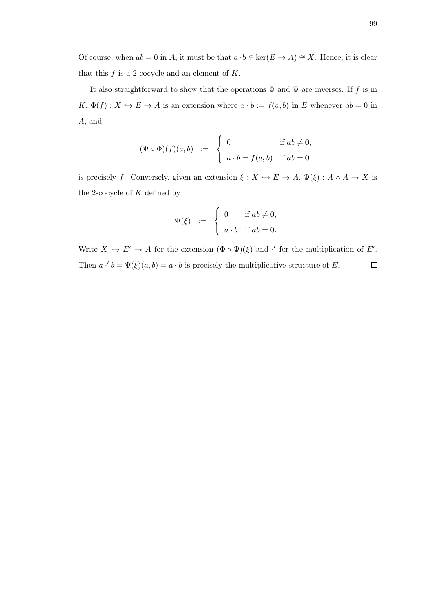Of course, when  $ab = 0$  in A, it must be that  $a \cdot b \in \text{ker}(E \to A) \cong X$ . Hence, it is clear that this  $f$  is a 2-cocycle and an element of  $K$ .

It also straightforward to show that the operations  $\Phi$  and  $\Psi$  are inverses. If f is in  $K, \Phi(f) : X \hookrightarrow E \to A$  is an extension where  $a \cdot b := f(a, b)$  in E whenever  $ab = 0$  in A, and

$$
(\Psi \circ \Phi)(f)(a, b) := \begin{cases} 0 & \text{if } ab \neq 0, \\ a \cdot b = f(a, b) & \text{if } ab = 0 \end{cases}
$$

is precisely f. Conversely, given an extension  $\xi: X \hookrightarrow E \to A$ ,  $\Psi(\xi): A \wedge A \to X$  is the 2-cocycle of  $K$  defined by

$$
\Psi(\xi) \quad := \quad \begin{cases} \quad 0 & \text{if } ab \neq 0, \\ \quad a \cdot b & \text{if } ab = 0. \end{cases}
$$

Write  $X \hookrightarrow E' \to A$  for the extension  $(\Phi \circ \Psi)(\xi)$  and  $\cdot'$  for the multiplication of E'. Then  $a \cdot b = \Psi(\xi)(a, b) = a \cdot b$  is precisely the multiplicative structure of E.  $\Box$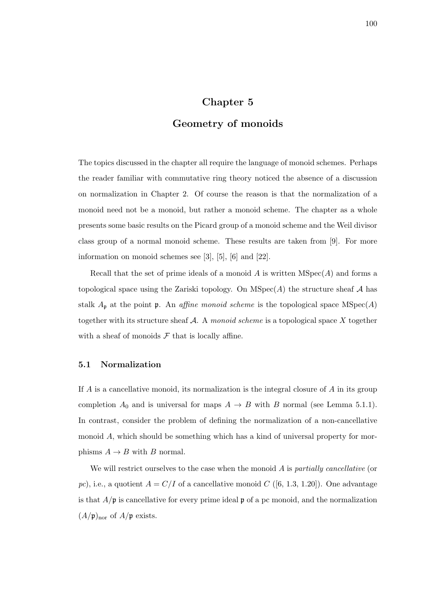# Chapter 5

# Geometry of monoids

The topics discussed in the chapter all require the language of monoid schemes. Perhaps the reader familiar with commutative ring theory noticed the absence of a discussion on normalization in Chapter 2. Of course the reason is that the normalization of a monoid need not be a monoid, but rather a monoid scheme. The chapter as a whole presents some basic results on the Picard group of a monoid scheme and the Weil divisor class group of a normal monoid scheme. These results are taken from [9]. For more information on monoid schemes see [3], [5], [6] and [22].

Recall that the set of prime ideals of a monoid A is written  $MSpec(A)$  and forms a topological space using the Zariski topology. On  $MSpec(A)$  the structure sheaf A has stalk  $A_{\mathfrak{p}}$  at the point  $\mathfrak{p}$ . An *affine monoid scheme* is the topological space MSpec(A) together with its structure sheaf  $A$ . A monoid scheme is a topological space  $X$  together with a sheaf of monoids  $\mathcal F$  that is locally affine.

# 5.1 Normalization

If A is a cancellative monoid, its normalization is the integral closure of  $A$  in its group completion  $A_0$  and is universal for maps  $A \rightarrow B$  with B normal (see Lemma 5.1.1). In contrast, consider the problem of defining the normalization of a non-cancellative monoid A, which should be something which has a kind of universal property for morphisms  $A \rightarrow B$  with B normal.

We will restrict ourselves to the case when the monoid  $A$  is *partially cancellative* (or pc), i.e., a quotient  $A = C/I$  of a cancellative monoid C ([6, 1.3, 1.20]). One advantage is that  $A/\mathfrak{p}$  is cancellative for every prime ideal  $\mathfrak{p}$  of a pc monoid, and the normalization  $(A/\mathfrak{p})_{\text{nor}}$  of  $A/\mathfrak{p}$  exists.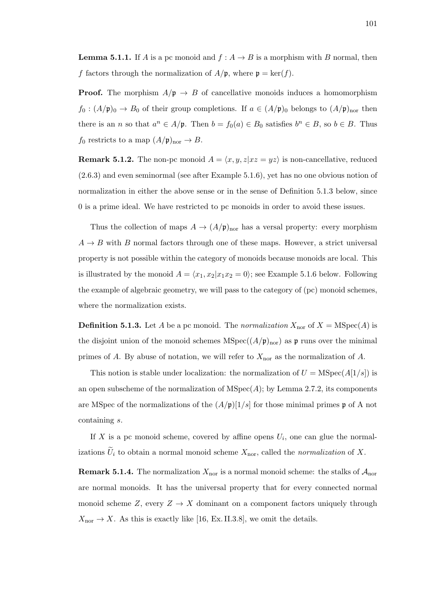**Lemma 5.1.1.** If A is a pc monoid and  $f : A \rightarrow B$  is a morphism with B normal, then f factors through the normalization of  $A/\mathfrak{p}$ , where  $\mathfrak{p} = \text{ker}(f)$ .

**Proof.** The morphism  $A/\mathfrak{p} \to B$  of cancellative monoids induces a homomorphism  $f_0: (A/\mathfrak{p})_0 \to B_0$  of their group completions. If  $a \in (A/\mathfrak{p})_0$  belongs to  $(A/\mathfrak{p})_{\text{nor}}$  then there is an *n* so that  $a^n \in A/\mathfrak{p}$ . Then  $b = f_0(a) \in B_0$  satisfies  $b^n \in B$ , so  $b \in B$ . Thus  $f_0$  restricts to a map  $(A/\mathfrak{p})_{\text{nor}} \to B$ .

**Remark 5.1.2.** The non-pc monoid  $A = \langle x, y, z | xz = yz \rangle$  is non-cancellative, reduced (2.6.3) and even seminormal (see after Example 5.1.6), yet has no one obvious notion of normalization in either the above sense or in the sense of Definition 5.1.3 below, since 0 is a prime ideal. We have restricted to pc monoids in order to avoid these issues.

Thus the collection of maps  $A \to (A/\mathfrak{p})_{\text{nor}}$  has a versal property: every morphism  $A \rightarrow B$  with B normal factors through one of these maps. However, a strict universal property is not possible within the category of monoids because monoids are local. This is illustrated by the monoid  $A = \langle x_1, x_2 | x_1 x_2 = 0 \rangle$ ; see Example 5.1.6 below. Following the example of algebraic geometry, we will pass to the category of (pc) monoid schemes, where the normalization exists.

**Definition 5.1.3.** Let A be a pc monoid. The normalization  $X_{\text{nor}}$  of  $X = \text{MSpec}(A)$  is the disjoint union of the monoid schemes  $MSpec((A/\mathfrak{p})<sub>nor</sub>)$  as  $\mathfrak{p}$  runs over the minimal primes of A. By abuse of notation, we will refer to  $X_{\text{nor}}$  as the normalization of A.

This notion is stable under localization: the normalization of  $U = \text{MSpec}(A[1/s])$  is an open subscheme of the normalization of  $MSpec(A)$ ; by Lemma 2.7.2, its components are MSpec of the normalizations of the  $(A/\mathfrak{p})[1/s]$  for those minimal primes  $\mathfrak{p}$  of A not containing s.

If X is a pc monoid scheme, covered by affine opens  $U_i$ , one can glue the normalizations  $\tilde{U}_i$  to obtain a normal monoid scheme  $X_{\text{nor}}$ , called the normalization of X.

**Remark 5.1.4.** The normalization  $X_{\text{nor}}$  is a normal monoid scheme: the stalks of  $\mathcal{A}_{\text{nor}}$ are normal monoids. It has the universal property that for every connected normal monoid scheme Z, every  $Z \to X$  dominant on a component factors uniquely through  $X_{\text{nor}} \to X$ . As this is exactly like [16, Ex. II.3.8], we omit the details.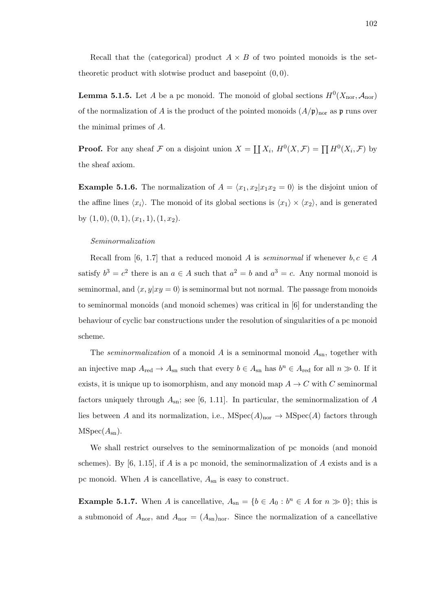Recall that the (categorical) product  $A \times B$  of two pointed monoids is the settheoretic product with slotwise product and basepoint  $(0, 0)$ .

**Lemma 5.1.5.** Let A be a pc monoid. The monoid of global sections  $H^0(X_{\text{nor}}, A_{\text{nor}})$ of the normalization of A is the product of the pointed monoids  $(A/\mathfrak{p})<sub>nor</sub>$  as  $\mathfrak{p}$  runs over the minimal primes of A.

**Proof.** For any sheaf F on a disjoint union  $X = \coprod X_i$ ,  $H^0(X, \mathcal{F}) = \prod H^0(X_i, \mathcal{F})$  by the sheaf axiom.

**Example 5.1.6.** The normalization of  $A = \langle x_1, x_2 | x_1 x_2 = 0 \rangle$  is the disjoint union of the affine lines  $\langle x_i \rangle$ . The monoid of its global sections is  $\langle x_1 \rangle \times \langle x_2 \rangle$ , and is generated by  $(1, 0), (0, 1), (x_1, 1), (1, x_2).$ 

#### Seminormalization

Recall from [6, 1.7] that a reduced monoid A is seminormal if whenever  $b, c \in A$ satisfy  $b^3 = c^2$  there is an  $a \in A$  such that  $a^2 = b$  and  $a^3 = c$ . Any normal monoid is seminormal, and  $\langle x, y | xy = 0 \rangle$  is seminormal but not normal. The passage from monoids to seminormal monoids (and monoid schemes) was critical in [6] for understanding the behaviour of cyclic bar constructions under the resolution of singularities of a pc monoid scheme.

The *seminormalization* of a monoid A is a seminormal monoid  $A_{\rm sn}$ , together with an injective map  $A_{\text{red}} \to A_{\text{sn}}$  such that every  $b \in A_{\text{sn}}$  has  $b^n \in A_{\text{red}}$  for all  $n \gg 0$ . If it exists, it is unique up to isomorphism, and any monoid map  $A \to C$  with C seminormal factors uniquely through  $A_{\rm sn}$ ; see [6, 1.11]. In particular, the seminormalization of A lies between A and its normalization, i.e.,  $MSpec(A)_{nor} \rightarrow MSpec(A)$  factors through  $MSpec(A_{sn}).$ 

We shall restrict ourselves to the seminormalization of pc monoids (and monoid schemes). By  $[6, 1.15]$ , if A is a pc monoid, the seminormalization of A exists and is a pc monoid. When  $A$  is cancellative,  $A_{\rm sn}$  is easy to construct.

**Example 5.1.7.** When A is cancellative,  $A_{\text{sn}} = \{b \in A_0 : b^n \in A \text{ for } n \gg 0\}$ ; this is a submonoid of  $A_{\text{nor}}$ , and  $A_{\text{nor}} = (A_{\text{sn}})_{\text{nor}}$ . Since the normalization of a cancellative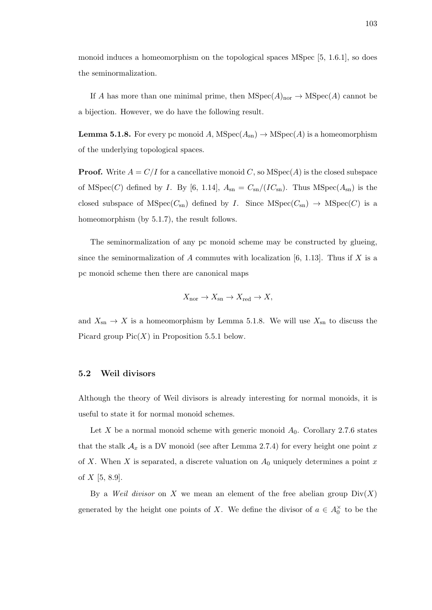monoid induces a homeomorphism on the topological spaces MSpec [5, 1.6.1], so does the seminormalization.

If A has more than one minimal prime, then  $MSpec(A)_{nor} \rightarrow MSpec(A)$  cannot be a bijection. However, we do have the following result.

**Lemma 5.1.8.** For every pc monoid A,  $MSpec(A_{sn}) \rightarrow MSpec(A)$  is a homeomorphism of the underlying topological spaces.

**Proof.** Write  $A = C/I$  for a cancellative monoid C, so  $MSpec(A)$  is the closed subspace of MSpec(C) defined by I. By [6, 1.14],  $A_{\rm sn} = C_{\rm sn}/(IC_{\rm sn})$ . Thus MSpec( $A_{\rm sn}$ ) is the closed subspace of  $MSpec(C_{sn})$  defined by I. Since  $MSpec(C_{sn}) \rightarrow MSpec(C)$  is a homeomorphism (by 5.1.7), the result follows.

The seminormalization of any pc monoid scheme may be constructed by glueing, since the seminormalization of A commutes with localization [6, 1.13]. Thus if X is a pc monoid scheme then there are canonical maps

$$
X_{\text{nor}} \to X_{\text{sn}} \to X_{\text{red}} \to X,
$$

and  $X_{\rm sn} \to X$  is a homeomorphism by Lemma 5.1.8. We will use  $X_{\rm sn}$  to discuss the Picard group  $Pic(X)$  in Proposition 5.5.1 below.

### 5.2 Weil divisors

Although the theory of Weil divisors is already interesting for normal monoids, it is useful to state it for normal monoid schemes.

Let X be a normal monoid scheme with generic monoid  $A_0$ . Corollary 2.7.6 states that the stalk  $A_x$  is a DV monoid (see after Lemma 2.7.4) for every height one point x of X. When X is separated, a discrete valuation on  $A_0$  uniquely determines a point x of  $X$  [5, 8.9].

By a *Weil divisor* on X we mean an element of the free abelian group  $Div(X)$ generated by the height one points of X. We define the divisor of  $a \in A_0^{\times}$  to be the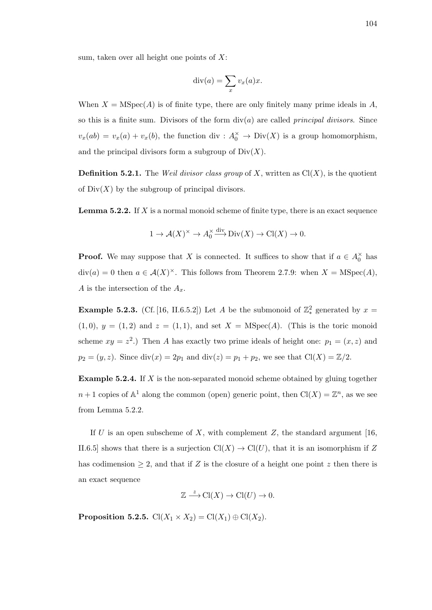sum, taken over all height one points of  $X$ :

$$
\operatorname{div}(a) = \sum_{x} v_x(a)x.
$$

When  $X = \text{MSpec}(A)$  is of finite type, there are only finitely many prime ideals in A, so this is a finite sum. Divisors of the form  $div(a)$  are called *principal divisors*. Since  $v_x(ab) = v_x(a) + v_x(b)$ , the function div :  $A_0^{\times} \to Div(X)$  is a group homomorphism, and the principal divisors form a subgroup of  $Div(X)$ .

**Definition 5.2.1.** The Weil divisor class group of X, written as  $Cl(X)$ , is the quotient of  $Div(X)$  by the subgroup of principal divisors.

**Lemma 5.2.2.** If  $X$  is a normal monoid scheme of finite type, there is an exact sequence

$$
1 \to \mathcal{A}(X)^{\times} \to A_0^{\times} \xrightarrow{\text{div}} \text{Div}(X) \to \text{Cl}(X) \to 0.
$$

**Proof.** We may suppose that X is connected. It suffices to show that if  $a \in A_0^{\times}$  has  $div(a) = 0$  then  $a \in \mathcal{A}(X)^\times$ . This follows from Theorem 2.7.9: when  $X = \text{MSpec}(A)$ , A is the intersection of the  $A_x$ .

**Example 5.2.3.** (Cf. [16, II.6.5.2]) Let A be the submonoid of  $\mathbb{Z}_{*}^{2}$  generated by  $x =$  $(1,0), y = (1,2)$  and  $z = (1,1)$ , and set  $X = \text{MSpec}(A)$ . (This is the toric monoid scheme  $xy = z^2$ .) Then A has exactly two prime ideals of height one:  $p_1 = (x, z)$  and  $p_2 = (y, z)$ . Since  $\text{div}(x) = 2p_1$  and  $\text{div}(z) = p_1 + p_2$ , we see that  $\text{Cl}(X) = \mathbb{Z}/2$ .

Example 5.2.4. If X is the non-separated monoid scheme obtained by gluing together  $n+1$  copies of  $\mathbb{A}^1$  along the common (open) generic point, then  $\mathrm{Cl}(X) = \mathbb{Z}^n$ , as we see from Lemma 5.2.2.

If U is an open subscheme of X, with complement Z, the standard argument [16, II.6.5] shows that there is a surjection  $Cl(X) \to Cl(U)$ , that it is an isomorphism if Z has codimension  $\geq 2$ , and that if Z is the closure of a height one point z then there is an exact sequence

$$
\mathbb{Z} \xrightarrow{z} \mathrm{Cl}(X) \to \mathrm{Cl}(U) \to 0.
$$

**Proposition 5.2.5.**  $\text{Cl}(X_1 \times X_2) = \text{Cl}(X_1) \oplus \text{Cl}(X_2)$ .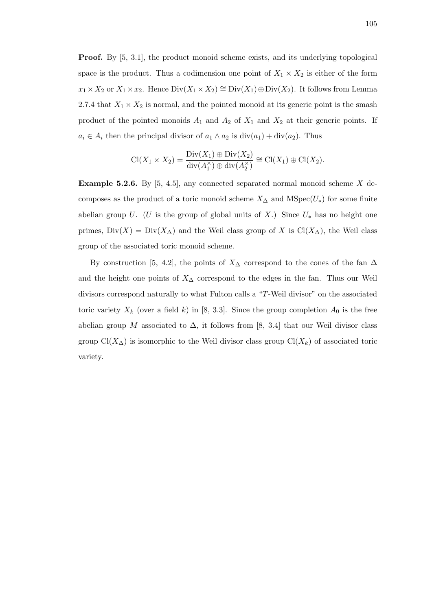Proof. By [5, 3.1], the product monoid scheme exists, and its underlying topological space is the product. Thus a codimension one point of  $X_1 \times X_2$  is either of the form  $x_1 \times X_2$  or  $X_1 \times x_2$ . Hence  $Div(X_1 \times X_2) \cong Div(X_1) \oplus Div(X_2)$ . It follows from Lemma 2.7.4 that  $X_1 \times X_2$  is normal, and the pointed monoid at its generic point is the smash product of the pointed monoids  $A_1$  and  $A_2$  of  $X_1$  and  $X_2$  at their generic points. If  $a_i \in A_i$  then the principal divisor of  $a_1 \wedge a_2$  is  $\text{div}(a_1) + \text{div}(a_2)$ . Thus

$$
\operatorname{Cl}(X_1 \times X_2) = \frac{\operatorname{Div}(X_1) \oplus \operatorname{Div}(X_2)}{\operatorname{div}(A_1^{\times}) \oplus \operatorname{div}(A_2^{\times})} \cong \operatorname{Cl}(X_1) \oplus \operatorname{Cl}(X_2).
$$

**Example 5.2.6.** By  $[5, 4.5]$ , any connected separated normal monoid scheme X decomposes as the product of a toric monoid scheme  $X_{\Delta}$  and  $\text{MSpec}(U_*)$  for some finite abelian group U. (U is the group of global units of X.) Since  $U_*$  has no height one primes,  $Div(X) = Div(X_{\Delta})$  and the Weil class group of X is Cl(X<sub>△</sub>), the Weil class group of the associated toric monoid scheme.

By construction [5, 4.2], the points of  $X_{\Delta}$  correspond to the cones of the fan  $\Delta$ and the height one points of  $X<sub>∆</sub>$  correspond to the edges in the fan. Thus our Weil divisors correspond naturally to what Fulton calls a "T-Weil divisor" on the associated toric variety  $X_k$  (over a field k) in [8, 3.3]. Since the group completion  $A_0$  is the free abelian group M associated to  $\Delta$ , it follows from [8, 3.4] that our Weil divisor class group  $Cl(X_{\Delta})$  is isomorphic to the Weil divisor class group  $Cl(X_k)$  of associated toric variety.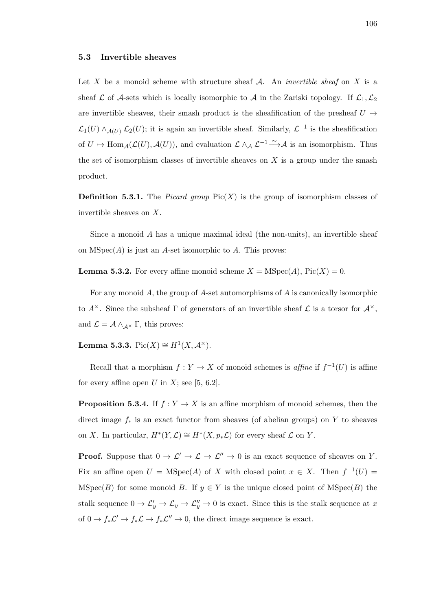#### 5.3 Invertible sheaves

Let X be a monoid scheme with structure sheaf  $A$ . An *invertible sheaf* on X is a sheaf L of A-sets which is locally isomorphic to A in the Zariski topology. If  $\mathcal{L}_1,\mathcal{L}_2$ are invertible sheaves, their smash product is the sheafification of the presheaf  $U \rightarrow$  $\mathcal{L}_1(U) \wedge_{\mathcal{A}(U)} \mathcal{L}_2(U)$ ; it is again an invertible sheaf. Similarly,  $\mathcal{L}^{-1}$  is the sheafification of  $U \mapsto \text{Hom}_{\mathcal{A}}(\mathcal{L}(U), \mathcal{A}(U))$ , and evaluation  $\mathcal{L} \wedge_{\mathcal{A}} \mathcal{L}^{-1} \xrightarrow{\sim} \mathcal{A}$  is an isomorphism. Thus the set of isomorphism classes of invertible sheaves on  $X$  is a group under the smash product.

**Definition 5.3.1.** The *Picard group*  $Pic(X)$  is the group of isomorphism classes of invertible sheaves on X.

Since a monoid A has a unique maximal ideal (the non-units), an invertible sheaf on  $MSpec(A)$  is just an A-set isomorphic to A. This proves:

**Lemma 5.3.2.** For every affine monoid scheme  $X = \text{MSpec}(A)$ , Pic $(X) = 0$ .

For any monoid  $A$ , the group of  $A$ -set automorphisms of  $A$  is canonically isomorphic to  $A^{\times}$ . Since the subsheaf  $\Gamma$  of generators of an invertible sheaf  $\mathcal L$  is a torsor for  $\mathcal A^{\times}$ , and  $\mathcal{L} = \mathcal{A} \wedge_{\mathcal{A}^{\times}} \Gamma$ , this proves:

Lemma 5.3.3.  $Pic(X) \cong H^1(X, \mathcal{A}^{\times}).$ 

Recall that a morphism  $f: Y \to X$  of monoid schemes is *affine* if  $f^{-1}(U)$  is affine for every affine open U in X; see  $[5, 6.2]$ .

**Proposition 5.3.4.** If  $f: Y \to X$  is an affine morphism of monoid schemes, then the direct image  $f_*$  is an exact functor from sheaves (of abelian groups) on Y to sheaves on X. In particular,  $H^*(Y, \mathcal{L}) \cong H^*(X, p_*\mathcal{L})$  for every sheaf  $\mathcal L$  on Y.

**Proof.** Suppose that  $0 \to \mathcal{L}' \to \mathcal{L} \to \mathcal{L}'' \to 0$  is an exact sequence of sheaves on Y. Fix an affine open  $U = \text{MSpec}(A)$  of X with closed point  $x \in X$ . Then  $f^{-1}(U) =$ MSpec(B) for some monoid B. If  $y \in Y$  is the unique closed point of MSpec(B) the stalk sequence  $0 \to \mathcal{L}'_y \to \mathcal{L}_y \to \mathcal{L}''_y \to 0$  is exact. Since this is the stalk sequence at x of  $0 \to f_*\mathcal{L}' \to f_*\mathcal{L} \to f_*\mathcal{L}'' \to 0$ , the direct image sequence is exact.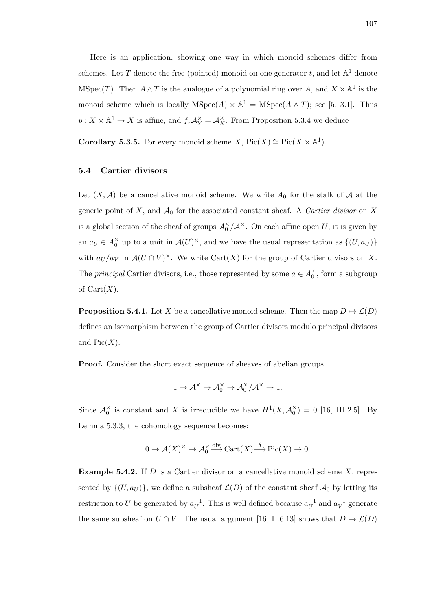Here is an application, showing one way in which monoid schemes differ from schemes. Let T denote the free (pointed) monoid on one generator t, and let  $\mathbb{A}^1$  denote MSpec(T). Then  $A \wedge T$  is the analogue of a polynomial ring over A, and  $X \times \mathbb{A}^1$  is the monoid scheme which is locally  $MSpec(A) \times \mathbb{A}^1 = MSpec(A \wedge T)$ ; see [5, 3.1]. Thus  $p: X \times \mathbb{A}^1 \to X$  is affine, and  $f_* \mathcal{A}_Y^{\times} = \mathcal{A}_X^{\times}$ . From Proposition 5.3.4 we deduce

**Corollary 5.3.5.** For every monoid scheme X,  $Pic(X) \cong Pic(X \times \mathbb{A}^1)$ .

## 5.4 Cartier divisors

Let  $(X, \mathcal{A})$  be a cancellative monoid scheme. We write  $A_0$  for the stalk of  $\mathcal A$  at the generic point of X, and  $A_0$  for the associated constant sheaf. A *Cartier divisor* on X is a global section of the sheaf of groups  $\mathcal{A}_0^{\times}/\mathcal{A}^{\times}$ . On each affine open U, it is given by an  $a_U \in A_0^{\times}$  up to a unit in  $\mathcal{A}(U)^{\times}$ , and we have the usual representation as  $\{(U, a_U)\}$ with  $a_U/a_V$  in  $\mathcal{A}(U \cap V)^\times$ . We write Cart $(X)$  for the group of Cartier divisors on X. The *principal* Cartier divisors, i.e., those represented by some  $a \in A_0^{\times}$ , form a subgroup of  $Cart(X)$ .

**Proposition 5.4.1.** Let X be a cancellative monoid scheme. Then the map  $D \mapsto \mathcal{L}(D)$ defines an isomorphism between the group of Cartier divisors modulo principal divisors and  $Pic(X)$ .

Proof. Consider the short exact sequence of sheaves of abelian groups

$$
1 \to \mathcal{A}^{\times} \to \mathcal{A}_{0}^{\times} \to \mathcal{A}_{0}^{\times}/\mathcal{A}^{\times} \to 1.
$$

Since  $\mathcal{A}_0^{\times}$  is constant and X is irreducible we have  $H^1(X, \mathcal{A}_0^{\times}) = 0$  [16, III.2.5]. By Lemma 5.3.3, the cohomology sequence becomes:

$$
0 \to \mathcal{A}(X)^{\times} \to \mathcal{A}_0^{\times} \xrightarrow{\text{div}} \text{Cart}(X) \xrightarrow{\delta} \text{Pic}(X) \to 0.
$$

**Example 5.4.2.** If  $D$  is a Cartier divisor on a cancellative monoid scheme  $X$ , represented by  $\{(U, a_U)\}\$ , we define a subsheaf  $\mathcal{L}(D)$  of the constant sheaf  $\mathcal{A}_0$  by letting its restriction to U be generated by  $a_{II}^{-1}$  $\overline{U}^1$ . This is well defined because  $a_U^{-1}$  $\overline{u}^{-1}$  and  $a_V^{-1}$  $\overline{V}^1$  generate the same subsheaf on  $U \cap V$ . The usual argument [16, II.6.13] shows that  $D \mapsto \mathcal{L}(D)$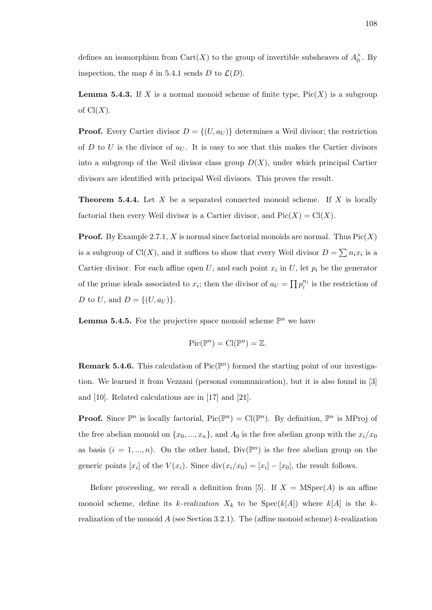defines an isomorphism from  $\text{Cart}(X)$  to the group of invertible subsheaves of  $A_0^{\times}$ . By inspection, the map  $\delta$  in 5.4.1 sends D to  $\mathcal{L}(D)$ .

**Lemma 5.4.3.** If X is a normal monoid scheme of finite type,  $Pic(X)$  is a subgroup of  $Cl(X)$ .

**Proof.** Every Cartier divisor  $D = \{(U, a_U)\}\)$  determines a Weil divisor; the restriction of D to U is the divisor of  $a_U$ . It is easy to see that this makes the Cartier divisors into a subgroup of the Weil divisor class group  $D(X)$ , under which principal Cartier divisors are identified with principal Weil divisors. This proves the result.

**Theorem 5.4.4.** Let  $X$  be a separated connected monoid scheme. If  $X$  is locally factorial then every Weil divisor is a Cartier divisor, and  $Pic(X) = Cl(X)$ .

**Proof.** By Example 2.7.1, X is normal since factorial monoids are normal. Thus  $Pic(X)$ is a subgroup of Cl(X), and it suffices to show that every Weil divisor  $D = \sum n_i x_i$  is a Cartier divisor. For each affine open U, and each point  $x_i$  in U, let  $p_i$  be the generator of the prime ideals associated to  $x_i$ ; then the divisor of  $a_U = \prod_i p_i^{n_i}$  is the restriction of D to U, and  $D = \{(U, a_U)\}.$ 

**Lemma 5.4.5.** For the projective space monoid scheme  $\mathbb{P}^n$  we have

$$
Pic(\mathbb{P}^n) = Cl(\mathbb{P}^n) = \mathbb{Z}.
$$

**Remark 5.4.6.** This calculation of  $Pic(\mathbb{P}^n)$  formed the starting point of our investigation. We learned it from Vezzani (personal communication), but it is also found in [3] and [10]. Related calculations are in [17] and [21].

**Proof.** Since  $\mathbb{P}^n$  is locally factorial,  $Pic(\mathbb{P}^n) = Cl(\mathbb{P}^n)$ . By definition,  $\mathbb{P}^n$  is MProj of the free abelian monoid on  $\{x_0, ..., x_n\}$ , and  $A_0$  is the free abelian group with the  $x_i/x_0$ as basis  $(i = 1, ..., n)$ . On the other hand,  $Div(\mathbb{P}^n)$  is the free abelian group on the generic points  $[x_i]$  of the  $V(x_i)$ . Since  $\text{div}(x_i/x_0) = [x_i] - [x_0]$ , the result follows.

Before proceeding, we recall a definition from [5]. If  $X = \text{MSpec}(A)$  is an affine monoid scheme, define its k-realization  $X_k$  to be  $Spec(k[A])$  where  $k[A]$  is the krealization of the monoid A (see Section 3.2.1). The (affine monoid scheme) k-realization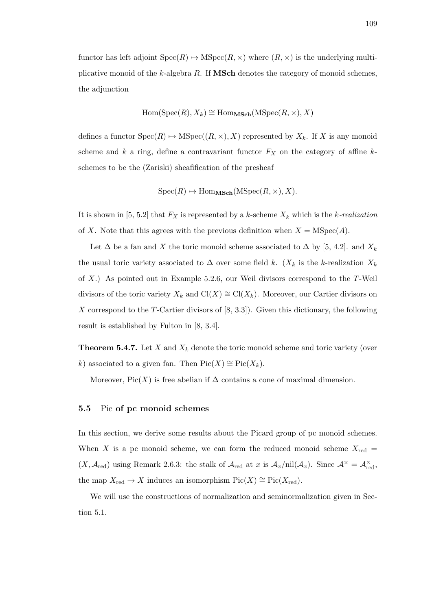functor has left adjoint  $Spec(R) \mapsto MSpec(R, \times)$  where  $(R, \times)$  is the underlying multiplicative monoid of the  $k$ -algebra  $R$ . If **MSch** denotes the category of monoid schemes, the adjunction

$$
Hom(Spec(R), X_k) \cong Hom_{\mathbf{MSch}}(MSpec(R, \times), X)
$$

defines a functor  $Spec(R) \rightarrow MSpec((R, \times), X)$  represented by  $X_k$ . If X is any monoid scheme and k a ring, define a contravariant functor  $F_X$  on the category of affine kschemes to be the (Zariski) sheafification of the presheaf

$$
Spec(R) \mapsto Hom_{\mathbf{MSch}}(MSpec(R, \times), X).
$$

It is shown in [5, 5.2] that  $F_X$  is represented by a k-scheme  $X_k$  which is the k-realization of X. Note that this agrees with the previous definition when  $X = \text{MSpec}(A)$ .

Let  $\Delta$  be a fan and X the toric monoid scheme associated to  $\Delta$  by [5, 4.2]. and  $X_k$ the usual toric variety associated to  $\Delta$  over some field k. ( $X_k$  is the k-realization  $X_k$ of  $X$ .) As pointed out in Example 5.2.6, our Weil divisors correspond to the T-Weil divisors of the toric variety  $X_k$  and  $Cl(X) \cong Cl(X_k)$ . Moreover, our Cartier divisors on X correspond to the T-Cartier divisors of  $[8, 3.3]$ . Given this dictionary, the following result is established by Fulton in [8, 3.4].

**Theorem 5.4.7.** Let X and  $X_k$  denote the toric monoid scheme and toric variety (over k) associated to a given fan. Then  $Pic(X) \cong Pic(X_k)$ .

Moreover, Pic(X) is free abelian if  $\Delta$  contains a cone of maximal dimension.

## 5.5 Pic of pc monoid schemes

In this section, we derive some results about the Picard group of pc monoid schemes. When X is a pc monoid scheme, we can form the reduced monoid scheme  $X_{\text{red}} =$  $(X, \mathcal{A}_{red})$  using Remark 2.6.3: the stalk of  $\mathcal{A}_{red}$  at x is  $\mathcal{A}_x/\text{nil}(\mathcal{A}_x)$ . Since  $\mathcal{A}^{\times} = \mathcal{A}_{red}^{\times}$ , the map  $X_{\text{red}} \to X$  induces an isomorphism  $\text{Pic}(X) \cong \text{Pic}(X_{\text{red}})$ .

We will use the constructions of normalization and seminormalization given in Section 5.1.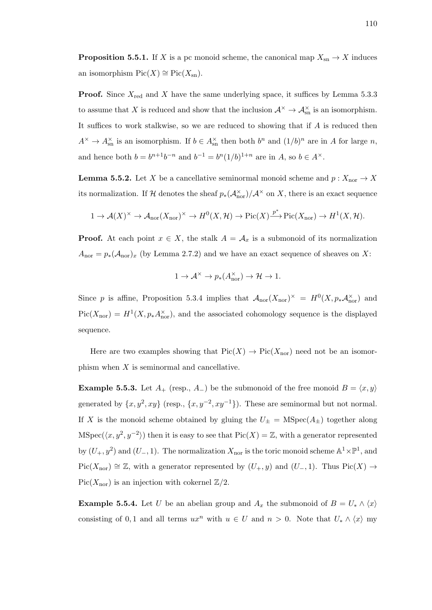**Proposition 5.5.1.** If X is a pc monoid scheme, the canonical map  $X_{\text{sn}} \to X$  induces an isomorphism  $Pic(X) \cong Pic(X_{\text{sn}})$ .

**Proof.** Since  $X_{\text{red}}$  and X have the same underlying space, it suffices by Lemma 5.3.3 to assume that X is reduced and show that the inclusion  $\mathcal{A}^{\times} \to \mathcal{A}_{\text{sn}}^{\times}$  is an isomorphism. It suffices to work stalkwise, so we are reduced to showing that if A is reduced then  $A^{\times} \to A_{\text{sn}}^{\times}$  is an isomorphism. If  $b \in A_{\text{sn}}^{\times}$  then both  $b^n$  and  $(1/b)^n$  are in A for large n, and hence both  $b = b^{n+1}b^{-n}$  and  $b^{-1} = b^{n}(1/b)^{1+n}$  are in A, so  $b \in A^{\times}$ .

**Lemma 5.5.2.** Let X be a cancellative seminormal monoid scheme and  $p: X_{\text{nor}} \to X$ its normalization. If H denotes the sheaf  $p_*(\mathcal{A}_{\rm nor}^{\times})/\mathcal{A}^{\times}$  on X, there is an exact sequence

$$
1 \to \mathcal{A}(X)^{\times} \to \mathcal{A}_{\text{nor}}(X_{\text{nor}})^{\times} \to H^{0}(X, \mathcal{H}) \to \text{Pic}(X) \xrightarrow{p^{*}} \text{Pic}(X_{\text{nor}}) \to H^{1}(X, \mathcal{H}).
$$

**Proof.** At each point  $x \in X$ , the stalk  $A = \mathcal{A}_x$  is a submonoid of its normalization  $A_{\text{nor}} = p_*(A_{\text{nor}})_x$  (by Lemma 2.7.2) and we have an exact sequence of sheaves on X:

$$
1 \to \mathcal{A}^{\times} \to p_*(A_{\text{nor}}^{\times}) \to \mathcal{H} \to 1.
$$

Since p is affine, Proposition 5.3.4 implies that  $\mathcal{A}_{\rm nor}(X_{\rm nor})^{\times} = H^0(X, p_*\mathcal{A}_{\rm nor}^{\times})$  and  $Pic(X_{\text{nor}}) = H^1(X, p_* A_{\text{nor}}^{\times})$ , and the associated cohomology sequence is the displayed sequence.

Here are two examples showing that  $Pic(X) \to Pic(X_{\text{nor}})$  need not be an isomorphism when X is seminormal and cancellative.

**Example 5.5.3.** Let  $A_+$  (resp.,  $A_-$ ) be the submonoid of the free monoid  $B = \langle x, y \rangle$ generated by  $\{x, y^2, xy\}$  (resp.,  $\{x, y^{-2}, xy^{-1}\}$ ). These are seminormal but not normal. If X is the monoid scheme obtained by gluing the  $U_{\pm} = \text{MSpec}(A_{\pm})$  together along MSpec( $\langle x, y^2, y^{-2} \rangle$ ) then it is easy to see that Pic(X) = Z, with a generator represented by  $(U_+, y^2)$  and  $(U_-, 1)$ . The normalization  $X_{\text{nor}}$  is the toric monoid scheme  $\mathbb{A}^1 \times \mathbb{P}^1$ , and  $Pic(X_{\text{nor}}) \cong \mathbb{Z}$ , with a generator represented by  $(U_+, y)$  and  $(U_-, 1)$ . Thus Pic $(X) \to$  $Pic(X_{\text{nor}})$  is an injection with cokernel  $\mathbb{Z}/2$ .

**Example 5.5.4.** Let U be an abelian group and  $A_x$  the submonoid of  $B = U_* \wedge \langle x \rangle$ consisting of 0, 1 and all terms  $ux^n$  with  $u \in U$  and  $n > 0$ . Note that  $U_* \wedge \langle x \rangle$  my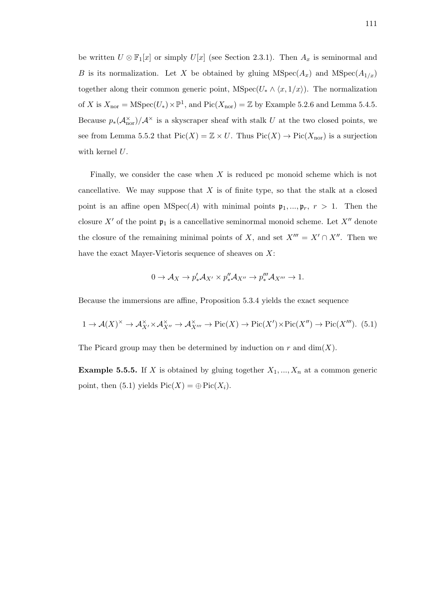be written  $U \otimes \mathbb{F}_1[x]$  or simply  $U[x]$  (see Section 2.3.1). Then  $A_x$  is seminormal and B is its normalization. Let X be obtained by gluing  $MSpec(A_x)$  and  $MSpec(A_{1/x})$ together along their common generic point, MSpec( $U_* \wedge \langle x, 1/x \rangle$ ). The normalization of X is  $X_{\text{nor}} = \text{MSpec}(U_*) \times \mathbb{P}^1$ , and  $\text{Pic}(X_{\text{nor}}) = \mathbb{Z}$  by Example 5.2.6 and Lemma 5.4.5. Because  $p_*(\mathcal{A}_{\text{nor}}^{\times})/\mathcal{A}^{\times}$  is a skyscraper sheaf with stalk U at the two closed points, we see from Lemma 5.5.2 that  $Pic(X) = \mathbb{Z} \times U$ . Thus  $Pic(X) \to Pic(X_{\text{nor}})$  is a surjection with kernel  $U$ .

Finally, we consider the case when  $X$  is reduced pc monoid scheme which is not cancellative. We may suppose that  $X$  is of finite type, so that the stalk at a closed point is an affine open  $MSpec(A)$  with minimal points  $\mathfrak{p}_1, ..., \mathfrak{p}_r, r > 1$ . Then the closure X' of the point  $\mathfrak{p}_1$  is a cancellative seminormal monoid scheme. Let X'' denote the closure of the remaining minimal points of X, and set  $X^{\prime\prime\prime} = X^{\prime} \cap X^{\prime\prime}$ . Then we have the exact Mayer-Vietoris sequence of sheaves on X:

$$
0 \to \mathcal{A}_X \to p'_* \mathcal{A}_{X'} \times p''_* \mathcal{A}_{X''} \to p'''_* \mathcal{A}_{X'''} \to 1.
$$

Because the immersions are affine, Proposition 5.3.4 yields the exact sequence

$$
1 \to \mathcal{A}(X)^{\times} \to \mathcal{A}_{X'}^{\times} \times \mathcal{A}_{X''}^{\times} \to \mathcal{A}_{X'''}^{\times} \to Pic(X) \to Pic(X') \times Pic(X'') \to Pic(X''').
$$
 (5.1)

The Picard group may then be determined by induction on  $r$  and  $\dim(X)$ .

**Example 5.5.5.** If X is obtained by gluing together  $X_1, ..., X_n$  at a common generic point, then (5.1) yields  $Pic(X) = \bigoplus Pic(X_i)$ .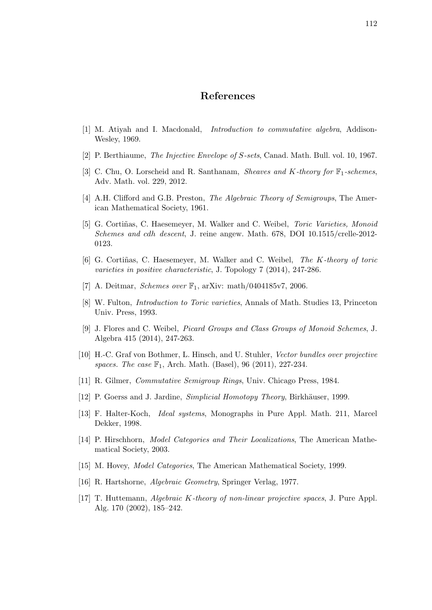# References

- [1] M. Atiyah and I. Macdonald, Introduction to commutative algebra, Addison-Wesley, 1969.
- [2] P. Berthiaume, The Injective Envelope of S-sets, Canad. Math. Bull. vol. 10, 1967.
- [3] C. Chu, O. Lorscheid and R. Santhanam, *Sheaves and K-theory for*  $\mathbb{F}_1$ -schemes, Adv. Math. vol. 229, 2012.
- [4] A.H. Clifford and G.B. Preston, *The Algebraic Theory of Semigroups*, The American Mathematical Society, 1961.
- [5] G. Cortiñas, C. Haesemeyer, M. Walker and C. Weibel, *Toric Varieties, Monoid* Schemes and cdh descent, J. reine angew. Math. 678, DOI 10.1515/crelle-2012- 0123.
- [6] G. Cortiñas, C. Haesemeyer, M. Walker and C. Weibel, The K-theory of toric varieties in positive characteristic, J. Topology 7 (2014), 247-286.
- [7] A. Deitmar, *Schemes over*  $\mathbb{F}_1$ , arXiv: math/0404185v7, 2006.
- [8] W. Fulton, Introduction to Toric varieties, Annals of Math. Studies 13, Princeton Univ. Press, 1993.
- [9] J. Flores and C. Weibel, Picard Groups and Class Groups of Monoid Schemes, J. Algebra 415 (2014), 247-263.
- [10] H.-C. Graf von Bothmer, L. Hinsch, and U. Stuhler, Vector bundles over projective spaces. The case  $\mathbb{F}_1$ , Arch. Math. (Basel), 96 (2011), 227-234.
- [11] R. Gilmer, Commutative Semigroup Rings, Univ. Chicago Press, 1984.
- [12] P. Goerss and J. Jardine, *Simplicial Homotopy Theory*, Birkhäuser, 1999.
- [13] F. Halter-Koch, Ideal systems, Monographs in Pure Appl. Math. 211, Marcel Dekker, 1998.
- [14] P. Hirschhorn, Model Categories and Their Localizations, The American Mathematical Society, 2003.
- [15] M. Hovey, *Model Categories*, The American Mathematical Society, 1999.
- [16] R. Hartshorne, Algebraic Geometry, Springer Verlag, 1977.
- [17] T. Huttemann, Algebraic K-theory of non-linear projective spaces, J. Pure Appl. Alg. 170 (2002), 185–242.